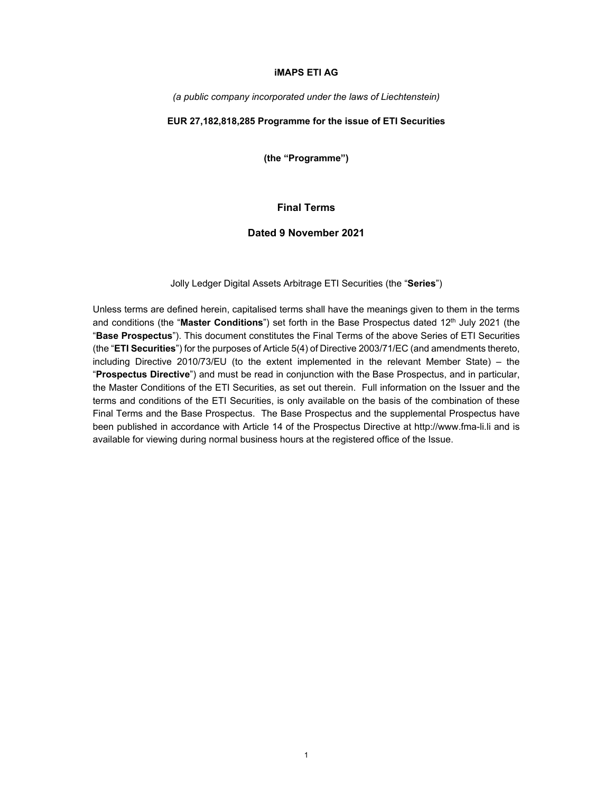### **iMAPS ETI AG**

*(a public company incorporated under the laws of Liechtenstein)* 

# **EUR 27,182,818,285 Programme for the issue of ETI Securities**

**(the "Programme")** 

# **Final Terms**

# **Dated 9 November 2021**

Jolly Ledger Digital Assets Arbitrage ETI Securities (the "**Series**")

Unless terms are defined herein, capitalised terms shall have the meanings given to them in the terms and conditions (the "Master Conditions") set forth in the Base Prospectus dated 12<sup>th</sup> July 2021 (the "**Base Prospectus**"). This document constitutes the Final Terms of the above Series of ETI Securities (the "**ETI Securities**") for the purposes of Article 5(4) of Directive 2003/71/EC (and amendments thereto, including Directive 2010/73/EU (to the extent implemented in the relevant Member State) – the "**Prospectus Directive**") and must be read in conjunction with the Base Prospectus, and in particular, the Master Conditions of the ETI Securities, as set out therein. Full information on the Issuer and the terms and conditions of the ETI Securities, is only available on the basis of the combination of these Final Terms and the Base Prospectus. The Base Prospectus and the supplemental Prospectus have been published in accordance with Article 14 of the Prospectus Directive at http://www.fma-li.li and is available for viewing during normal business hours at the registered office of the Issue.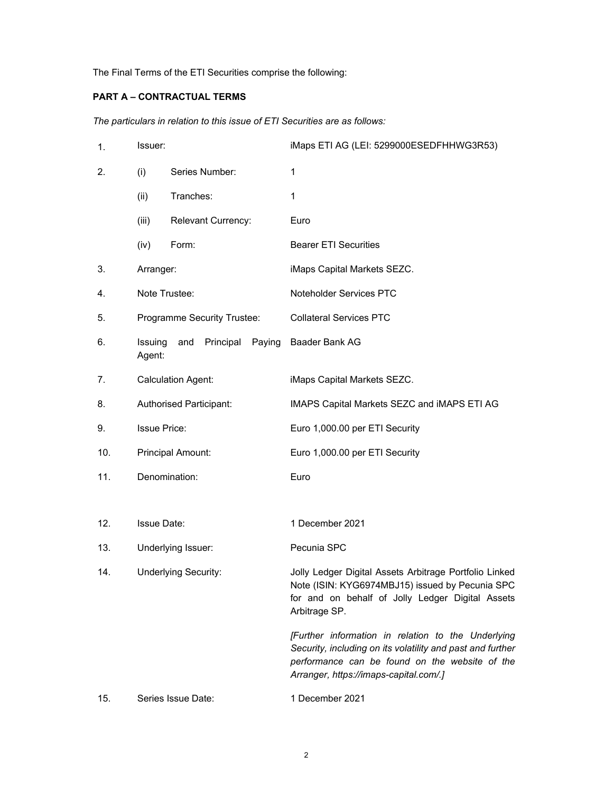The Final Terms of the ETI Securities comprise the following:

# **PART A – CONTRACTUAL TERMS**

*The particulars in relation to this issue of ETI Securities are as follows:* 

| 1.  | Issuer:                     |                             | iMaps ETI AG (LEI: 5299000ESEDFHHWG3R53)                                                                                                                                                                     |
|-----|-----------------------------|-----------------------------|--------------------------------------------------------------------------------------------------------------------------------------------------------------------------------------------------------------|
| 2.  | (i)                         | Series Number:              | 1                                                                                                                                                                                                            |
|     | (ii)                        | Tranches:                   | 1                                                                                                                                                                                                            |
|     | (iii)                       | <b>Relevant Currency:</b>   | Euro                                                                                                                                                                                                         |
|     | (iv)                        | Form:                       | <b>Bearer ETI Securities</b>                                                                                                                                                                                 |
| 3.  | Arranger:                   |                             | iMaps Capital Markets SEZC.                                                                                                                                                                                  |
| 4.  | Note Trustee:               |                             | Noteholder Services PTC                                                                                                                                                                                      |
| 5.  |                             | Programme Security Trustee: | <b>Collateral Services PTC</b>                                                                                                                                                                               |
| 6.  | Issuing<br>Agent:           | Principal<br>Paying<br>and  | Baader Bank AG                                                                                                                                                                                               |
| 7.  |                             | <b>Calculation Agent:</b>   | iMaps Capital Markets SEZC.                                                                                                                                                                                  |
| 8.  |                             | Authorised Participant:     | IMAPS Capital Markets SEZC and IMAPS ETI AG                                                                                                                                                                  |
| 9.  | <b>Issue Price:</b>         |                             | Euro 1,000.00 per ETI Security                                                                                                                                                                               |
| 10. |                             | Principal Amount:           | Euro 1,000.00 per ETI Security                                                                                                                                                                               |
| 11. | Denomination:               |                             | Euro                                                                                                                                                                                                         |
|     |                             |                             |                                                                                                                                                                                                              |
| 12. | <b>Issue Date:</b>          |                             | 1 December 2021                                                                                                                                                                                              |
| 13. | Underlying Issuer:          |                             | Pecunia SPC                                                                                                                                                                                                  |
| 14. | <b>Underlying Security:</b> |                             | Jolly Ledger Digital Assets Arbitrage Portfolio Linked<br>Note (ISIN: KYG6974MBJ15) issued by Pecunia SPC<br>for and on behalf of Jolly Ledger Digital Assets<br>Arbitrage SP.                               |
|     |                             |                             | [Further information in relation to the Underlying<br>Security, including on its volatility and past and further<br>performance can be found on the website of the<br>Arranger, https://imaps-capital.com/.] |
| 15. |                             | Series Issue Date:          | 1 December 2021                                                                                                                                                                                              |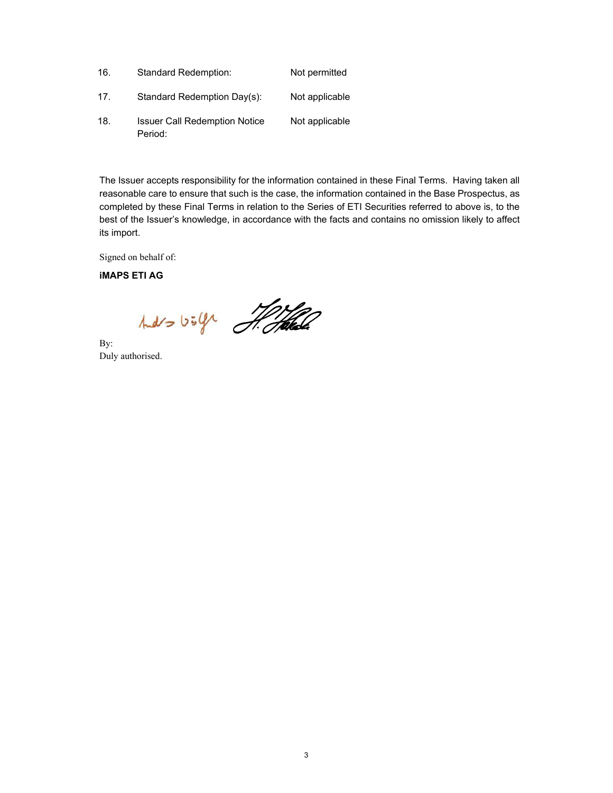| 16. | <b>Standard Redemption:</b>                     | Not permitted  |
|-----|-------------------------------------------------|----------------|
| 17. | Standard Redemption Day(s):                     | Not applicable |
| 18. | <b>Issuer Call Redemption Notice</b><br>Period: | Not applicable |

The Issuer accepts responsibility for the information contained in these Final Terms. Having taken all reasonable care to ensure that such is the case, the information contained in the Base Prospectus, as completed by these Final Terms in relation to the Series of ETI Securities referred to above is, to the best of the Issuer's knowledge, in accordance with the facts and contains no omission likely to affect its import.

Signed on behalf of:

**iMAPS ETI AG**

hars boly Hotel

By: Duly authorised.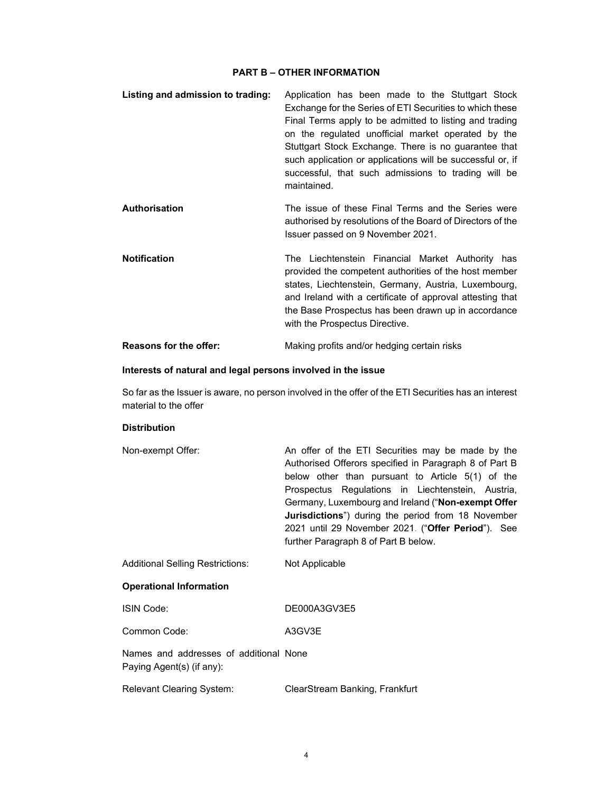## **PART B – OTHER INFORMATION**

| Listing and admission to trading: | Application has been made to the Stuttgart Stock<br>Exchange for the Series of ETI Securities to which these<br>Final Terms apply to be admitted to listing and trading<br>on the regulated unofficial market operated by the<br>Stuttgart Stock Exchange. There is no guarantee that<br>such application or applications will be successful or, if<br>successful, that such admissions to trading will be<br>maintained. |
|-----------------------------------|---------------------------------------------------------------------------------------------------------------------------------------------------------------------------------------------------------------------------------------------------------------------------------------------------------------------------------------------------------------------------------------------------------------------------|
| <b>Authorisation</b>              | The issue of these Final Terms and the Series were<br>authorised by resolutions of the Board of Directors of the<br>Issuer passed on 9 November 2021.                                                                                                                                                                                                                                                                     |
| <b>Notification</b>               | The Liechtenstein Financial Market Authority has<br>provided the competent authorities of the host member<br>states, Liechtenstein, Germany, Austria, Luxembourg,<br>and Ireland with a certificate of approval attesting that<br>the Base Prospectus has been drawn up in accordance<br>with the Prospectus Directive.                                                                                                   |
| <b>Reasons for the offer:</b>     | Making profits and/or hedging certain risks                                                                                                                                                                                                                                                                                                                                                                               |

### **Interests of natural and legal persons involved in the issue**

 So far as the Issuer is aware, no person involved in the offer of the ETI Securities has an interest material to the offer

# **Distribution**

| Non-exempt Offer:                       | An offer of the ETI Securities may be made by the          |
|-----------------------------------------|------------------------------------------------------------|
|                                         | Authorised Offerors specified in Paragraph 8 of Part B     |
|                                         | below other than pursuant to Article 5(1) of the           |
|                                         | Prospectus Regulations in Liechtenstein, Austria,          |
|                                         | Germany, Luxembourg and Ireland ("Non-exempt Offer         |
|                                         | <b>Jurisdictions</b> ") during the period from 18 November |
|                                         | 2021 until 29 November 2021. ("Offer Period"). See         |
|                                         | further Paragraph 8 of Part B below.                       |
| <b>Additional Selling Restrictions:</b> | Not Applicable                                             |

## **Operational Information**

| DE000A3GV3E5 |
|--------------|
|              |

Common Code: A3GV3E

 Names and addresses of additional None Paying Agent(s) (if any):

Relevant Clearing System: ClearStream Banking, Frankfurt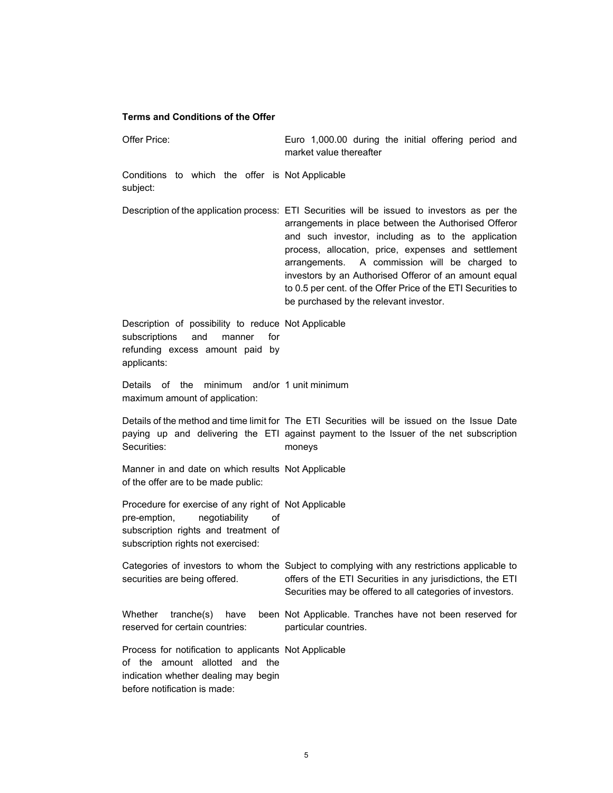#### **Terms and Conditions of the Offer**

 Offer Price: Euro 1,000.00 during the initial offering period and market value thereafter Conditions to which the offer is Not Applicable subject: Description of the application process: ETI Securities will be issued to investors as per the arrangements in place between the Authorised Offeror and such investor, including as to the application process, allocation, price, expenses and settlement arrangements. A commission will be charged to investors by an Authorised Offeror of an amount equal to 0.5 per cent. of the Offer Price of the ETI Securities to be purchased by the relevant investor. Description of possibility to reduce Not Applicable subscriptions and manner for refunding excess amount paid by applicants: Details of the minimum and/or 1 unit minimum maximum amount of application: Details of the method and time limit for The ETI Securities will be issued on the Issue Date paying up and delivering the ETI against payment to the Issuer of the net subscription Securities: moneys Manner in and date on which results Not Applicable of the offer are to be made public: Procedure for exercise of any right of Not Applicable pre-emption, negotiability of subscription rights and treatment of subscription rights not exercised: Categories of investors to whom the Subject to complying with any restrictions applicable to securities are being offered. offers of the ETI Securities in any jurisdictions, the ETI Securities may be offered to all categories of investors. Whether  $tranche(s)$  have reserved for certain countries: been Not Applicable. Tranches have not been reserved for particular countries. Process for notification to applicants Not Applicableof the amount allotted and the indication whether dealing may begin before notification is made: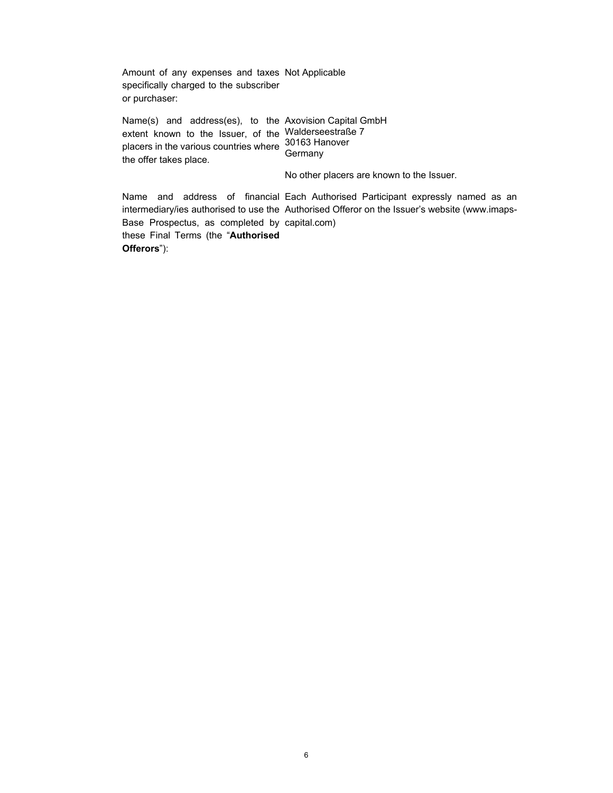Amount of any expenses and taxes Not Applicable specifically charged to the subscriber or purchaser:

 Name(s) and address(es), to the Axovision Capital GmbH extent known to the Issuer, of the Walderseestraße 7 placers in the various countries where 30163 Hanover the offer takes place. Germany No other placers are known to the Issuer. Name and address of financial Each Authorised Participant expressly named as an intermediary/ies authorised to use the Authorised Offeror on the Issuer's website (www.imaps-Base Prospectus, as completed by capital.com) these Final Terms (the "**Authorised** 

**Offerors**"):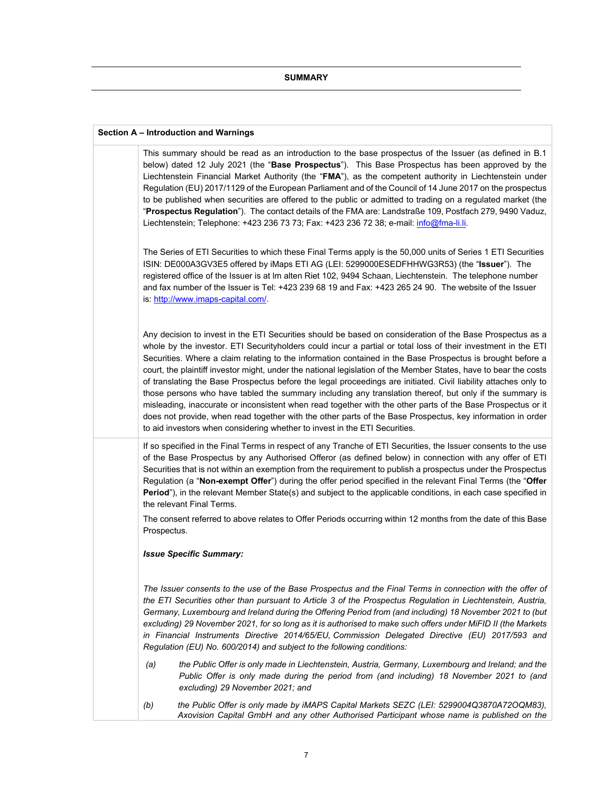#### **Section A – Introduction and Warnings**

This summary should be read as an introduction to the base prospectus of the Issuer (as defined in B.1 below) dated 12 July 2021 (the "**Base Prospectus**"). This Base Prospectus has been approved by the Liechtenstein Financial Market Authority (the "**FMA**"), as the competent authority in Liechtenstein under Regulation (EU) 2017/1129 of the European Parliament and of the Council of 14 June 2017 on the prospectus to be published when securities are offered to the public or admitted to trading on a regulated market (the "**Prospectus Regulation**"). The contact details of the FMA are: Landstraße 109, Postfach 279, 9490 Vaduz, Liechtenstein; Telephone: +423 236 73 73; Fax: +423 236 72 38; e-mail: info@fma-li.li.

The Series of ETI Securities to which these Final Terms apply is the 50,000 units of Series 1 ETI Securities ISIN: DE000A3GV3E5 offered by iMaps ETI AG (LEI: 5299000ESEDFHHWG3R53) (the "**Issuer**"). The registered office of the Issuer is at lm alten Riet 102, 9494 Schaan, Liechtenstein. The telephone number and fax number of the Issuer is Tel: +423 239 68 19 and Fax: +423 265 24 90. The website of the Issuer is: http://www.imaps-capital.com/.

Any decision to invest in the ETI Securities should be based on consideration of the Base Prospectus as a whole by the investor. ETI Securityholders could incur a partial or total loss of their investment in the ETI Securities. Where a claim relating to the information contained in the Base Prospectus is brought before a court, the plaintiff investor might, under the national legislation of the Member States, have to bear the costs of translating the Base Prospectus before the legal proceedings are initiated. Civil liability attaches only to those persons who have tabled the summary including any translation thereof, but only if the summary is misleading, inaccurate or inconsistent when read together with the other parts of the Base Prospectus or it does not provide, when read together with the other parts of the Base Prospectus, key information in order to aid investors when considering whether to invest in the ETI Securities.

If so specified in the Final Terms in respect of any Tranche of ETI Securities, the Issuer consents to the use of the Base Prospectus by any Authorised Offeror (as defined below) in connection with any offer of ETI Securities that is not within an exemption from the requirement to publish a prospectus under the Prospectus Regulation (a "**Non-exempt Offer**") during the offer period specified in the relevant Final Terms (the "**Offer Period**"), in the relevant Member State(s) and subject to the applicable conditions, in each case specified in the relevant Final Terms.

The consent referred to above relates to Offer Periods occurring within 12 months from the date of this Base Prospectus.

#### *Issue Specific Summary:*

*The Issuer consents to the use of the Base Prospectus and the Final Terms in connection with the offer of the ETI Securities other than pursuant to Article 3 of the Prospectus Regulation in Liechtenstein, Austria, Germany, Luxembourg and Ireland during the Offering Period from (and including) 18 November 2021 to (but excluding) 29 November 2021, for so long as it is authorised to make such offers under MiFID II (the Markets in Financial Instruments Directive 2014/65/EU, Commission Delegated Directive (EU) 2017/593 and Regulation (EU) No. 600/2014) and subject to the following conditions:* 

- *(a) the Public Offer is only made in Liechtenstein, Austria, Germany, Luxembourg and Ireland; and the Public Offer is only made during the period from (and including) 18 November 2021 to (and excluding) 29 November 2021; and*
- *(b) the Public Offer is only made by iMAPS Capital Markets SEZC (LEI: 5299004Q3870A72OQM83), Axovision Capital GmbH and any other Authorised Participant whose name is published on the*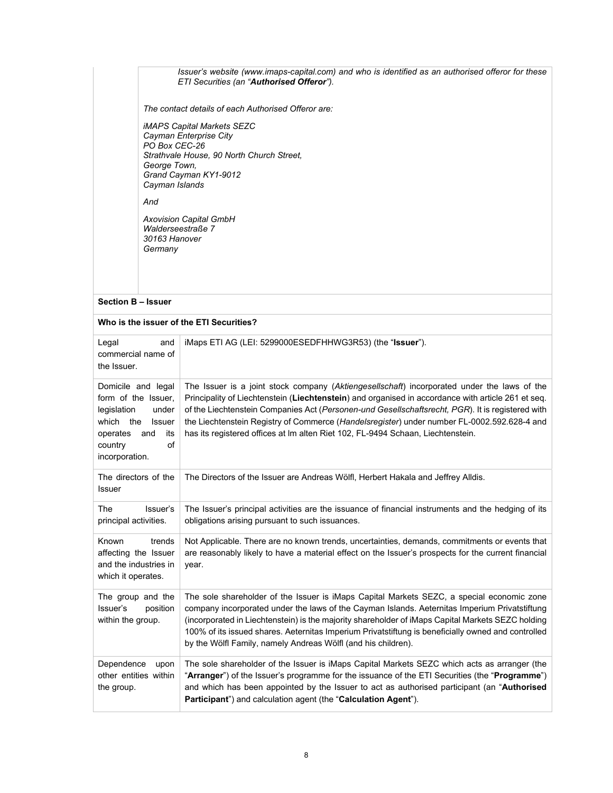### *Issuer's website (www.imaps-capital.com) and who is identified as an authorised offeror for these ETI Securities (an "Authorised Offeror").*

*The contact details of each Authorised Offeror are:* 

*iMAPS Capital Markets SEZC Cayman Enterprise City PO Box CEC-26 Strathvale House, 90 North Church Street, George Town, Grand Cayman KY1-9012 Cayman Islands* 

*And* 

*Axovision Capital GmbH Walderseestraße 7 30163 Hanover Germany*

#### **Section B – Issuer**

| Who is the issuer of the ETI Securities?                                                                                                                        |                                                                                                                                                                                                                                                                                                                                                                                                                                                                                         |  |  |
|-----------------------------------------------------------------------------------------------------------------------------------------------------------------|-----------------------------------------------------------------------------------------------------------------------------------------------------------------------------------------------------------------------------------------------------------------------------------------------------------------------------------------------------------------------------------------------------------------------------------------------------------------------------------------|--|--|
| Legal<br>and<br>commercial name of<br>the Issuer.                                                                                                               | iMaps ETI AG (LEI: 5299000ESEDFHHWG3R53) (the "Issuer").                                                                                                                                                                                                                                                                                                                                                                                                                                |  |  |
| Domicile and legal<br>form of the Issuer,<br>legislation<br>under<br>which<br>the<br><b>Issuer</b><br>operates<br>and<br>its<br>country<br>of<br>incorporation. | The Issuer is a joint stock company (Aktiengesellschaft) incorporated under the laws of the<br>Principality of Liechtenstein (Liechtenstein) and organised in accordance with article 261 et seq.<br>of the Liechtenstein Companies Act (Personen-und Gesellschaftsrecht, PGR). It is registered with<br>the Liechtenstein Registry of Commerce (Handelsregister) under number FL-0002.592.628-4 and<br>has its registered offices at Im alten Riet 102, FL-9494 Schaan, Liechtenstein. |  |  |
| The directors of the<br><b>Issuer</b>                                                                                                                           | The Directors of the Issuer are Andreas Wölfl, Herbert Hakala and Jeffrey Alldis.                                                                                                                                                                                                                                                                                                                                                                                                       |  |  |
| Issuer's<br>The<br>principal activities.                                                                                                                        | The Issuer's principal activities are the issuance of financial instruments and the hedging of its<br>obligations arising pursuant to such issuances.                                                                                                                                                                                                                                                                                                                                   |  |  |
| Known<br>trends<br>affecting the Issuer<br>and the industries in<br>which it operates.                                                                          | Not Applicable. There are no known trends, uncertainties, demands, commitments or events that<br>are reasonably likely to have a material effect on the Issuer's prospects for the current financial<br>year.                                                                                                                                                                                                                                                                           |  |  |
| The group and the<br>Issuer's<br>position<br>within the group.                                                                                                  | The sole shareholder of the Issuer is iMaps Capital Markets SEZC, a special economic zone<br>company incorporated under the laws of the Cayman Islands. Aeternitas Imperium Privatstiftung<br>(incorporated in Liechtenstein) is the majority shareholder of iMaps Capital Markets SEZC holding<br>100% of its issued shares. Aeternitas Imperium Privatstiftung is beneficially owned and controlled<br>by the Wölfl Family, namely Andreas Wölfl (and his children).                  |  |  |
| Dependence<br>upon<br>other entities within<br>the group.                                                                                                       | The sole shareholder of the Issuer is iMaps Capital Markets SEZC which acts as arranger (the<br>"Arranger") of the Issuer's programme for the issuance of the ETI Securities (the "Programme")<br>and which has been appointed by the Issuer to act as authorised participant (an "Authorised<br>Participant") and calculation agent (the "Calculation Agent").                                                                                                                         |  |  |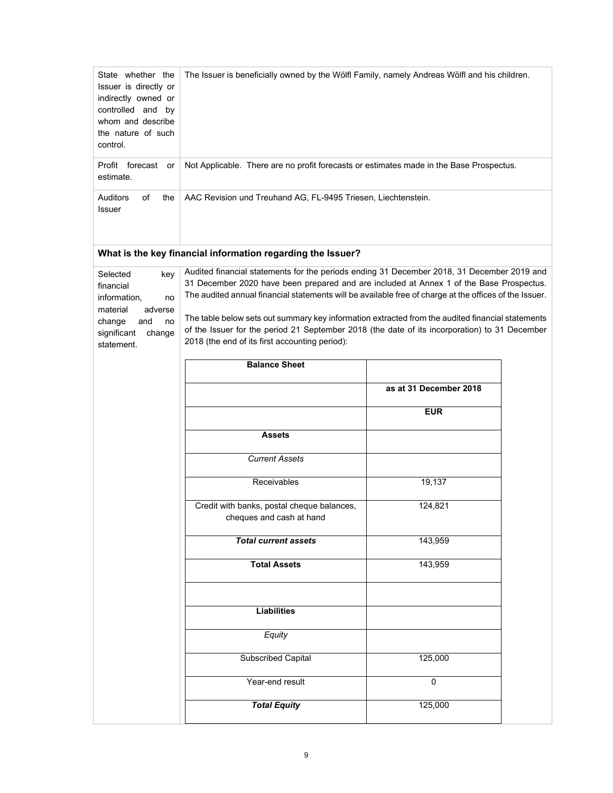| State whether the<br>Issuer is directly or<br>indirectly owned or<br>controlled and by<br>whom and describe<br>the nature of such<br>control. | The Issuer is beneficially owned by the Wölfl Family, namely Andreas Wölfl and his children.                                                                                                                                                                                                                                                                                                                                                                                                                                                           |                        |  |  |
|-----------------------------------------------------------------------------------------------------------------------------------------------|--------------------------------------------------------------------------------------------------------------------------------------------------------------------------------------------------------------------------------------------------------------------------------------------------------------------------------------------------------------------------------------------------------------------------------------------------------------------------------------------------------------------------------------------------------|------------------------|--|--|
| Profit forecast<br>or<br>estimate.                                                                                                            | Not Applicable. There are no profit forecasts or estimates made in the Base Prospectus.                                                                                                                                                                                                                                                                                                                                                                                                                                                                |                        |  |  |
| Auditors<br>of<br>the<br>Issuer                                                                                                               | AAC Revision und Treuhand AG, FL-9495 Triesen, Liechtenstein.                                                                                                                                                                                                                                                                                                                                                                                                                                                                                          |                        |  |  |
|                                                                                                                                               | What is the key financial information regarding the Issuer?                                                                                                                                                                                                                                                                                                                                                                                                                                                                                            |                        |  |  |
| Selected<br>key<br>financial<br>information,<br>no<br>material<br>adverse<br>change<br>and<br>no<br>significant<br>change<br>statement.       | Audited financial statements for the periods ending 31 December 2018, 31 December 2019 and<br>31 December 2020 have been prepared and are included at Annex 1 of the Base Prospectus.<br>The audited annual financial statements will be available free of charge at the offices of the Issuer.<br>The table below sets out summary key information extracted from the audited financial statements<br>of the Issuer for the period 21 September 2018 (the date of its incorporation) to 31 December<br>2018 (the end of its first accounting period): |                        |  |  |
|                                                                                                                                               | <b>Balance Sheet</b>                                                                                                                                                                                                                                                                                                                                                                                                                                                                                                                                   |                        |  |  |
|                                                                                                                                               |                                                                                                                                                                                                                                                                                                                                                                                                                                                                                                                                                        | as at 31 December 2018 |  |  |
|                                                                                                                                               |                                                                                                                                                                                                                                                                                                                                                                                                                                                                                                                                                        | <b>EUR</b>             |  |  |
|                                                                                                                                               | <b>Assets</b>                                                                                                                                                                                                                                                                                                                                                                                                                                                                                                                                          |                        |  |  |
|                                                                                                                                               | <b>Current Assets</b>                                                                                                                                                                                                                                                                                                                                                                                                                                                                                                                                  |                        |  |  |
|                                                                                                                                               | Receivables                                                                                                                                                                                                                                                                                                                                                                                                                                                                                                                                            | 19,137                 |  |  |
|                                                                                                                                               | Credit with banks, postal cheque balances,<br>cheques and cash at hand                                                                                                                                                                                                                                                                                                                                                                                                                                                                                 | 124,821                |  |  |
|                                                                                                                                               | <b>Total current assets</b>                                                                                                                                                                                                                                                                                                                                                                                                                                                                                                                            | 143,959                |  |  |
|                                                                                                                                               | <b>Total Assets</b>                                                                                                                                                                                                                                                                                                                                                                                                                                                                                                                                    | 143,959                |  |  |
|                                                                                                                                               | <b>Liabilities</b>                                                                                                                                                                                                                                                                                                                                                                                                                                                                                                                                     |                        |  |  |
|                                                                                                                                               | Equity                                                                                                                                                                                                                                                                                                                                                                                                                                                                                                                                                 |                        |  |  |
|                                                                                                                                               | <b>Subscribed Capital</b>                                                                                                                                                                                                                                                                                                                                                                                                                                                                                                                              | 125,000                |  |  |
|                                                                                                                                               | Year-end result                                                                                                                                                                                                                                                                                                                                                                                                                                                                                                                                        | $\Omega$               |  |  |
|                                                                                                                                               | <b>Total Equity</b>                                                                                                                                                                                                                                                                                                                                                                                                                                                                                                                                    | 125,000                |  |  |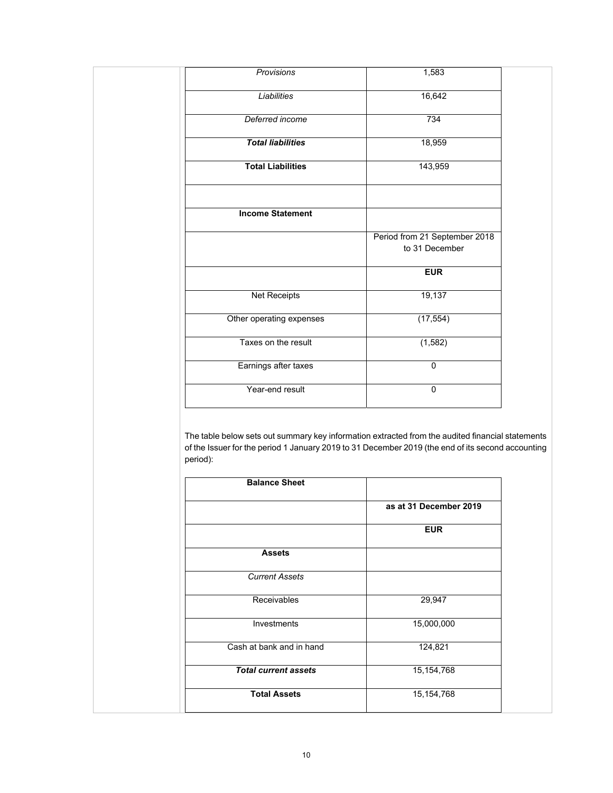| Provisions               | 1,583                         |
|--------------------------|-------------------------------|
| <b>Liabilities</b>       | 16,642                        |
| Deferred income          | 734                           |
| <b>Total liabilities</b> | 18,959                        |
| <b>Total Liabilities</b> | 143,959                       |
|                          |                               |
| <b>Income Statement</b>  |                               |
|                          | Period from 21 September 2018 |
|                          | to 31 December                |
|                          | <b>EUR</b>                    |
| <b>Net Receipts</b>      | 19,137                        |
| Other operating expenses | (17, 554)                     |
| Taxes on the result      | (1, 582)                      |
| Earnings after taxes     | 0                             |
| Year-end result          | 0                             |
|                          |                               |

The table below sets out summary key information extracted from the audited financial statements of the Issuer for the period 1 January 2019 to 31 December 2019 (the end of its second accounting period):

| <b>Balance Sheet</b>        |                        |
|-----------------------------|------------------------|
|                             | as at 31 December 2019 |
|                             | <b>EUR</b>             |
| <b>Assets</b>               |                        |
| <b>Current Assets</b>       |                        |
| Receivables                 | 29,947                 |
| Investments                 | 15,000,000             |
| Cash at bank and in hand    | 124,821                |
| <b>Total current assets</b> | 15, 154, 768           |
| <b>Total Assets</b>         | 15, 154, 768           |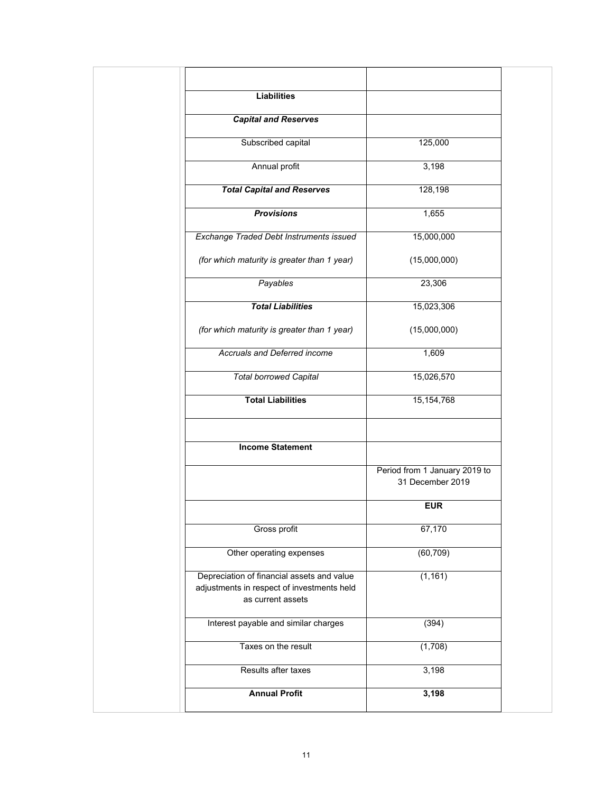| Period from 1 January 2019 to |
|-------------------------------|
|                               |
|                               |
|                               |
|                               |
|                               |
|                               |
|                               |
|                               |
|                               |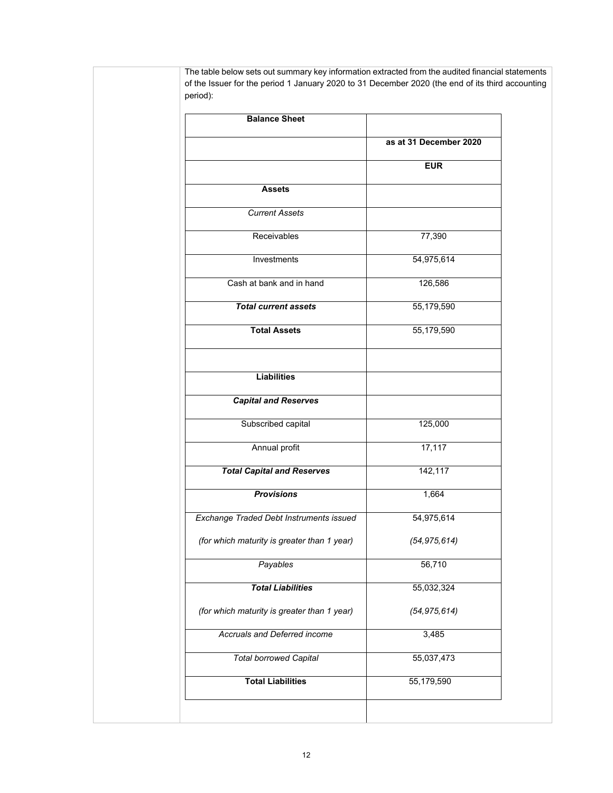The table below sets out summary key information extracted from the audited financial statements of the Issuer for the period 1 January 2020 to 31 December 2020 (the end of its third accounting period):

| <b>Balance Sheet</b>                        |                        |
|---------------------------------------------|------------------------|
|                                             | as at 31 December 2020 |
|                                             | <b>EUR</b>             |
| <b>Assets</b>                               |                        |
| <b>Current Assets</b>                       |                        |
| Receivables                                 | 77,390                 |
| Investments                                 | 54,975,614             |
| Cash at bank and in hand                    | 126,586                |
| <b>Total current assets</b>                 | 55,179,590             |
| <b>Total Assets</b>                         | 55,179,590             |
| <b>Liabilities</b>                          |                        |
| <b>Capital and Reserves</b>                 |                        |
| Subscribed capital                          | 125,000                |
| Annual profit                               | 17,117                 |
| <b>Total Capital and Reserves</b>           | 142,117                |
| <b>Provisions</b>                           | 1,664                  |
| Exchange Traded Debt Instruments issued     | 54,975,614             |
| (for which maturity is greater than 1 year) | (54, 975, 614)         |
| Payables                                    | 56,710                 |
| <b>Total Liabilities</b>                    | 55,032,324             |
| (for which maturity is greater than 1 year) | (54, 975, 614)         |
| Accruals and Deferred income                | 3,485                  |
| <b>Total borrowed Capital</b>               | 55,037,473             |
| <b>Total Liabilities</b>                    | 55,179,590             |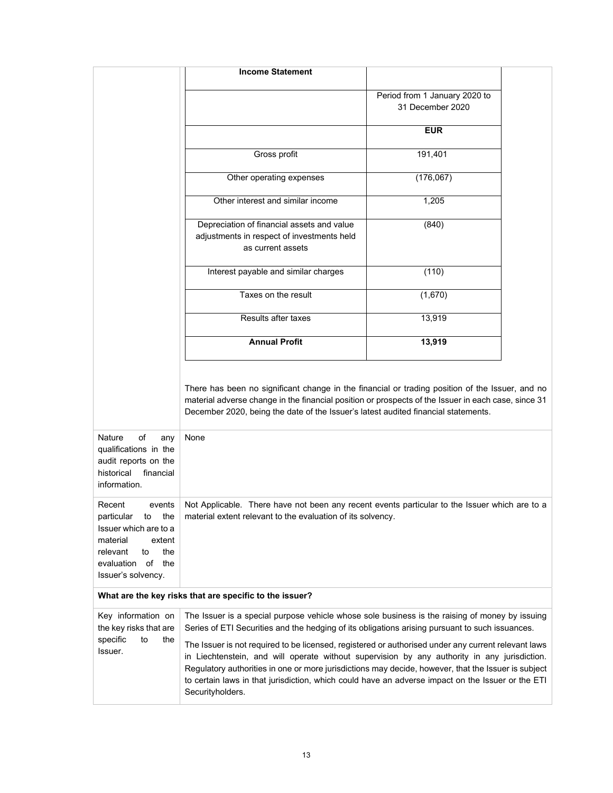|                                                                                                                                                                   | <b>Income Statement</b>                                                                                                                                                                                                                                                                                                                                                                                                             |                                                   |  |  |
|-------------------------------------------------------------------------------------------------------------------------------------------------------------------|-------------------------------------------------------------------------------------------------------------------------------------------------------------------------------------------------------------------------------------------------------------------------------------------------------------------------------------------------------------------------------------------------------------------------------------|---------------------------------------------------|--|--|
|                                                                                                                                                                   |                                                                                                                                                                                                                                                                                                                                                                                                                                     | Period from 1 January 2020 to<br>31 December 2020 |  |  |
|                                                                                                                                                                   |                                                                                                                                                                                                                                                                                                                                                                                                                                     | <b>EUR</b>                                        |  |  |
|                                                                                                                                                                   | Gross profit                                                                                                                                                                                                                                                                                                                                                                                                                        | 191,401                                           |  |  |
|                                                                                                                                                                   | Other operating expenses                                                                                                                                                                                                                                                                                                                                                                                                            | (176,067)                                         |  |  |
|                                                                                                                                                                   | Other interest and similar income                                                                                                                                                                                                                                                                                                                                                                                                   | 1,205                                             |  |  |
|                                                                                                                                                                   | Depreciation of financial assets and value<br>adjustments in respect of investments held<br>as current assets                                                                                                                                                                                                                                                                                                                       | (840)                                             |  |  |
|                                                                                                                                                                   | Interest payable and similar charges                                                                                                                                                                                                                                                                                                                                                                                                | (110)                                             |  |  |
|                                                                                                                                                                   | Taxes on the result                                                                                                                                                                                                                                                                                                                                                                                                                 | (1,670)                                           |  |  |
|                                                                                                                                                                   | Results after taxes                                                                                                                                                                                                                                                                                                                                                                                                                 | 13,919                                            |  |  |
|                                                                                                                                                                   | <b>Annual Profit</b>                                                                                                                                                                                                                                                                                                                                                                                                                | 13,919                                            |  |  |
| of<br><b>Nature</b><br>any<br>qualifications in the<br>audit reports on the<br>historical<br>financial<br>information.                                            | There has been no significant change in the financial or trading position of the Issuer, and no<br>material adverse change in the financial position or prospects of the Issuer in each case, since 31<br>December 2020, being the date of the Issuer's latest audited financial statements.<br>None                                                                                                                                |                                                   |  |  |
| Recent<br>events<br>the<br>particular<br>to<br>Issuer which are to a<br>material<br>extent<br>relevant<br>to<br>the<br>evaluation of<br>the<br>Issuer's solvency. | Not Applicable. There have not been any recent events particular to the Issuer which are to a<br>material extent relevant to the evaluation of its solvency.                                                                                                                                                                                                                                                                        |                                                   |  |  |
| What are the key risks that are specific to the issuer?                                                                                                           |                                                                                                                                                                                                                                                                                                                                                                                                                                     |                                                   |  |  |
| Key information on<br>the key risks that are                                                                                                                      | The Issuer is a special purpose vehicle whose sole business is the raising of money by issuing<br>Series of ETI Securities and the hedging of its obligations arising pursuant to such issuances.                                                                                                                                                                                                                                   |                                                   |  |  |
| specific<br>to<br>the<br>Issuer.                                                                                                                                  | The Issuer is not required to be licensed, registered or authorised under any current relevant laws<br>in Liechtenstein, and will operate without supervision by any authority in any jurisdiction.<br>Regulatory authorities in one or more jurisdictions may decide, however, that the Issuer is subject<br>to certain laws in that jurisdiction, which could have an adverse impact on the Issuer or the ETI<br>Securityholders. |                                                   |  |  |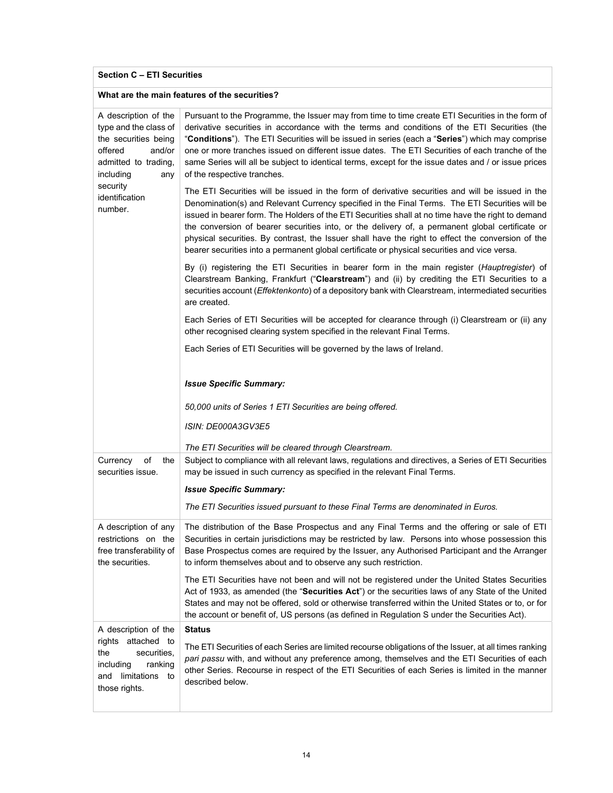# **Section C – ETI Securities**

### **What are the main features of the securities?**

| A description of the<br>type and the class of<br>the securities being<br>offered<br>and/or<br>admitted to trading,<br>including<br>any | Pursuant to the Programme, the Issuer may from time to time create ETI Securities in the form of<br>derivative securities in accordance with the terms and conditions of the ETI Securities (the<br>"Conditions"). The ETI Securities will be issued in series (each a "Series") which may comprise<br>one or more tranches issued on different issue dates. The ETI Securities of each tranche of the<br>same Series will all be subject to identical terms, except for the issue dates and / or issue prices<br>of the respective tranches.                                                                    |
|----------------------------------------------------------------------------------------------------------------------------------------|------------------------------------------------------------------------------------------------------------------------------------------------------------------------------------------------------------------------------------------------------------------------------------------------------------------------------------------------------------------------------------------------------------------------------------------------------------------------------------------------------------------------------------------------------------------------------------------------------------------|
| security<br>identification<br>number.                                                                                                  | The ETI Securities will be issued in the form of derivative securities and will be issued in the<br>Denomination(s) and Relevant Currency specified in the Final Terms. The ETI Securities will be<br>issued in bearer form. The Holders of the ETI Securities shall at no time have the right to demand<br>the conversion of bearer securities into, or the delivery of, a permanent global certificate or<br>physical securities. By contrast, the Issuer shall have the right to effect the conversion of the<br>bearer securities into a permanent global certificate or physical securities and vice versa. |
|                                                                                                                                        | By (i) registering the ETI Securities in bearer form in the main register (Hauptregister) of<br>Clearstream Banking, Frankfurt ("Clearstream") and (ii) by crediting the ETI Securities to a<br>securities account (Effektenkonto) of a depository bank with Clearstream, intermediated securities<br>are created.                                                                                                                                                                                                                                                                                               |
|                                                                                                                                        | Each Series of ETI Securities will be accepted for clearance through (i) Clearstream or (ii) any<br>other recognised clearing system specified in the relevant Final Terms.                                                                                                                                                                                                                                                                                                                                                                                                                                      |
|                                                                                                                                        | Each Series of ETI Securities will be governed by the laws of Ireland.                                                                                                                                                                                                                                                                                                                                                                                                                                                                                                                                           |
|                                                                                                                                        | <b>Issue Specific Summary:</b>                                                                                                                                                                                                                                                                                                                                                                                                                                                                                                                                                                                   |
|                                                                                                                                        | 50,000 units of Series 1 ETI Securities are being offered.                                                                                                                                                                                                                                                                                                                                                                                                                                                                                                                                                       |
|                                                                                                                                        | ISIN: DE000A3GV3E5                                                                                                                                                                                                                                                                                                                                                                                                                                                                                                                                                                                               |
|                                                                                                                                        | The ETI Securities will be cleared through Clearstream.                                                                                                                                                                                                                                                                                                                                                                                                                                                                                                                                                          |
| Currency<br>of<br>the<br>securities issue.                                                                                             | Subject to compliance with all relevant laws, regulations and directives, a Series of ETI Securities<br>may be issued in such currency as specified in the relevant Final Terms.                                                                                                                                                                                                                                                                                                                                                                                                                                 |
|                                                                                                                                        | <b>Issue Specific Summary:</b>                                                                                                                                                                                                                                                                                                                                                                                                                                                                                                                                                                                   |
|                                                                                                                                        | The ETI Securities issued pursuant to these Final Terms are denominated in Euros.                                                                                                                                                                                                                                                                                                                                                                                                                                                                                                                                |
| A description of any<br>restrictions on the<br>free transferability of<br>the securities.                                              | The distribution of the Base Prospectus and any Final Terms and the offering or sale of ETI<br>Securities in certain jurisdictions may be restricted by law. Persons into whose possession this<br>Base Prospectus comes are required by the Issuer, any Authorised Participant and the Arranger<br>to inform themselves about and to observe any such restriction.                                                                                                                                                                                                                                              |
|                                                                                                                                        | The ETI Securities have not been and will not be registered under the United States Securities<br>Act of 1933, as amended (the "Securities Act") or the securities laws of any State of the United<br>States and may not be offered, sold or otherwise transferred within the United States or to, or for<br>the account or benefit of, US persons (as defined in Regulation S under the Securities Act).                                                                                                                                                                                                        |
| A description of the                                                                                                                   | <b>Status</b>                                                                                                                                                                                                                                                                                                                                                                                                                                                                                                                                                                                                    |
| rights attached to<br>securities,<br>the<br>including<br>ranking<br>and limitations to<br>those rights.                                | The ETI Securities of each Series are limited recourse obligations of the Issuer, at all times ranking<br>pari passu with, and without any preference among, themselves and the ETI Securities of each<br>other Series. Recourse in respect of the ETI Securities of each Series is limited in the manner<br>described below.                                                                                                                                                                                                                                                                                    |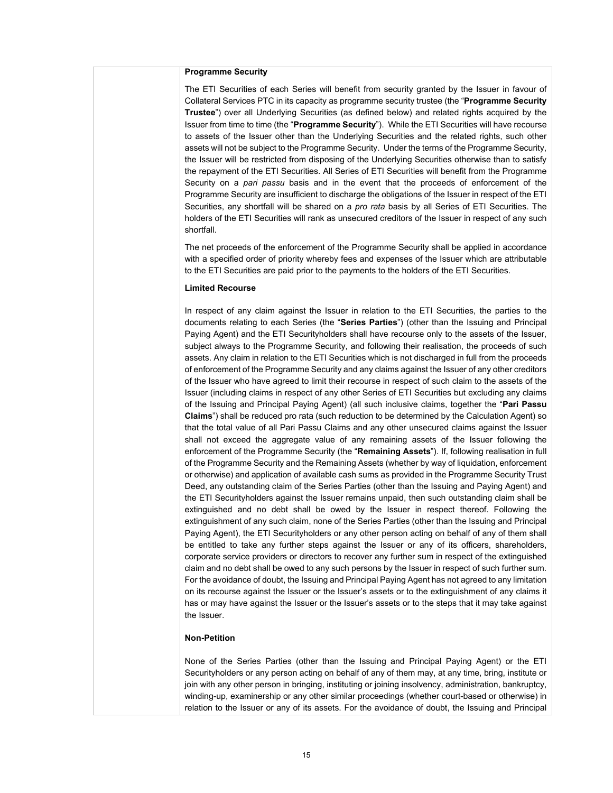#### **Programme Security**

The ETI Securities of each Series will benefit from security granted by the Issuer in favour of Collateral Services PTC in its capacity as programme security trustee (the "**Programme Security Trustee**") over all Underlying Securities (as defined below) and related rights acquired by the Issuer from time to time (the "**Programme Security**"). While the ETI Securities will have recourse to assets of the Issuer other than the Underlying Securities and the related rights, such other assets will not be subject to the Programme Security. Under the terms of the Programme Security, the Issuer will be restricted from disposing of the Underlying Securities otherwise than to satisfy the repayment of the ETI Securities. All Series of ETI Securities will benefit from the Programme Security on a *pari passu* basis and in the event that the proceeds of enforcement of the Programme Security are insufficient to discharge the obligations of the Issuer in respect of the ETI Securities, any shortfall will be shared on a *pro rata* basis by all Series of ETI Securities. The holders of the ETI Securities will rank as unsecured creditors of the Issuer in respect of any such shortfall.

The net proceeds of the enforcement of the Programme Security shall be applied in accordance with a specified order of priority whereby fees and expenses of the Issuer which are attributable to the ETI Securities are paid prior to the payments to the holders of the ETI Securities.

#### **Limited Recourse**

In respect of any claim against the Issuer in relation to the ETI Securities, the parties to the documents relating to each Series (the "**Series Parties**") (other than the Issuing and Principal Paying Agent) and the ETI Securityholders shall have recourse only to the assets of the Issuer, subject always to the Programme Security, and following their realisation, the proceeds of such assets. Any claim in relation to the ETI Securities which is not discharged in full from the proceeds of enforcement of the Programme Security and any claims against the Issuer of any other creditors of the Issuer who have agreed to limit their recourse in respect of such claim to the assets of the Issuer (including claims in respect of any other Series of ETI Securities but excluding any claims of the Issuing and Principal Paying Agent) (all such inclusive claims, together the "**Pari Passu Claims**") shall be reduced pro rata (such reduction to be determined by the Calculation Agent) so that the total value of all Pari Passu Claims and any other unsecured claims against the Issuer shall not exceed the aggregate value of any remaining assets of the Issuer following the enforcement of the Programme Security (the "**Remaining Assets**"). If, following realisation in full of the Programme Security and the Remaining Assets (whether by way of liquidation, enforcement or otherwise) and application of available cash sums as provided in the Programme Security Trust Deed, any outstanding claim of the Series Parties (other than the Issuing and Paying Agent) and the ETI Securityholders against the Issuer remains unpaid, then such outstanding claim shall be extinguished and no debt shall be owed by the Issuer in respect thereof. Following the extinguishment of any such claim, none of the Series Parties (other than the Issuing and Principal Paying Agent), the ETI Securityholders or any other person acting on behalf of any of them shall be entitled to take any further steps against the Issuer or any of its officers, shareholders, corporate service providers or directors to recover any further sum in respect of the extinguished claim and no debt shall be owed to any such persons by the Issuer in respect of such further sum. For the avoidance of doubt, the Issuing and Principal Paying Agent has not agreed to any limitation on its recourse against the Issuer or the Issuer's assets or to the extinguishment of any claims it has or may have against the Issuer or the Issuer's assets or to the steps that it may take against the Issuer.

#### **Non-Petition**

None of the Series Parties (other than the Issuing and Principal Paying Agent) or the ETI Securityholders or any person acting on behalf of any of them may, at any time, bring, institute or join with any other person in bringing, instituting or joining insolvency, administration, bankruptcy, winding-up, examinership or any other similar proceedings (whether court-based or otherwise) in relation to the Issuer or any of its assets. For the avoidance of doubt, the Issuing and Principal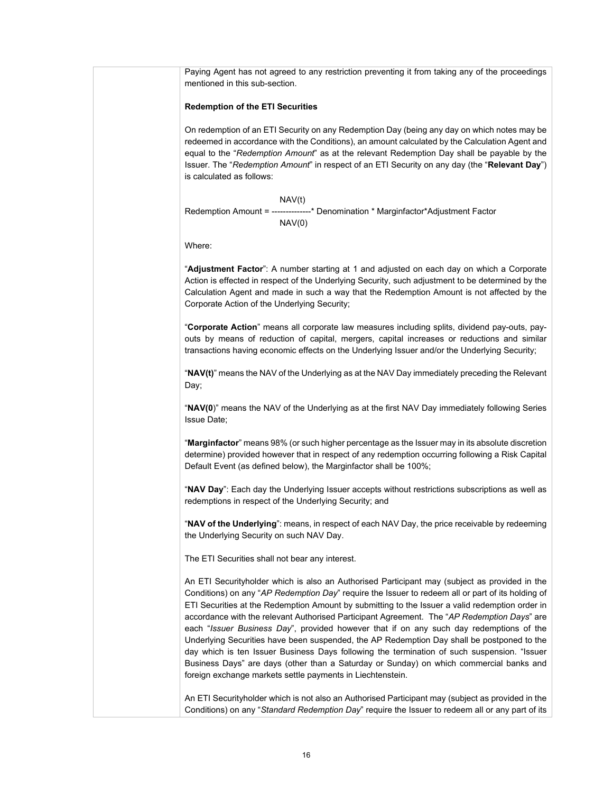Paying Agent has not agreed to any restriction preventing it from taking any of the proceedings mentioned in this sub-section.

#### **Redemption of the ETI Securities**

On redemption of an ETI Security on any Redemption Day (being any day on which notes may be redeemed in accordance with the Conditions), an amount calculated by the Calculation Agent and equal to the "*Redemption Amount*" as at the relevant Redemption Day shall be payable by the Issuer. The "*Redemption Amount*" in respect of an ETI Security on any day (the "**Relevant Day**") is calculated as follows:

NAV(t) Redemption Amount = --------------\* Denomination \* Marginfactor\*Adjustment Factor  $NAV(0)$ 

Where:

"**Adjustment Factor**": A number starting at 1 and adjusted on each day on which a Corporate Action is effected in respect of the Underlying Security, such adjustment to be determined by the Calculation Agent and made in such a way that the Redemption Amount is not affected by the Corporate Action of the Underlying Security;

"**Corporate Action**" means all corporate law measures including splits, dividend pay-outs, payouts by means of reduction of capital, mergers, capital increases or reductions and similar transactions having economic effects on the Underlying Issuer and/or the Underlying Security;

"**NAV(t)**" means the NAV of the Underlying as at the NAV Day immediately preceding the Relevant Day;

"**NAV(0**)" means the NAV of the Underlying as at the first NAV Day immediately following Series Issue Date;

"**Marginfactor**" means 98% (or such higher percentage as the Issuer may in its absolute discretion determine) provided however that in respect of any redemption occurring following a Risk Capital Default Event (as defined below), the Marginfactor shall be 100%;

"**NAV Day**": Each day the Underlying Issuer accepts without restrictions subscriptions as well as redemptions in respect of the Underlying Security; and

"**NAV of the Underlying**": means, in respect of each NAV Day, the price receivable by redeeming the Underlying Security on such NAV Day.

The ETI Securities shall not bear any interest.

An ETI Securityholder which is also an Authorised Participant may (subject as provided in the Conditions) on any "*AP Redemption Day*" require the Issuer to redeem all or part of its holding of ETI Securities at the Redemption Amount by submitting to the Issuer a valid redemption order in accordance with the relevant Authorised Participant Agreement. The "*AP Redemption Days*" are each "*Issuer Business Day*", provided however that if on any such day redemptions of the Underlying Securities have been suspended, the AP Redemption Day shall be postponed to the day which is ten Issuer Business Days following the termination of such suspension. "Issuer Business Days" are days (other than a Saturday or Sunday) on which commercial banks and foreign exchange markets settle payments in Liechtenstein.

An ETI Securityholder which is not also an Authorised Participant may (subject as provided in the Conditions) on any "*Standard Redemption Day*" require the Issuer to redeem all or any part of its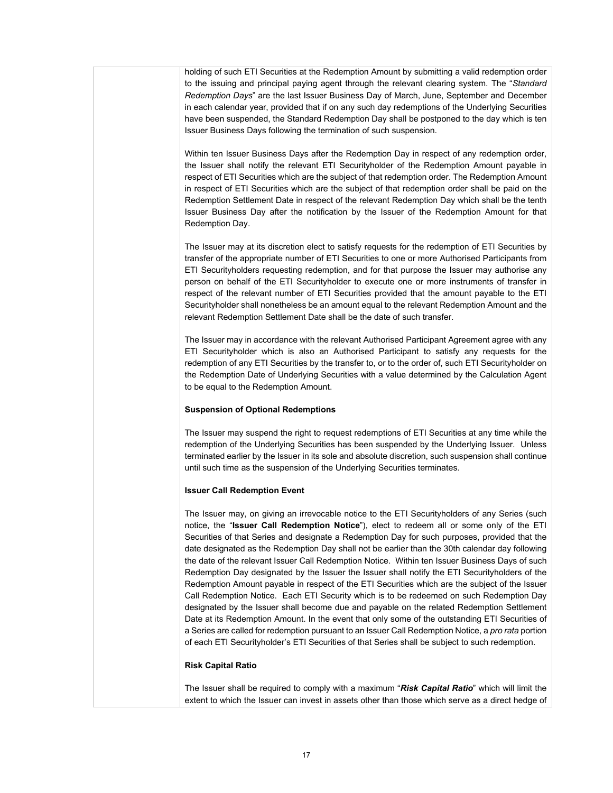holding of such ETI Securities at the Redemption Amount by submitting a valid redemption order to the issuing and principal paying agent through the relevant clearing system. The "*Standard Redemption Days*" are the last Issuer Business Day of March, June, September and December in each calendar year, provided that if on any such day redemptions of the Underlying Securities have been suspended, the Standard Redemption Day shall be postponed to the day which is ten Issuer Business Days following the termination of such suspension.

Within ten Issuer Business Days after the Redemption Day in respect of any redemption order, the Issuer shall notify the relevant ETI Securityholder of the Redemption Amount payable in respect of ETI Securities which are the subject of that redemption order. The Redemption Amount in respect of ETI Securities which are the subject of that redemption order shall be paid on the Redemption Settlement Date in respect of the relevant Redemption Day which shall be the tenth Issuer Business Day after the notification by the Issuer of the Redemption Amount for that Redemption Day.

The Issuer may at its discretion elect to satisfy requests for the redemption of ETI Securities by transfer of the appropriate number of ETI Securities to one or more Authorised Participants from ETI Securityholders requesting redemption, and for that purpose the Issuer may authorise any person on behalf of the ETI Securityholder to execute one or more instruments of transfer in respect of the relevant number of ETI Securities provided that the amount payable to the ETI Securityholder shall nonetheless be an amount equal to the relevant Redemption Amount and the relevant Redemption Settlement Date shall be the date of such transfer.

The Issuer may in accordance with the relevant Authorised Participant Agreement agree with any ETI Securityholder which is also an Authorised Participant to satisfy any requests for the redemption of any ETI Securities by the transfer to, or to the order of, such ETI Securityholder on the Redemption Date of Underlying Securities with a value determined by the Calculation Agent to be equal to the Redemption Amount.

### **Suspension of Optional Redemptions**

The Issuer may suspend the right to request redemptions of ETI Securities at any time while the redemption of the Underlying Securities has been suspended by the Underlying Issuer. Unless terminated earlier by the Issuer in its sole and absolute discretion, such suspension shall continue until such time as the suspension of the Underlying Securities terminates.

#### **Issuer Call Redemption Event**

The Issuer may, on giving an irrevocable notice to the ETI Securityholders of any Series (such notice, the "**Issuer Call Redemption Notice**"), elect to redeem all or some only of the ETI Securities of that Series and designate a Redemption Day for such purposes, provided that the date designated as the Redemption Day shall not be earlier than the 30th calendar day following the date of the relevant Issuer Call Redemption Notice. Within ten Issuer Business Days of such Redemption Day designated by the Issuer the Issuer shall notify the ETI Securityholders of the Redemption Amount payable in respect of the ETI Securities which are the subject of the Issuer Call Redemption Notice. Each ETI Security which is to be redeemed on such Redemption Day designated by the Issuer shall become due and payable on the related Redemption Settlement Date at its Redemption Amount. In the event that only some of the outstanding ETI Securities of a Series are called for redemption pursuant to an Issuer Call Redemption Notice, a *pro rata* portion of each ETI Securityholder's ETI Securities of that Series shall be subject to such redemption.

#### **Risk Capital Ratio**

The Issuer shall be required to comply with a maximum "*Risk Capital Ratio*" which will limit the extent to which the Issuer can invest in assets other than those which serve as a direct hedge of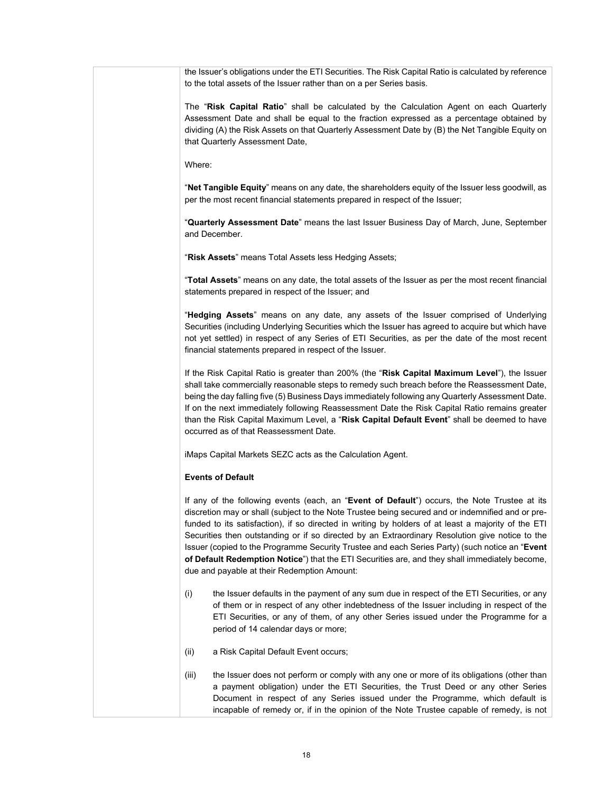| the Issuer's obligations under the ETI Securities. The Risk Capital Ratio is calculated by reference<br>to the total assets of the Issuer rather than on a per Series basis.                                                                                                                                                                                                                                                                                                                                                                                                                                                                                   |
|----------------------------------------------------------------------------------------------------------------------------------------------------------------------------------------------------------------------------------------------------------------------------------------------------------------------------------------------------------------------------------------------------------------------------------------------------------------------------------------------------------------------------------------------------------------------------------------------------------------------------------------------------------------|
| The "Risk Capital Ratio" shall be calculated by the Calculation Agent on each Quarterly<br>Assessment Date and shall be equal to the fraction expressed as a percentage obtained by<br>dividing (A) the Risk Assets on that Quarterly Assessment Date by (B) the Net Tangible Equity on<br>that Quarterly Assessment Date,                                                                                                                                                                                                                                                                                                                                     |
| Where:                                                                                                                                                                                                                                                                                                                                                                                                                                                                                                                                                                                                                                                         |
| "Net Tangible Equity" means on any date, the shareholders equity of the Issuer less goodwill, as<br>per the most recent financial statements prepared in respect of the Issuer;                                                                                                                                                                                                                                                                                                                                                                                                                                                                                |
| "Quarterly Assessment Date" means the last Issuer Business Day of March, June, September<br>and December.                                                                                                                                                                                                                                                                                                                                                                                                                                                                                                                                                      |
| "Risk Assets" means Total Assets less Hedging Assets;                                                                                                                                                                                                                                                                                                                                                                                                                                                                                                                                                                                                          |
| "Total Assets" means on any date, the total assets of the Issuer as per the most recent financial<br>statements prepared in respect of the Issuer; and                                                                                                                                                                                                                                                                                                                                                                                                                                                                                                         |
| "Hedging Assets" means on any date, any assets of the Issuer comprised of Underlying<br>Securities (including Underlying Securities which the Issuer has agreed to acquire but which have<br>not yet settled) in respect of any Series of ETI Securities, as per the date of the most recent<br>financial statements prepared in respect of the Issuer.                                                                                                                                                                                                                                                                                                        |
| If the Risk Capital Ratio is greater than 200% (the "Risk Capital Maximum Level"), the Issuer<br>shall take commercially reasonable steps to remedy such breach before the Reassessment Date,<br>being the day falling five (5) Business Days immediately following any Quarterly Assessment Date.<br>If on the next immediately following Reassessment Date the Risk Capital Ratio remains greater<br>than the Risk Capital Maximum Level, a "Risk Capital Default Event" shall be deemed to have<br>occurred as of that Reassessment Date.                                                                                                                   |
| iMaps Capital Markets SEZC acts as the Calculation Agent.                                                                                                                                                                                                                                                                                                                                                                                                                                                                                                                                                                                                      |
| <b>Events of Default</b>                                                                                                                                                                                                                                                                                                                                                                                                                                                                                                                                                                                                                                       |
| If any of the following events (each, an "Event of Default") occurs, the Note Trustee at its<br>discretion may or shall (subject to the Note Trustee being secured and or indemnified and or pre-<br>funded to its satisfaction), if so directed in writing by holders of at least a majority of the ETI<br>Securities then outstanding or if so directed by an Extraordinary Resolution give notice to the<br>Issuer (copied to the Programme Security Trustee and each Series Party) (such notice an "Event<br>of Default Redemption Notice") that the ETI Securities are, and they shall immediately become,<br>due and payable at their Redemption Amount: |
| the Issuer defaults in the payment of any sum due in respect of the ETI Securities, or any<br>(i)<br>of them or in respect of any other indebtedness of the Issuer including in respect of the<br>ETI Securities, or any of them, of any other Series issued under the Programme for a<br>period of 14 calendar days or more;                                                                                                                                                                                                                                                                                                                                  |
| a Risk Capital Default Event occurs;<br>(ii)                                                                                                                                                                                                                                                                                                                                                                                                                                                                                                                                                                                                                   |
| the Issuer does not perform or comply with any one or more of its obligations (other than<br>(iii)<br>a payment obligation) under the ETI Securities, the Trust Deed or any other Series<br>Document in respect of any Series issued under the Programme, which default is<br>incapable of remedy or, if in the opinion of the Note Trustee capable of remedy, is not                                                                                                                                                                                                                                                                                          |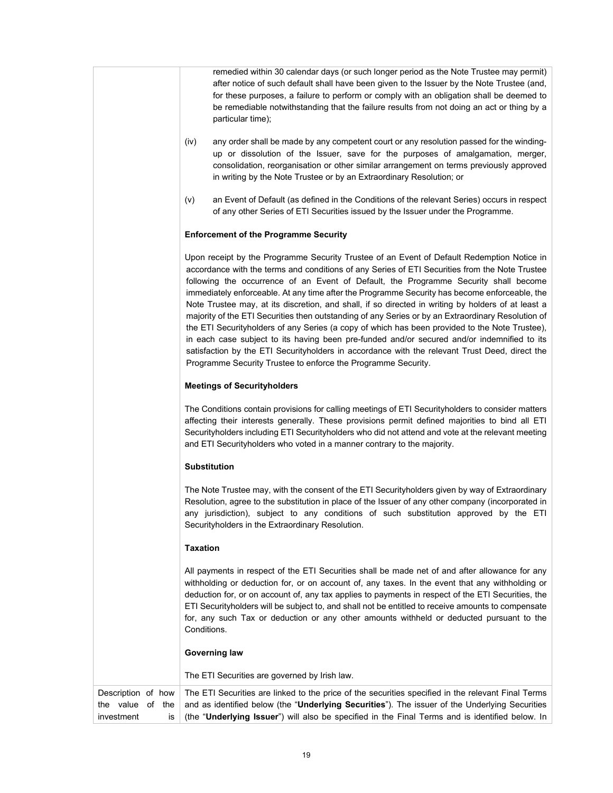remedied within 30 calendar days (or such longer period as the Note Trustee may permit) after notice of such default shall have been given to the Issuer by the Note Trustee (and, for these purposes, a failure to perform or comply with an obligation shall be deemed to be remediable notwithstanding that the failure results from not doing an act or thing by a particular time);

- (iv) any order shall be made by any competent court or any resolution passed for the windingup or dissolution of the Issuer, save for the purposes of amalgamation, merger, consolidation, reorganisation or other similar arrangement on terms previously approved in writing by the Note Trustee or by an Extraordinary Resolution; or
- (v) an Event of Default (as defined in the Conditions of the relevant Series) occurs in respect of any other Series of ETI Securities issued by the Issuer under the Programme.

## **Enforcement of the Programme Security**

Upon receipt by the Programme Security Trustee of an Event of Default Redemption Notice in accordance with the terms and conditions of any Series of ETI Securities from the Note Trustee following the occurrence of an Event of Default, the Programme Security shall become immediately enforceable. At any time after the Programme Security has become enforceable, the Note Trustee may, at its discretion, and shall, if so directed in writing by holders of at least a majority of the ETI Securities then outstanding of any Series or by an Extraordinary Resolution of the ETI Securityholders of any Series (a copy of which has been provided to the Note Trustee), in each case subject to its having been pre-funded and/or secured and/or indemnified to its satisfaction by the ETI Securityholders in accordance with the relevant Trust Deed, direct the Programme Security Trustee to enforce the Programme Security.

### **Meetings of Securityholders**

The Conditions contain provisions for calling meetings of ETI Securityholders to consider matters affecting their interests generally. These provisions permit defined majorities to bind all ETI Securityholders including ETI Securityholders who did not attend and vote at the relevant meeting and ETI Securityholders who voted in a manner contrary to the majority.

### **Substitution**

The Note Trustee may, with the consent of the ETI Securityholders given by way of Extraordinary Resolution, agree to the substitution in place of the Issuer of any other company (incorporated in any jurisdiction), subject to any conditions of such substitution approved by the ETI Securityholders in the Extraordinary Resolution.

### **Taxation**

All payments in respect of the ETI Securities shall be made net of and after allowance for any withholding or deduction for, or on account of, any taxes. In the event that any withholding or deduction for, or on account of, any tax applies to payments in respect of the ETI Securities, the ETI Securityholders will be subject to, and shall not be entitled to receive amounts to compensate for, any such Tax or deduction or any other amounts withheld or deducted pursuant to the Conditions.

### **Governing law**

The ETI Securities are governed by Irish law.

Description of how the value of the investment is The ETI Securities are linked to the price of the securities specified in the relevant Final Terms and as identified below (the "**Underlying Securities**"). The issuer of the Underlying Securities (the "**Underlying Issuer**") will also be specified in the Final Terms and is identified below. In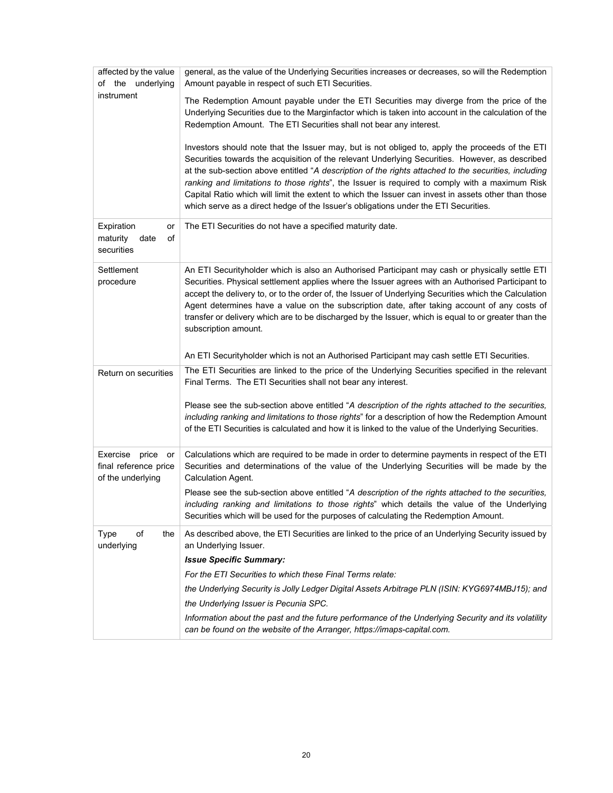| affected by the value<br>of the underlying                      | general, as the value of the Underlying Securities increases or decreases, so will the Redemption<br>Amount payable in respect of such ETI Securities.                                                                                                                                                                                                                                                                                                                                                                                                                                                     |
|-----------------------------------------------------------------|------------------------------------------------------------------------------------------------------------------------------------------------------------------------------------------------------------------------------------------------------------------------------------------------------------------------------------------------------------------------------------------------------------------------------------------------------------------------------------------------------------------------------------------------------------------------------------------------------------|
| instrument                                                      | The Redemption Amount payable under the ETI Securities may diverge from the price of the<br>Underlying Securities due to the Marginfactor which is taken into account in the calculation of the<br>Redemption Amount. The ETI Securities shall not bear any interest.                                                                                                                                                                                                                                                                                                                                      |
|                                                                 | Investors should note that the Issuer may, but is not obliged to, apply the proceeds of the ETI<br>Securities towards the acquisition of the relevant Underlying Securities. However, as described<br>at the sub-section above entitled "A description of the rights attached to the securities, including<br>ranking and limitations to those rights", the Issuer is required to comply with a maximum Risk<br>Capital Ratio which will limit the extent to which the Issuer can invest in assets other than those<br>which serve as a direct hedge of the Issuer's obligations under the ETI Securities. |
| Expiration<br>or<br>maturity<br>of<br>date<br>securities        | The ETI Securities do not have a specified maturity date.                                                                                                                                                                                                                                                                                                                                                                                                                                                                                                                                                  |
| Settlement<br>procedure                                         | An ETI Securityholder which is also an Authorised Participant may cash or physically settle ETI<br>Securities. Physical settlement applies where the Issuer agrees with an Authorised Participant to<br>accept the delivery to, or to the order of, the Issuer of Underlying Securities which the Calculation<br>Agent determines have a value on the subscription date, after taking account of any costs of<br>transfer or delivery which are to be discharged by the Issuer, which is equal to or greater than the<br>subscription amount.                                                              |
|                                                                 | An ETI Securityholder which is not an Authorised Participant may cash settle ETI Securities.                                                                                                                                                                                                                                                                                                                                                                                                                                                                                                               |
| Return on securities                                            | The ETI Securities are linked to the price of the Underlying Securities specified in the relevant<br>Final Terms. The ETI Securities shall not bear any interest.                                                                                                                                                                                                                                                                                                                                                                                                                                          |
|                                                                 | Please see the sub-section above entitled "A description of the rights attached to the securities,<br>including ranking and limitations to those rights" for a description of how the Redemption Amount<br>of the ETI Securities is calculated and how it is linked to the value of the Underlying Securities.                                                                                                                                                                                                                                                                                             |
| Exercise price or<br>final reference price<br>of the underlying | Calculations which are required to be made in order to determine payments in respect of the ETI<br>Securities and determinations of the value of the Underlying Securities will be made by the<br>Calculation Agent.                                                                                                                                                                                                                                                                                                                                                                                       |
|                                                                 | Please see the sub-section above entitled "A description of the rights attached to the securities,<br>including ranking and limitations to those rights" which details the value of the Underlying<br>Securities which will be used for the purposes of calculating the Redemption Amount.                                                                                                                                                                                                                                                                                                                 |
| of<br><b>Type</b><br>the<br>underlying                          | As described above, the ETI Securities are linked to the price of an Underlying Security issued by<br>an Underlying Issuer.                                                                                                                                                                                                                                                                                                                                                                                                                                                                                |
|                                                                 | <b>Issue Specific Summary:</b>                                                                                                                                                                                                                                                                                                                                                                                                                                                                                                                                                                             |
|                                                                 | For the ETI Securities to which these Final Terms relate:                                                                                                                                                                                                                                                                                                                                                                                                                                                                                                                                                  |
|                                                                 | the Underlying Security is Jolly Ledger Digital Assets Arbitrage PLN (ISIN: KYG6974MBJ15); and                                                                                                                                                                                                                                                                                                                                                                                                                                                                                                             |
|                                                                 | the Underlying Issuer is Pecunia SPC.                                                                                                                                                                                                                                                                                                                                                                                                                                                                                                                                                                      |
|                                                                 | Information about the past and the future performance of the Underlying Security and its volatility<br>can be found on the website of the Arranger, https://imaps-capital.com.                                                                                                                                                                                                                                                                                                                                                                                                                             |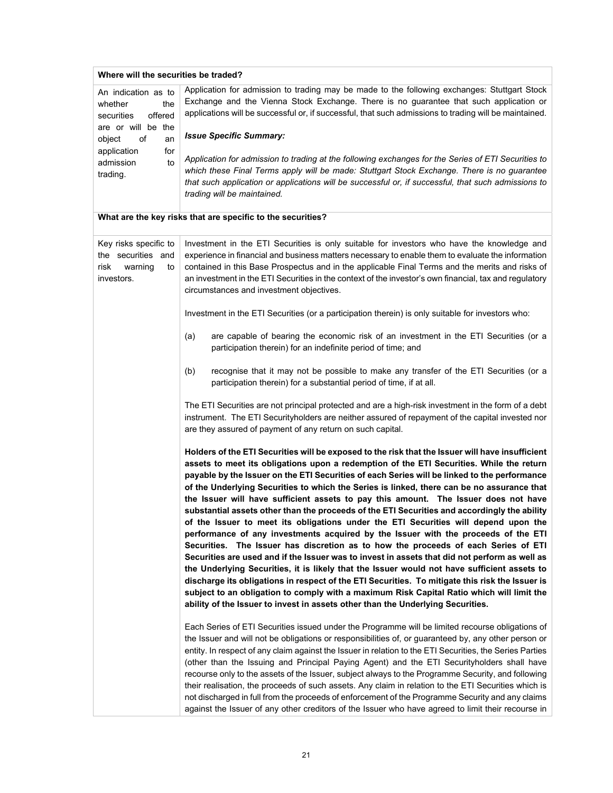| Where will the securities be traded?                                               |                                                                                                                                                                                                                                                                                                                                                                                                                                                                                                                                                                                                                                                                                                                                                                                                                                                                                                                                                                                                                                                                                                                                                                                                                                                                                                                                         |  |
|------------------------------------------------------------------------------------|-----------------------------------------------------------------------------------------------------------------------------------------------------------------------------------------------------------------------------------------------------------------------------------------------------------------------------------------------------------------------------------------------------------------------------------------------------------------------------------------------------------------------------------------------------------------------------------------------------------------------------------------------------------------------------------------------------------------------------------------------------------------------------------------------------------------------------------------------------------------------------------------------------------------------------------------------------------------------------------------------------------------------------------------------------------------------------------------------------------------------------------------------------------------------------------------------------------------------------------------------------------------------------------------------------------------------------------------|--|
| An indication as to<br>whether<br>the<br>securities<br>offered                     | Application for admission to trading may be made to the following exchanges: Stuttgart Stock<br>Exchange and the Vienna Stock Exchange. There is no guarantee that such application or<br>applications will be successful or, if successful, that such admissions to trading will be maintained.                                                                                                                                                                                                                                                                                                                                                                                                                                                                                                                                                                                                                                                                                                                                                                                                                                                                                                                                                                                                                                        |  |
| are or will be the<br>of<br>object<br>an                                           | <b>Issue Specific Summary:</b>                                                                                                                                                                                                                                                                                                                                                                                                                                                                                                                                                                                                                                                                                                                                                                                                                                                                                                                                                                                                                                                                                                                                                                                                                                                                                                          |  |
| application<br>for<br>admission<br>to<br>trading.                                  | Application for admission to trading at the following exchanges for the Series of ETI Securities to<br>which these Final Terms apply will be made: Stuttgart Stock Exchange. There is no guarantee<br>that such application or applications will be successful or, if successful, that such admissions to<br>trading will be maintained.                                                                                                                                                                                                                                                                                                                                                                                                                                                                                                                                                                                                                                                                                                                                                                                                                                                                                                                                                                                                |  |
|                                                                                    | What are the key risks that are specific to the securities?                                                                                                                                                                                                                                                                                                                                                                                                                                                                                                                                                                                                                                                                                                                                                                                                                                                                                                                                                                                                                                                                                                                                                                                                                                                                             |  |
| Key risks specific to<br>the securities and<br>risk<br>warning<br>to<br>investors. | Investment in the ETI Securities is only suitable for investors who have the knowledge and<br>experience in financial and business matters necessary to enable them to evaluate the information<br>contained in this Base Prospectus and in the applicable Final Terms and the merits and risks of<br>an investment in the ETI Securities in the context of the investor's own financial, tax and regulatory<br>circumstances and investment objectives.                                                                                                                                                                                                                                                                                                                                                                                                                                                                                                                                                                                                                                                                                                                                                                                                                                                                                |  |
|                                                                                    | Investment in the ETI Securities (or a participation therein) is only suitable for investors who:                                                                                                                                                                                                                                                                                                                                                                                                                                                                                                                                                                                                                                                                                                                                                                                                                                                                                                                                                                                                                                                                                                                                                                                                                                       |  |
|                                                                                    | are capable of bearing the economic risk of an investment in the ETI Securities (or a<br>(a)<br>participation therein) for an indefinite period of time; and                                                                                                                                                                                                                                                                                                                                                                                                                                                                                                                                                                                                                                                                                                                                                                                                                                                                                                                                                                                                                                                                                                                                                                            |  |
|                                                                                    | (b)<br>recognise that it may not be possible to make any transfer of the ETI Securities (or a<br>participation therein) for a substantial period of time, if at all.                                                                                                                                                                                                                                                                                                                                                                                                                                                                                                                                                                                                                                                                                                                                                                                                                                                                                                                                                                                                                                                                                                                                                                    |  |
|                                                                                    | The ETI Securities are not principal protected and are a high-risk investment in the form of a debt<br>instrument. The ETI Securityholders are neither assured of repayment of the capital invested nor<br>are they assured of payment of any return on such capital.                                                                                                                                                                                                                                                                                                                                                                                                                                                                                                                                                                                                                                                                                                                                                                                                                                                                                                                                                                                                                                                                   |  |
|                                                                                    | Holders of the ETI Securities will be exposed to the risk that the Issuer will have insufficient<br>assets to meet its obligations upon a redemption of the ETI Securities. While the return<br>payable by the Issuer on the ETI Securities of each Series will be linked to the performance<br>of the Underlying Securities to which the Series is linked, there can be no assurance that<br>the Issuer will have sufficient assets to pay this amount. The Issuer does not have<br>substantial assets other than the proceeds of the ETI Securities and accordingly the ability<br>of the Issuer to meet its obligations under the ETI Securities will depend upon the<br>performance of any investments acquired by the Issuer with the proceeds of the ETI<br>Securities. The Issuer has discretion as to how the proceeds of each Series of ETI<br>Securities are used and if the Issuer was to invest in assets that did not perform as well as<br>the Underlying Securities, it is likely that the Issuer would not have sufficient assets to<br>discharge its obligations in respect of the ETI Securities. To mitigate this risk the Issuer is<br>subject to an obligation to comply with a maximum Risk Capital Ratio which will limit the<br>ability of the Issuer to invest in assets other than the Underlying Securities. |  |
|                                                                                    | Each Series of ETI Securities issued under the Programme will be limited recourse obligations of<br>the Issuer and will not be obligations or responsibilities of, or guaranteed by, any other person or<br>entity. In respect of any claim against the Issuer in relation to the ETI Securities, the Series Parties<br>(other than the Issuing and Principal Paying Agent) and the ETI Securityholders shall have<br>recourse only to the assets of the Issuer, subject always to the Programme Security, and following<br>their realisation, the proceeds of such assets. Any claim in relation to the ETI Securities which is<br>not discharged in full from the proceeds of enforcement of the Programme Security and any claims<br>against the Issuer of any other creditors of the Issuer who have agreed to limit their recourse in                                                                                                                                                                                                                                                                                                                                                                                                                                                                                              |  |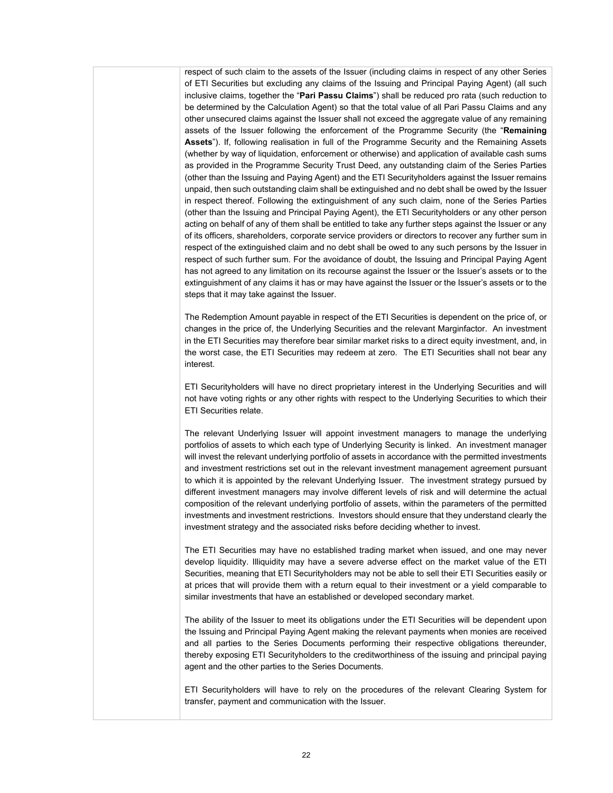respect of such claim to the assets of the Issuer (including claims in respect of any other Series of ETI Securities but excluding any claims of the Issuing and Principal Paying Agent) (all such inclusive claims, together the "**Pari Passu Claims**") shall be reduced pro rata (such reduction to be determined by the Calculation Agent) so that the total value of all Pari Passu Claims and any other unsecured claims against the Issuer shall not exceed the aggregate value of any remaining assets of the Issuer following the enforcement of the Programme Security (the "**Remaining Assets**"). If, following realisation in full of the Programme Security and the Remaining Assets (whether by way of liquidation, enforcement or otherwise) and application of available cash sums as provided in the Programme Security Trust Deed, any outstanding claim of the Series Parties (other than the Issuing and Paying Agent) and the ETI Securityholders against the Issuer remains unpaid, then such outstanding claim shall be extinguished and no debt shall be owed by the Issuer in respect thereof. Following the extinguishment of any such claim, none of the Series Parties (other than the Issuing and Principal Paying Agent), the ETI Securityholders or any other person acting on behalf of any of them shall be entitled to take any further steps against the Issuer or any of its officers, shareholders, corporate service providers or directors to recover any further sum in respect of the extinguished claim and no debt shall be owed to any such persons by the Issuer in respect of such further sum. For the avoidance of doubt, the Issuing and Principal Paying Agent has not agreed to any limitation on its recourse against the Issuer or the Issuer's assets or to the extinguishment of any claims it has or may have against the Issuer or the Issuer's assets or to the steps that it may take against the Issuer.

The Redemption Amount payable in respect of the ETI Securities is dependent on the price of, or changes in the price of, the Underlying Securities and the relevant Marginfactor. An investment in the ETI Securities may therefore bear similar market risks to a direct equity investment, and, in the worst case, the ETI Securities may redeem at zero. The ETI Securities shall not bear any interest.

ETI Securityholders will have no direct proprietary interest in the Underlying Securities and will not have voting rights or any other rights with respect to the Underlying Securities to which their ETI Securities relate.

The relevant Underlying Issuer will appoint investment managers to manage the underlying portfolios of assets to which each type of Underlying Security is linked. An investment manager will invest the relevant underlying portfolio of assets in accordance with the permitted investments and investment restrictions set out in the relevant investment management agreement pursuant to which it is appointed by the relevant Underlying Issuer. The investment strategy pursued by different investment managers may involve different levels of risk and will determine the actual composition of the relevant underlying portfolio of assets, within the parameters of the permitted investments and investment restrictions. Investors should ensure that they understand clearly the investment strategy and the associated risks before deciding whether to invest.

The ETI Securities may have no established trading market when issued, and one may never develop liquidity. Illiquidity may have a severe adverse effect on the market value of the ETI Securities, meaning that ETI Securityholders may not be able to sell their ETI Securities easily or at prices that will provide them with a return equal to their investment or a yield comparable to similar investments that have an established or developed secondary market.

The ability of the Issuer to meet its obligations under the ETI Securities will be dependent upon the Issuing and Principal Paying Agent making the relevant payments when monies are received and all parties to the Series Documents performing their respective obligations thereunder, thereby exposing ETI Securityholders to the creditworthiness of the issuing and principal paying agent and the other parties to the Series Documents.

ETI Securityholders will have to rely on the procedures of the relevant Clearing System for transfer, payment and communication with the Issuer.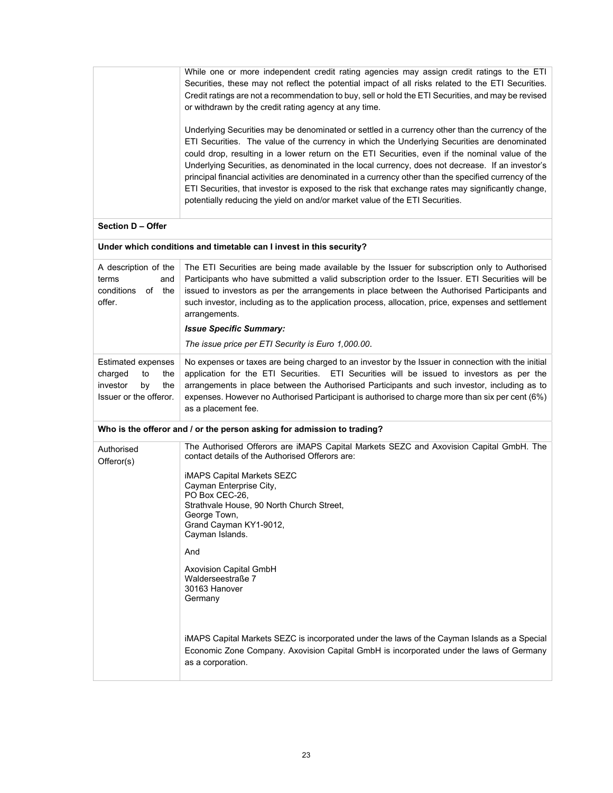|                                                                                                      | While one or more independent credit rating agencies may assign credit ratings to the ETI<br>Securities, these may not reflect the potential impact of all risks related to the ETI Securities.<br>Credit ratings are not a recommendation to buy, sell or hold the ETI Securities, and may be revised<br>or withdrawn by the credit rating agency at any time.<br>Underlying Securities may be denominated or settled in a currency other than the currency of the<br>ETI Securities. The value of the currency in which the Underlying Securities are denominated<br>could drop, resulting in a lower return on the ETI Securities, even if the nominal value of the<br>Underlying Securities, as denominated in the local currency, does not decrease. If an investor's<br>principal financial activities are denominated in a currency other than the specified currency of the<br>ETI Securities, that investor is exposed to the risk that exchange rates may significantly change, |
|------------------------------------------------------------------------------------------------------|-------------------------------------------------------------------------------------------------------------------------------------------------------------------------------------------------------------------------------------------------------------------------------------------------------------------------------------------------------------------------------------------------------------------------------------------------------------------------------------------------------------------------------------------------------------------------------------------------------------------------------------------------------------------------------------------------------------------------------------------------------------------------------------------------------------------------------------------------------------------------------------------------------------------------------------------------------------------------------------------|
|                                                                                                      | potentially reducing the yield on and/or market value of the ETI Securities.                                                                                                                                                                                                                                                                                                                                                                                                                                                                                                                                                                                                                                                                                                                                                                                                                                                                                                              |
| Section D - Offer                                                                                    |                                                                                                                                                                                                                                                                                                                                                                                                                                                                                                                                                                                                                                                                                                                                                                                                                                                                                                                                                                                           |
|                                                                                                      | Under which conditions and timetable can I invest in this security?                                                                                                                                                                                                                                                                                                                                                                                                                                                                                                                                                                                                                                                                                                                                                                                                                                                                                                                       |
| A description of the<br>terms<br>and<br>conditions<br>of the<br>offer.                               | The ETI Securities are being made available by the Issuer for subscription only to Authorised<br>Participants who have submitted a valid subscription order to the Issuer. ETI Securities will be<br>issued to investors as per the arrangements in place between the Authorised Participants and<br>such investor, including as to the application process, allocation, price, expenses and settlement<br>arrangements.<br><b>Issue Specific Summary:</b><br>The issue price per ETI Security is Euro 1,000.00.                                                                                                                                                                                                                                                                                                                                                                                                                                                                          |
|                                                                                                      |                                                                                                                                                                                                                                                                                                                                                                                                                                                                                                                                                                                                                                                                                                                                                                                                                                                                                                                                                                                           |
| <b>Estimated expenses</b><br>charged<br>to<br>the<br>investor<br>by<br>the<br>Issuer or the offeror. | No expenses or taxes are being charged to an investor by the Issuer in connection with the initial<br>application for the ETI Securities. ETI Securities will be issued to investors as per the<br>arrangements in place between the Authorised Participants and such investor, including as to<br>expenses. However no Authorised Participant is authorised to charge more than six per cent (6%)<br>as a placement fee.                                                                                                                                                                                                                                                                                                                                                                                                                                                                                                                                                                 |
|                                                                                                      | Who is the offeror and / or the person asking for admission to trading?                                                                                                                                                                                                                                                                                                                                                                                                                                                                                                                                                                                                                                                                                                                                                                                                                                                                                                                   |
| Authorised<br>Offeror(s)                                                                             | The Authorised Offerors are iMAPS Capital Markets SEZC and Axovision Capital GmbH. The<br>contact details of the Authorised Offerors are:<br><b>iMAPS Capital Markets SEZC</b><br>Cayman Enterprise City,<br>PO Box CEC-26,<br>Strathvale House, 90 North Church Street,<br>George Town,<br>Grand Cayman KY1-9012,<br>Cayman Islands.                                                                                                                                                                                                                                                                                                                                                                                                                                                                                                                                                                                                                                                     |
|                                                                                                      | And                                                                                                                                                                                                                                                                                                                                                                                                                                                                                                                                                                                                                                                                                                                                                                                                                                                                                                                                                                                       |
|                                                                                                      | <b>Axovision Capital GmbH</b><br>Walderseestraße 7<br>30163 Hanover<br>Germany                                                                                                                                                                                                                                                                                                                                                                                                                                                                                                                                                                                                                                                                                                                                                                                                                                                                                                            |
|                                                                                                      | iMAPS Capital Markets SEZC is incorporated under the laws of the Cayman Islands as a Special<br>Economic Zone Company. Axovision Capital GmbH is incorporated under the laws of Germany<br>as a corporation.                                                                                                                                                                                                                                                                                                                                                                                                                                                                                                                                                                                                                                                                                                                                                                              |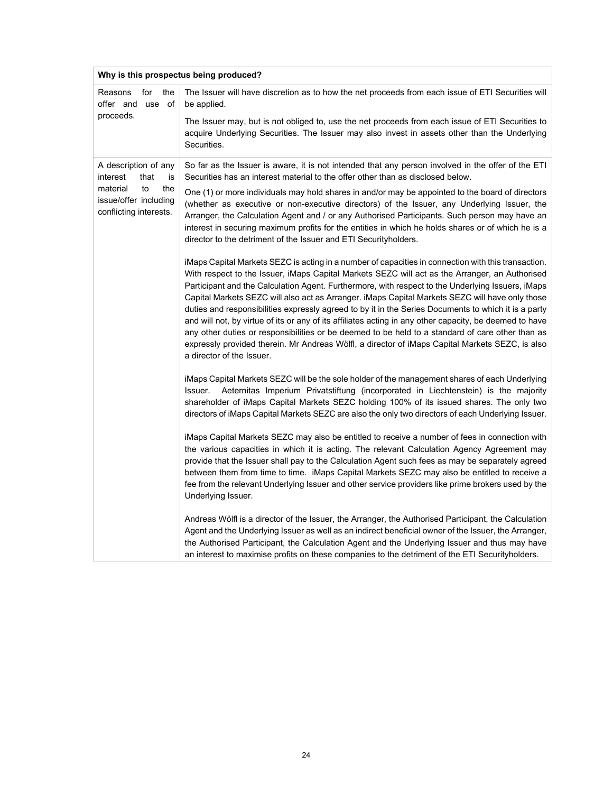| Why is this prospectus being produced?                                   |                                                                                                                                                                                                                                                                                                                                                                                                                                                                                                                                                                                                                                                                                                                                                                                                                                                                      |
|--------------------------------------------------------------------------|----------------------------------------------------------------------------------------------------------------------------------------------------------------------------------------------------------------------------------------------------------------------------------------------------------------------------------------------------------------------------------------------------------------------------------------------------------------------------------------------------------------------------------------------------------------------------------------------------------------------------------------------------------------------------------------------------------------------------------------------------------------------------------------------------------------------------------------------------------------------|
| Reasons<br>for<br>the<br>offer and use of                                | The Issuer will have discretion as to how the net proceeds from each issue of ETI Securities will<br>be applied.                                                                                                                                                                                                                                                                                                                                                                                                                                                                                                                                                                                                                                                                                                                                                     |
| proceeds.                                                                | The Issuer may, but is not obliged to, use the net proceeds from each issue of ETI Securities to<br>acquire Underlying Securities. The Issuer may also invest in assets other than the Underlying<br>Securities.                                                                                                                                                                                                                                                                                                                                                                                                                                                                                                                                                                                                                                                     |
| A description of any<br>interest<br>that<br>İS                           | So far as the Issuer is aware, it is not intended that any person involved in the offer of the ETI<br>Securities has an interest material to the offer other than as disclosed below.                                                                                                                                                                                                                                                                                                                                                                                                                                                                                                                                                                                                                                                                                |
| material<br>to<br>the<br>issue/offer including<br>conflicting interests. | One (1) or more individuals may hold shares in and/or may be appointed to the board of directors<br>(whether as executive or non-executive directors) of the Issuer, any Underlying Issuer, the<br>Arranger, the Calculation Agent and / or any Authorised Participants. Such person may have an<br>interest in securing maximum profits for the entities in which he holds shares or of which he is a<br>director to the detriment of the Issuer and ETI Securityholders.                                                                                                                                                                                                                                                                                                                                                                                           |
|                                                                          | iMaps Capital Markets SEZC is acting in a number of capacities in connection with this transaction.<br>With respect to the Issuer, iMaps Capital Markets SEZC will act as the Arranger, an Authorised<br>Participant and the Calculation Agent. Furthermore, with respect to the Underlying Issuers, iMaps<br>Capital Markets SEZC will also act as Arranger. iMaps Capital Markets SEZC will have only those<br>duties and responsibilities expressly agreed to by it in the Series Documents to which it is a party<br>and will not, by virtue of its or any of its affiliates acting in any other capacity, be deemed to have<br>any other duties or responsibilities or be deemed to be held to a standard of care other than as<br>expressly provided therein. Mr Andreas Wölfl, a director of iMaps Capital Markets SEZC, is also<br>a director of the Issuer. |
|                                                                          | iMaps Capital Markets SEZC will be the sole holder of the management shares of each Underlying<br>Aeternitas Imperium Privatstiftung (incorporated in Liechtenstein) is the majority<br>Issuer.<br>shareholder of iMaps Capital Markets SEZC holding 100% of its issued shares. The only two<br>directors of iMaps Capital Markets SEZC are also the only two directors of each Underlying Issuer.                                                                                                                                                                                                                                                                                                                                                                                                                                                                   |
|                                                                          | iMaps Capital Markets SEZC may also be entitled to receive a number of fees in connection with<br>the various capacities in which it is acting. The relevant Calculation Agency Agreement may<br>provide that the Issuer shall pay to the Calculation Agent such fees as may be separately agreed<br>between them from time to time. iMaps Capital Markets SEZC may also be entitled to receive a<br>fee from the relevant Underlying Issuer and other service providers like prime brokers used by the<br>Underlying Issuer.                                                                                                                                                                                                                                                                                                                                        |
|                                                                          | Andreas Wölfl is a director of the Issuer, the Arranger, the Authorised Participant, the Calculation<br>Agent and the Underlying Issuer as well as an indirect beneficial owner of the Issuer, the Arranger,<br>the Authorised Participant, the Calculation Agent and the Underlying Issuer and thus may have<br>an interest to maximise profits on these companies to the detriment of the ETI Securityholders.                                                                                                                                                                                                                                                                                                                                                                                                                                                     |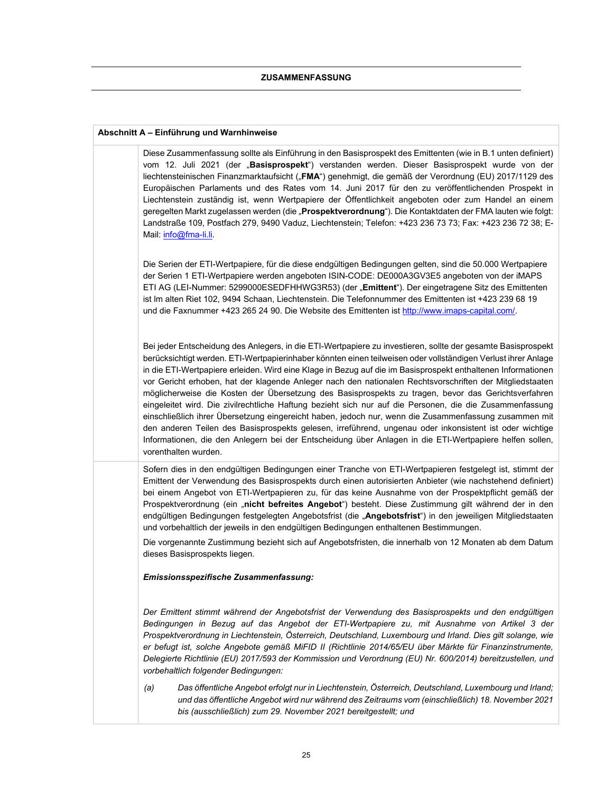#### **Abschnitt A – Einführung und Warnhinweise**

Diese Zusammenfassung sollte als Einführung in den Basisprospekt des Emittenten (wie in B.1 unten definiert) vom 12. Juli 2021 (der "**Basisprospekt**") verstanden werden. Dieser Basisprospekt wurde von der liechtensteinischen Finanzmarktaufsicht ("FMA") genehmigt, die gemäß der Verordnung (EU) 2017/1129 des Europäischen Parlaments und des Rates vom 14. Juni 2017 für den zu veröffentlichenden Prospekt in Liechtenstein zuständig ist, wenn Wertpapiere der Öffentlichkeit angeboten oder zum Handel an einem geregelten Markt zugelassen werden (die "Prospektverordnung"). Die Kontaktdaten der FMA lauten wie folgt: Landstraße 109, Postfach 279, 9490 Vaduz, Liechtenstein; Telefon: +423 236 73 73; Fax: +423 236 72 38; E-Mail: info@fma-li.li. Die Serien der ETI-Wertpapiere, für die diese endgültigen Bedingungen gelten, sind die 50.000 Wertpapiere der Serien 1 ETI-Wertpapiere werden angeboten ISIN-CODE: DE000A3GV3E5 angeboten von der iMAPS ETI AG (LEI-Nummer: 5299000ESEDFHHWG3R53) (der "**Emittent**"). Der eingetragene Sitz des Emittenten ist lm alten Riet 102, 9494 Schaan, Liechtenstein. Die Telefonnummer des Emittenten ist +423 239 68 19 und die Faxnummer +423 265 24 90. Die Website des Emittenten ist http://www.imaps-capital.com/.

Bei jeder Entscheidung des Anlegers, in die ETI-Wertpapiere zu investieren, sollte der gesamte Basisprospekt berücksichtigt werden. ETI-Wertpapierinhaber könnten einen teilweisen oder vollständigen Verlust ihrer Anlage in die ETI-Wertpapiere erleiden. Wird eine Klage in Bezug auf die im Basisprospekt enthaltenen Informationen vor Gericht erhoben, hat der klagende Anleger nach den nationalen Rechtsvorschriften der Mitgliedstaaten möglicherweise die Kosten der Übersetzung des Basisprospekts zu tragen, bevor das Gerichtsverfahren eingeleitet wird. Die zivilrechtliche Haftung bezieht sich nur auf die Personen, die die Zusammenfassung einschließlich ihrer Übersetzung eingereicht haben, jedoch nur, wenn die Zusammenfassung zusammen mit den anderen Teilen des Basisprospekts gelesen, irreführend, ungenau oder inkonsistent ist oder wichtige Informationen, die den Anlegern bei der Entscheidung über Anlagen in die ETI-Wertpapiere helfen sollen, vorenthalten wurden.

Sofern dies in den endgültigen Bedingungen einer Tranche von ETI-Wertpapieren festgelegt ist, stimmt der Emittent der Verwendung des Basisprospekts durch einen autorisierten Anbieter (wie nachstehend definiert) bei einem Angebot von ETI-Wertpapieren zu, für das keine Ausnahme von der Prospektpflicht gemäß der Prospektverordnung (ein "nicht befreites Angebot") besteht. Diese Zustimmung gilt während der in den endgültigen Bedingungen festgelegten Angebotsfrist (die "**Angebotsfrist**") in den jeweiligen Mitgliedstaaten und vorbehaltlich der jeweils in den endgültigen Bedingungen enthaltenen Bestimmungen.

Die vorgenannte Zustimmung bezieht sich auf Angebotsfristen, die innerhalb von 12 Monaten ab dem Datum dieses Basisprospekts liegen.

#### *Emissionsspezifische Zusammenfassung:*

*Der Emittent stimmt während der Angebotsfrist der Verwendung des Basisprospekts und den endgültigen Bedingungen in Bezug auf das Angebot der ETI-Wertpapiere zu, mit Ausnahme von Artikel 3 der Prospektverordnung in Liechtenstein, Österreich, Deutschland, Luxembourg und Irland. Dies gilt solange, wie er befugt ist, solche Angebote gemäß MiFID II (Richtlinie 2014/65/EU über Märkte für Finanzinstrumente, Delegierte Richtlinie (EU) 2017/593 der Kommission und Verordnung (EU) Nr. 600/2014) bereitzustellen, und vorbehaltlich folgender Bedingungen:* 

*(a) Das öffentliche Angebot erfolgt nur in Liechtenstein, Österreich, Deutschland, Luxembourg und Irland; und das öffentliche Angebot wird nur während des Zeitraums vom (einschließlich) 18. November 2021 bis (ausschließlich) zum 29. November 2021 bereitgestellt; und*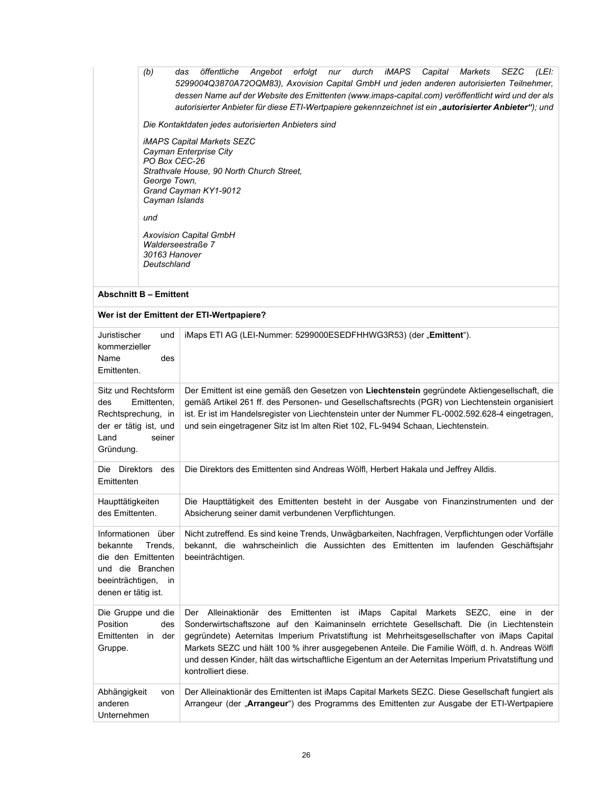| (b)                                                                                                                                  | öffentliche Angebot erfolgt nur durch iMAPS<br>das<br>Capital Markets<br>SEZC<br>(LEI:<br>5299004Q3870A72OQM83), Axovision Capital GmbH und jeden anderen autorisierten Teilnehmer,<br>dessen Name auf der Website des Emittenten (www.imaps-capital.com) veröffentlicht wird und der als<br>autorisierter Anbieter für diese ETI-Wertpapiere gekennzeichnet ist ein "autorisierter Anbieter"); und                                                                                                             |
|--------------------------------------------------------------------------------------------------------------------------------------|-----------------------------------------------------------------------------------------------------------------------------------------------------------------------------------------------------------------------------------------------------------------------------------------------------------------------------------------------------------------------------------------------------------------------------------------------------------------------------------------------------------------|
| PO Box CEC-26<br>George Town,<br>Cayman Islands<br>und<br>30163 Hanover<br>Deutschland<br><b>Abschnitt B - Emittent</b>              | Die Kontaktdaten jedes autorisierten Anbieters sind<br><b>iMAPS Capital Markets SEZC</b><br>Cayman Enterprise City<br>Strathvale House, 90 North Church Street,<br>Grand Cayman KY1-9012<br><b>Axovision Capital GmbH</b><br>Walderseestraße 7<br>Wer ist der Emittent der ETI-Wertpapiere?                                                                                                                                                                                                                     |
| Juristischer<br>und<br>kommerzieller<br>Name<br>des<br>Emittenten.                                                                   | iMaps ETI AG (LEI-Nummer: 5299000ESEDFHHWG3R53) (der "Emittent").                                                                                                                                                                                                                                                                                                                                                                                                                                               |
| Sitz und Rechtsform<br>des<br>Emittenten,<br>Rechtsprechung, in<br>der er tätig ist, und<br>Land<br>seiner<br>Gründung.              | Der Emittent ist eine gemäß den Gesetzen von Liechtenstein gegründete Aktiengesellschaft, die<br>gemäß Artikel 261 ff. des Personen- und Gesellschaftsrechts (PGR) von Liechtenstein organisiert<br>ist. Er ist im Handelsregister von Liechtenstein unter der Nummer FL-0002.592.628-4 eingetragen,<br>und sein eingetragener Sitz ist Im alten Riet 102, FL-9494 Schaan, Liechtenstein.                                                                                                                       |
| Die Direktors des<br>Emittenten                                                                                                      | Die Direktors des Emittenten sind Andreas Wölfl, Herbert Hakala und Jeffrey Alldis.                                                                                                                                                                                                                                                                                                                                                                                                                             |
| Haupttätigkeiten<br>des Emittenten.                                                                                                  | Die Haupttätigkeit des Emittenten besteht in der Ausgabe von Finanzinstrumenten und der<br>Absicherung seiner damit verbundenen Verpflichtungen.                                                                                                                                                                                                                                                                                                                                                                |
| Informationen über<br>bekannte<br>Trends,<br>die den Emittenten<br>und die Branchen<br>beeinträchtigen,<br>in<br>denen er tätig ist. | Nicht zutreffend. Es sind keine Trends, Unwägbarkeiten, Nachfragen, Verpflichtungen oder Vorfälle<br>bekannt, die wahrscheinlich die Aussichten des Emittenten im laufenden Geschäftsjahr<br>beeinträchtigen.                                                                                                                                                                                                                                                                                                   |
| Die Gruppe und die<br>Position<br>des<br>Emittenten<br>in der<br>Gruppe.                                                             | Alleinaktionär des Emittenten ist iMaps Capital<br>Markets SEZC, eine in der<br>Der<br>Sonderwirtschaftszone auf den Kaimaninseln errichtete Gesellschaft. Die (in Liechtenstein<br>gegründete) Aeternitas Imperium Privatstiftung ist Mehrheitsgesellschafter von iMaps Capital<br>Markets SEZC und hält 100 % ihrer ausgegebenen Anteile. Die Familie Wölfl, d. h. Andreas Wölfl<br>und dessen Kinder, hält das wirtschaftliche Eigentum an der Aeternitas Imperium Privatstiftung und<br>kontrolliert diese. |
| Abhängigkeit<br>von<br>anderen                                                                                                       | Der Alleinaktionär des Emittenten ist iMaps Capital Markets SEZC. Diese Gesellschaft fungiert als<br>Arrangeur (der "Arrangeur") des Programms des Emittenten zur Ausgabe der ETI-Wertpapiere                                                                                                                                                                                                                                                                                                                   |

Unternehmen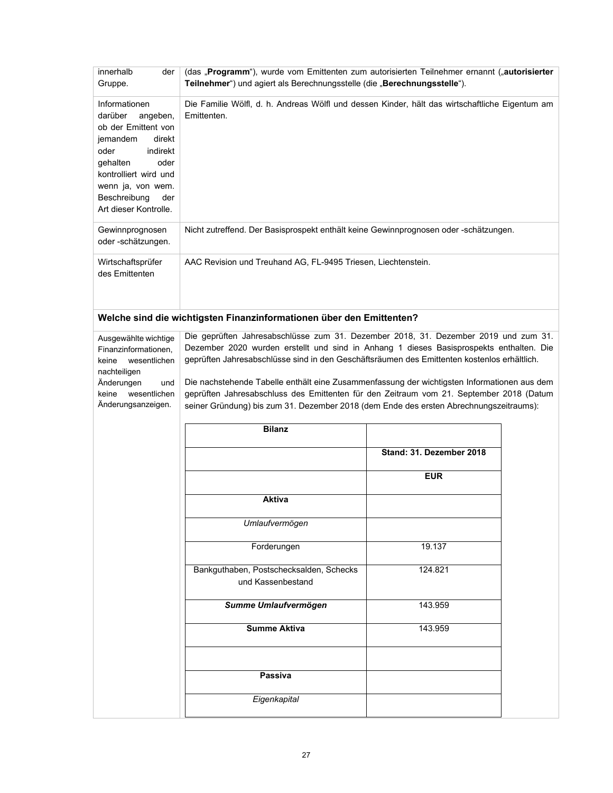| innerhalb<br>der<br>Gruppe.                                                                                                                                                                                             | (das "Programm"), wurde vom Emittenten zum autorisierten Teilnehmer ernannt ("autorisierter<br>Teilnehmer") und agiert als Berechnungsstelle (die "Berechnungsstelle").                                                                                                                                                                                                                                                                                                                                                                                           |                          |  |
|-------------------------------------------------------------------------------------------------------------------------------------------------------------------------------------------------------------------------|-------------------------------------------------------------------------------------------------------------------------------------------------------------------------------------------------------------------------------------------------------------------------------------------------------------------------------------------------------------------------------------------------------------------------------------------------------------------------------------------------------------------------------------------------------------------|--------------------------|--|
| Informationen<br>darüber<br>angeben,<br>ob der Emittent von<br>jemandem<br>direkt<br>indirekt<br>oder<br>oder<br>gehalten<br>kontrolliert wird und<br>wenn ja, von wem.<br>Beschreibung<br>der<br>Art dieser Kontrolle. | Die Familie Wölfl, d. h. Andreas Wölfl und dessen Kinder, hält das wirtschaftliche Eigentum am<br>Emittenten.                                                                                                                                                                                                                                                                                                                                                                                                                                                     |                          |  |
| Gewinnprognosen<br>oder-schätzungen.                                                                                                                                                                                    | Nicht zutreffend. Der Basisprospekt enthält keine Gewinnprognosen oder -schätzungen.                                                                                                                                                                                                                                                                                                                                                                                                                                                                              |                          |  |
| Wirtschaftsprüfer<br>des Emittenten                                                                                                                                                                                     | AAC Revision und Treuhand AG, FL-9495 Triesen, Liechtenstein.                                                                                                                                                                                                                                                                                                                                                                                                                                                                                                     |                          |  |
|                                                                                                                                                                                                                         | Welche sind die wichtigsten Finanzinformationen über den Emittenten?                                                                                                                                                                                                                                                                                                                                                                                                                                                                                              |                          |  |
| Ausgewählte wichtige<br>Finanzinformationen,<br>wesentlichen<br>keine<br>nachteiligen<br>Änderungen<br>und<br>wesentlichen<br>keine<br>Änderungsanzeigen.                                                               | Die geprüften Jahresabschlüsse zum 31. Dezember 2018, 31. Dezember 2019 und zum 31.<br>Dezember 2020 wurden erstellt und sind in Anhang 1 dieses Basisprospekts enthalten. Die<br>geprüften Jahresabschlüsse sind in den Geschäftsräumen des Emittenten kostenlos erhältlich.<br>Die nachstehende Tabelle enthält eine Zusammenfassung der wichtigsten Informationen aus dem<br>geprüften Jahresabschluss des Emittenten für den Zeitraum vom 21. September 2018 (Datum<br>seiner Gründung) bis zum 31. Dezember 2018 (dem Ende des ersten Abrechnungszeitraums): |                          |  |
|                                                                                                                                                                                                                         | <b>Bilanz</b>                                                                                                                                                                                                                                                                                                                                                                                                                                                                                                                                                     |                          |  |
|                                                                                                                                                                                                                         |                                                                                                                                                                                                                                                                                                                                                                                                                                                                                                                                                                   | Stand: 31. Dezember 2018 |  |
|                                                                                                                                                                                                                         |                                                                                                                                                                                                                                                                                                                                                                                                                                                                                                                                                                   | <b>EUR</b>               |  |
|                                                                                                                                                                                                                         | <b>Aktiva</b>                                                                                                                                                                                                                                                                                                                                                                                                                                                                                                                                                     |                          |  |
|                                                                                                                                                                                                                         | Umlaufvermögen                                                                                                                                                                                                                                                                                                                                                                                                                                                                                                                                                    |                          |  |
|                                                                                                                                                                                                                         | Forderungen                                                                                                                                                                                                                                                                                                                                                                                                                                                                                                                                                       | 19.137                   |  |
|                                                                                                                                                                                                                         | Bankguthaben, Postschecksalden, Schecks<br>und Kassenbestand                                                                                                                                                                                                                                                                                                                                                                                                                                                                                                      | 124.821                  |  |
|                                                                                                                                                                                                                         | Summe Umlaufvermögen                                                                                                                                                                                                                                                                                                                                                                                                                                                                                                                                              | 143.959                  |  |
|                                                                                                                                                                                                                         | <b>Summe Aktiva</b>                                                                                                                                                                                                                                                                                                                                                                                                                                                                                                                                               | 143.959                  |  |
|                                                                                                                                                                                                                         | Passiva                                                                                                                                                                                                                                                                                                                                                                                                                                                                                                                                                           |                          |  |
|                                                                                                                                                                                                                         | Eigenkapital                                                                                                                                                                                                                                                                                                                                                                                                                                                                                                                                                      |                          |  |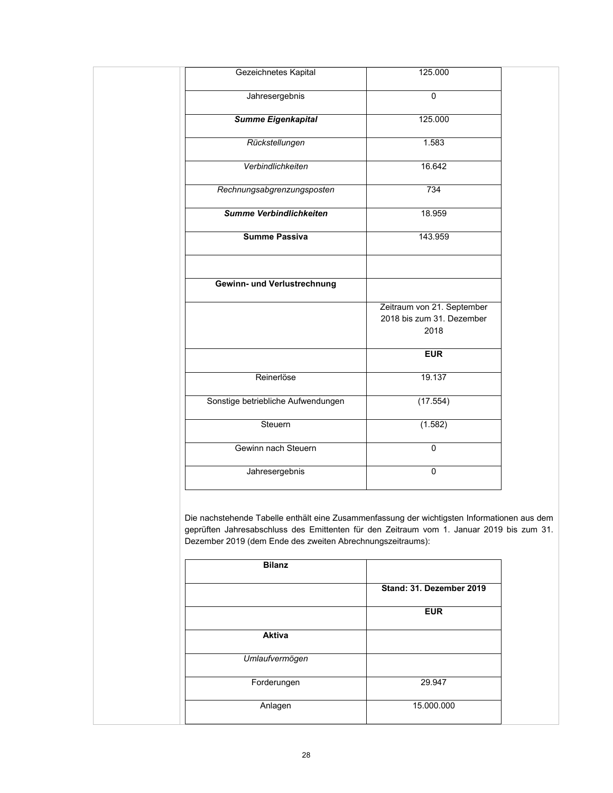| Gezeichnetes Kapital               | 125.000                                                         |
|------------------------------------|-----------------------------------------------------------------|
| Jahresergebnis                     | $\overline{0}$                                                  |
| <b>Summe Eigenkapital</b>          | 125.000                                                         |
| Rückstellungen                     | 1.583                                                           |
| Verbindlichkeiten                  | 16.642                                                          |
| Rechnungsabgrenzungsposten         | 734                                                             |
| Summe Verbindlichkeiten            | 18.959                                                          |
| <b>Summe Passiva</b>               | 143.959                                                         |
| Gewinn- und Verlustrechnung        |                                                                 |
|                                    | Zeitraum von 21. September<br>2018 bis zum 31. Dezember<br>2018 |
|                                    | <b>EUR</b>                                                      |
| Reinerlöse                         | 19.137                                                          |
| Sonstige betriebliche Aufwendungen | (17.554)                                                        |
| Steuern                            | (1.582)                                                         |
| Gewinn nach Steuern                | $\overline{0}$                                                  |
|                                    |                                                                 |

Die nachstehende Tabelle enthält eine Zusammenfassung der wichtigsten Informationen aus dem geprüften Jahresabschluss des Emittenten für den Zeitraum vom 1. Januar 2019 bis zum 31. Dezember 2019 (dem Ende des zweiten Abrechnungszeitraums):

| <b>Bilanz</b>  |                          |
|----------------|--------------------------|
|                | Stand: 31. Dezember 2019 |
|                | <b>EUR</b>               |
| <b>Aktiva</b>  |                          |
| Umlaufvermögen |                          |
| Forderungen    | 29.947                   |
| Anlagen        | 15.000.000               |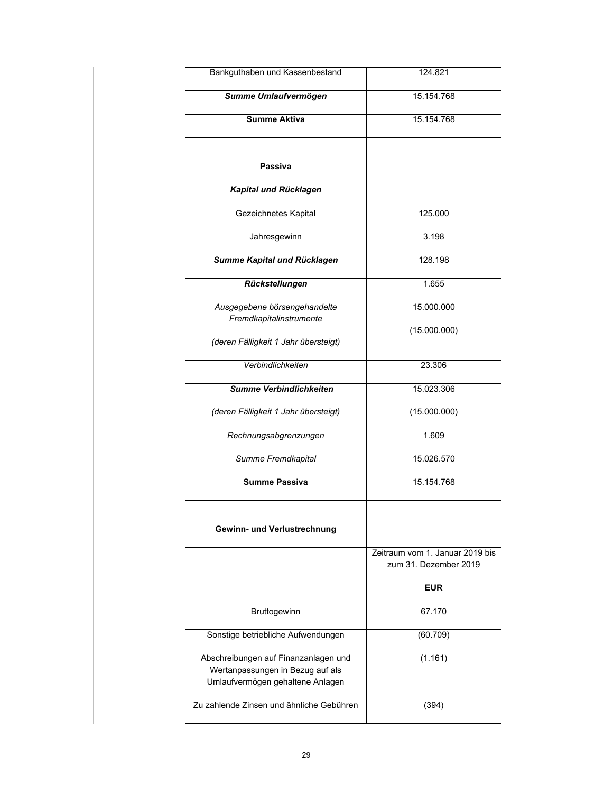| Bankguthaben und Kassenbestand                                                                               | 124.821                         |
|--------------------------------------------------------------------------------------------------------------|---------------------------------|
| Summe Umlaufvermögen                                                                                         | 15.154.768                      |
| <b>Summe Aktiva</b>                                                                                          | 15.154.768                      |
| Passiva                                                                                                      |                                 |
| Kapital und Rücklagen                                                                                        |                                 |
| Gezeichnetes Kapital                                                                                         | 125.000                         |
| Jahresgewinn                                                                                                 | 3.198                           |
| Summe Kapital und Rücklagen                                                                                  | 128.198                         |
| Rückstellungen                                                                                               | 1.655                           |
| Ausgegebene börsengehandelte                                                                                 | 15.000.000                      |
| Fremdkapitalinstrumente<br>(deren Fälligkeit 1 Jahr übersteigt)                                              | (15.000.000)                    |
| Verbindlichkeiten                                                                                            | 23.306                          |
| Summe Verbindlichkeiten                                                                                      | 15.023.306                      |
| (deren Fälligkeit 1 Jahr übersteigt)                                                                         | (15.000.000)                    |
| Rechnungsabgrenzungen                                                                                        | 1.609                           |
| Summe Fremdkapital                                                                                           | 15.026.570                      |
| <b>Summe Passiva</b>                                                                                         | 15.154.768                      |
| Gewinn- und Verlustrechnung                                                                                  |                                 |
|                                                                                                              | Zeitraum vom 1. Januar 2019 bis |
|                                                                                                              | zum 31. Dezember 2019           |
|                                                                                                              | <b>EUR</b>                      |
| Bruttogewinn                                                                                                 | 67.170                          |
| Sonstige betriebliche Aufwendungen                                                                           | (60.709)                        |
| Abschreibungen auf Finanzanlagen und<br>Wertanpassungen in Bezug auf als<br>Umlaufvermögen gehaltene Anlagen | (1.161)                         |
| Zu zahlende Zinsen und ähnliche Gebühren                                                                     | (394)                           |
|                                                                                                              |                                 |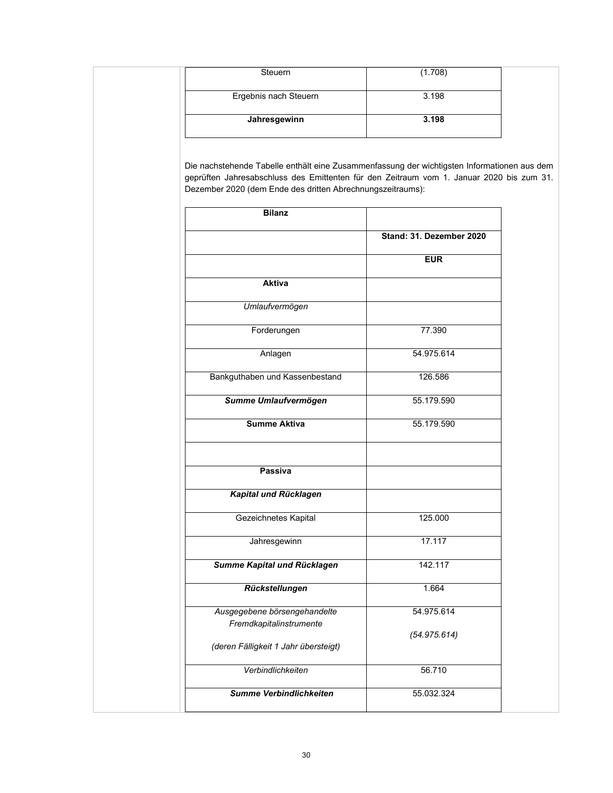| Steuern               | (1.708) |
|-----------------------|---------|
| Ergebnis nach Steuern | 3.198   |
| Jahresgewinn          | 3.198   |
|                       |         |

Die nachstehende Tabelle enthält eine Zusammenfassung der wichtigsten Informationen aus dem geprüften Jahresabschluss des Emittenten für den Zeitraum vom 1. Januar 2020 bis zum 31. Dezember 2020 (dem Ende des dritten Abrechnungszeitraums):

| <b>Bilanz</b>                        |                          |
|--------------------------------------|--------------------------|
|                                      | Stand: 31. Dezember 2020 |
|                                      | <b>EUR</b>               |
| <b>Aktiva</b>                        |                          |
| Umlaufvermögen                       |                          |
| Forderungen                          | 77.390                   |
| Anlagen                              | 54.975.614               |
| Bankguthaben und Kassenbestand       | 126.586                  |
| Summe Umlaufvermögen                 | 55.179.590               |
| <b>Summe Aktiva</b>                  | 55.179.590               |
|                                      |                          |
| <b>Passiva</b>                       |                          |
| Kapital und Rücklagen                |                          |
| Gezeichnetes Kapital                 | 125.000                  |
| Jahresgewinn                         | 17.117                   |
| Summe Kapital und Rücklagen          | 142.117                  |
| Rückstellungen                       | 1.664                    |
| Ausgegebene börsengehandelte         | 54.975.614               |
| Fremdkapitalinstrumente              | (54.975.614)             |
| (deren Fälligkeit 1 Jahr übersteigt) |                          |
| Verbindlichkeiten                    | 56.710                   |
| <b>Summe Verbindlichkeiten</b>       | 55.032.324               |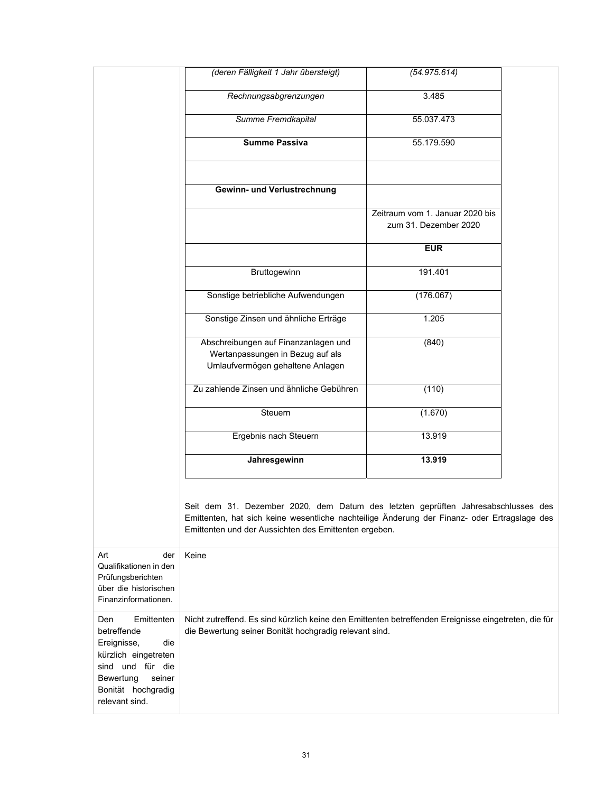|                                                                                                                                                                   | (deren Fälligkeit 1 Jahr übersteigt)                                                                                                                                                                                                       | (54.975.614)                                             |  |
|-------------------------------------------------------------------------------------------------------------------------------------------------------------------|--------------------------------------------------------------------------------------------------------------------------------------------------------------------------------------------------------------------------------------------|----------------------------------------------------------|--|
|                                                                                                                                                                   | Rechnungsabgrenzungen                                                                                                                                                                                                                      | 3.485                                                    |  |
|                                                                                                                                                                   | Summe Fremdkapital                                                                                                                                                                                                                         | 55.037.473                                               |  |
|                                                                                                                                                                   | <b>Summe Passiva</b>                                                                                                                                                                                                                       | 55.179.590                                               |  |
|                                                                                                                                                                   |                                                                                                                                                                                                                                            |                                                          |  |
|                                                                                                                                                                   | Gewinn- und Verlustrechnung                                                                                                                                                                                                                |                                                          |  |
|                                                                                                                                                                   |                                                                                                                                                                                                                                            | Zeitraum vom 1. Januar 2020 bis<br>zum 31. Dezember 2020 |  |
|                                                                                                                                                                   |                                                                                                                                                                                                                                            | <b>EUR</b>                                               |  |
|                                                                                                                                                                   | Bruttogewinn                                                                                                                                                                                                                               | 191.401                                                  |  |
|                                                                                                                                                                   | Sonstige betriebliche Aufwendungen                                                                                                                                                                                                         | (176.067)                                                |  |
|                                                                                                                                                                   | Sonstige Zinsen und ähnliche Erträge                                                                                                                                                                                                       | 1.205                                                    |  |
|                                                                                                                                                                   | Abschreibungen auf Finanzanlagen und<br>Wertanpassungen in Bezug auf als<br>Umlaufvermögen gehaltene Anlagen                                                                                                                               | (840)                                                    |  |
|                                                                                                                                                                   | Zu zahlende Zinsen und ähnliche Gebühren                                                                                                                                                                                                   | (110)                                                    |  |
|                                                                                                                                                                   | Steuern                                                                                                                                                                                                                                    | (1.670)                                                  |  |
|                                                                                                                                                                   | Ergebnis nach Steuern                                                                                                                                                                                                                      | 13.919                                                   |  |
|                                                                                                                                                                   | Jahresgewinn                                                                                                                                                                                                                               | 13.919                                                   |  |
|                                                                                                                                                                   | Seit dem 31. Dezember 2020, dem Datum des letzten geprüften Jahresabschlusses des<br>Emittenten, hat sich keine wesentliche nachteilige Änderung der Finanz- oder Ertragslage des<br>Emittenten und der Aussichten des Emittenten ergeben. |                                                          |  |
| Art<br>der<br>Qualifikationen in den<br>Prüfungsberichten<br>über die historischen<br>Finanzinformationen.                                                        | Keine                                                                                                                                                                                                                                      |                                                          |  |
| Emittenten<br>Den<br>betreffende<br>Ereignisse,<br>die<br>kürzlich eingetreten<br>sind und für die<br>Bewertung<br>seiner<br>Bonität hochgradig<br>relevant sind. | Nicht zutreffend. Es sind kürzlich keine den Emittenten betreffenden Ereignisse eingetreten, die für<br>die Bewertung seiner Bonität hochgradig relevant sind.                                                                             |                                                          |  |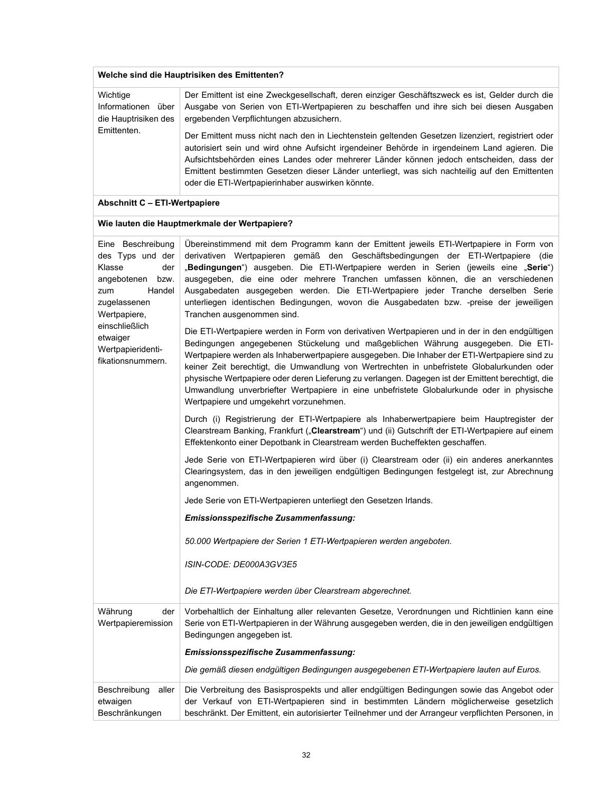| Welche sind die Hauptrisiken des Emittenten?                                                   |                                                                                                                                                                                                                                                                                                                                                                                                                                                   |  |
|------------------------------------------------------------------------------------------------|---------------------------------------------------------------------------------------------------------------------------------------------------------------------------------------------------------------------------------------------------------------------------------------------------------------------------------------------------------------------------------------------------------------------------------------------------|--|
| Wichtige<br>Informationen über<br>die Hauptrisiken des<br>Emittenten.                          | Der Emittent ist eine Zweckgesellschaft, deren einziger Geschäftszweck es ist, Gelder durch die<br>Ausgabe von Serien von ETI-Wertpapieren zu beschaffen und ihre sich bei diesen Ausgaben<br>ergebenden Verpflichtungen abzusichern.                                                                                                                                                                                                             |  |
|                                                                                                | Der Emittent muss nicht nach den in Liechtenstein geltenden Gesetzen lizenziert, registriert oder<br>autorisiert sein und wird ohne Aufsicht irgendeiner Behörde in irgendeinem Land agieren. Die<br>Aufsichtsbehörden eines Landes oder mehrerer Länder können jedoch entscheiden, dass der<br>Emittent bestimmten Gesetzen dieser Länder unterliegt, was sich nachteilig auf den Emittenten<br>oder die ETI-Wertpapierinhaber auswirken könnte. |  |
| Abschnitt C - ETI-Wertpapiere                                                                  |                                                                                                                                                                                                                                                                                                                                                                                                                                                   |  |
|                                                                                                | Wie lauten die Hauptmerkmale der Wertpapiere?                                                                                                                                                                                                                                                                                                                                                                                                     |  |
| Beschreibung<br>Eine<br>des Typs und der<br>Klasse<br>der<br>angebotenen bzw.<br>Handel<br>zum | Übereinstimmend mit dem Programm kann der Emittent jeweils ETI-Wertpapiere in Form von<br>derivativen Wertpapieren gemäß den Geschäftsbedingungen der ETI-Wertpapiere (die<br>"Bedingungen") ausgeben. Die ETI-Wertpapiere werden in Serien (jeweils eine "Serie")<br>ausgegeben, die eine oder mehrere Tranchen umfassen können, die an verschiedenen<br>Ausgabedaten ausgegeben werden. Die ETI-Wertpapiere jeder Tranche derselben Serie       |  |

| Eine beschreibung<br>des Typs und der<br>Klasse<br>der<br>angebotenen<br>bzw.<br>Handel<br>zum<br>zugelassenen<br>Wertpapiere,<br>einschließlich<br>etwaiger<br>Wertpapieridenti-<br>fikationsnummern. | Obereinsummend mit dem Programm kann der Emittent jeweils ETI-vvertpapiere in Form von<br>derivativen Wertpapieren gemäß den Geschäftsbedingungen der ETI-Wertpapiere (die<br>"Bedingungen") ausgeben. Die ETI-Wertpapiere werden in Serien (jeweils eine "Serie")<br>ausgegeben, die eine oder mehrere Tranchen umfassen können, die an verschiedenen<br>Ausgabedaten ausgegeben werden. Die ETI-Wertpapiere jeder Tranche derselben Serie<br>unterliegen identischen Bedingungen, wovon die Ausgabedaten bzw. -preise der jeweiligen<br>Tranchen ausgenommen sind.<br>Die ETI-Wertpapiere werden in Form von derivativen Wertpapieren und in der in den endgültigen<br>Bedingungen angegebenen Stückelung und maßgeblichen Währung ausgegeben. Die ETI-<br>Wertpapiere werden als Inhaberwertpapiere ausgegeben. Die Inhaber der ETI-Wertpapiere sind zu<br>keiner Zeit berechtigt, die Umwandlung von Wertrechten in unbefristete Globalurkunden oder<br>physische Wertpapiere oder deren Lieferung zu verlangen. Dagegen ist der Emittent berechtigt, die<br>Umwandlung unverbriefter Wertpapiere in eine unbefristete Globalurkunde oder in physische<br>Wertpapiere und umgekehrt vorzunehmen.<br>Durch (i) Registrierung der ETI-Wertpapiere als Inhaberwertpapiere beim Hauptregister der<br>Clearstream Banking, Frankfurt ("Clearstream") und (ii) Gutschrift der ETI-Wertpapiere auf einem<br>Effektenkonto einer Depotbank in Clearstream werden Bucheffekten geschaffen.<br>Jede Serie von ETI-Wertpapieren wird über (i) Clearstream oder (ii) ein anderes anerkanntes<br>Clearingsystem, das in den jeweiligen endgültigen Bedingungen festgelegt ist, zur Abrechnung<br>angenommen.<br>Jede Serie von ETI-Wertpapieren unterliegt den Gesetzen Irlands.<br>Emissionsspezifische Zusammenfassung:<br>50.000 Wertpapiere der Serien 1 ETI-Wertpapieren werden angeboten. |
|--------------------------------------------------------------------------------------------------------------------------------------------------------------------------------------------------------|----------------------------------------------------------------------------------------------------------------------------------------------------------------------------------------------------------------------------------------------------------------------------------------------------------------------------------------------------------------------------------------------------------------------------------------------------------------------------------------------------------------------------------------------------------------------------------------------------------------------------------------------------------------------------------------------------------------------------------------------------------------------------------------------------------------------------------------------------------------------------------------------------------------------------------------------------------------------------------------------------------------------------------------------------------------------------------------------------------------------------------------------------------------------------------------------------------------------------------------------------------------------------------------------------------------------------------------------------------------------------------------------------------------------------------------------------------------------------------------------------------------------------------------------------------------------------------------------------------------------------------------------------------------------------------------------------------------------------------------------------------------------------------------------------------------------------------------------------------------------------------------|
|                                                                                                                                                                                                        | ISIN-CODE: DE000A3GV3E5                                                                                                                                                                                                                                                                                                                                                                                                                                                                                                                                                                                                                                                                                                                                                                                                                                                                                                                                                                                                                                                                                                                                                                                                                                                                                                                                                                                                                                                                                                                                                                                                                                                                                                                                                                                                                                                                |
|                                                                                                                                                                                                        | Die ETI-Wertpapiere werden über Clearstream abgerechnet.                                                                                                                                                                                                                                                                                                                                                                                                                                                                                                                                                                                                                                                                                                                                                                                                                                                                                                                                                                                                                                                                                                                                                                                                                                                                                                                                                                                                                                                                                                                                                                                                                                                                                                                                                                                                                               |
| Währung<br>der<br>Wertpapieremission                                                                                                                                                                   | Vorbehaltlich der Einhaltung aller relevanten Gesetze, Verordnungen und Richtlinien kann eine<br>Serie von ETI-Wertpapieren in der Währung ausgegeben werden, die in den jeweiligen endgültigen<br>Bedingungen angegeben ist.                                                                                                                                                                                                                                                                                                                                                                                                                                                                                                                                                                                                                                                                                                                                                                                                                                                                                                                                                                                                                                                                                                                                                                                                                                                                                                                                                                                                                                                                                                                                                                                                                                                          |
|                                                                                                                                                                                                        | Emissionsspezifische Zusammenfassung:                                                                                                                                                                                                                                                                                                                                                                                                                                                                                                                                                                                                                                                                                                                                                                                                                                                                                                                                                                                                                                                                                                                                                                                                                                                                                                                                                                                                                                                                                                                                                                                                                                                                                                                                                                                                                                                  |
|                                                                                                                                                                                                        | Die gemäß diesen endgültigen Bedingungen ausgegebenen ETI-Wertpapiere lauten auf Euros.                                                                                                                                                                                                                                                                                                                                                                                                                                                                                                                                                                                                                                                                                                                                                                                                                                                                                                                                                                                                                                                                                                                                                                                                                                                                                                                                                                                                                                                                                                                                                                                                                                                                                                                                                                                                |
| Beschreibung<br>aller<br>etwaigen<br>Beschränkungen                                                                                                                                                    | Die Verbreitung des Basisprospekts und aller endgültigen Bedingungen sowie das Angebot oder<br>der Verkauf von ETI-Wertpapieren sind in bestimmten Ländern möglicherweise gesetzlich<br>beschränkt. Der Emittent, ein autorisierter Teilnehmer und der Arrangeur verpflichten Personen, in                                                                                                                                                                                                                                                                                                                                                                                                                                                                                                                                                                                                                                                                                                                                                                                                                                                                                                                                                                                                                                                                                                                                                                                                                                                                                                                                                                                                                                                                                                                                                                                             |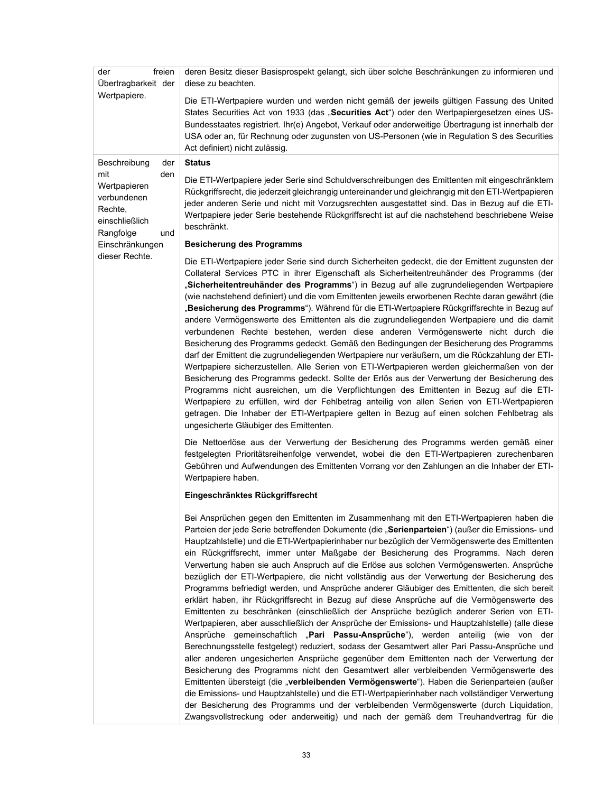| der<br>freien<br>Übertragbarkeit der                                                       | deren Besitz dieser Basisprospekt gelangt, sich über solche Beschränkungen zu informieren und<br>diese zu beachten.                                                                                                                                                                                                                                                                                                                                                                                                                                                                                                                                                                                                                                                                                                                                                                                                                                                                                                                                                                                                                                                                                                                                                                                                                                                                                                                                                                                                                                                                                                                                                                                                                             |
|--------------------------------------------------------------------------------------------|-------------------------------------------------------------------------------------------------------------------------------------------------------------------------------------------------------------------------------------------------------------------------------------------------------------------------------------------------------------------------------------------------------------------------------------------------------------------------------------------------------------------------------------------------------------------------------------------------------------------------------------------------------------------------------------------------------------------------------------------------------------------------------------------------------------------------------------------------------------------------------------------------------------------------------------------------------------------------------------------------------------------------------------------------------------------------------------------------------------------------------------------------------------------------------------------------------------------------------------------------------------------------------------------------------------------------------------------------------------------------------------------------------------------------------------------------------------------------------------------------------------------------------------------------------------------------------------------------------------------------------------------------------------------------------------------------------------------------------------------------|
| Wertpapiere.                                                                               | Die ETI-Wertpapiere wurden und werden nicht gemäß der jeweils gültigen Fassung des United<br>States Securities Act von 1933 (das "Securities Act") oder den Wertpapiergesetzen eines US-<br>Bundesstaates registriert. Ihr(e) Angebot, Verkauf oder anderweitige Übertragung ist innerhalb der<br>USA oder an, für Rechnung oder zugunsten von US-Personen (wie in Regulation S des Securities<br>Act definiert) nicht zulässig.                                                                                                                                                                                                                                                                                                                                                                                                                                                                                                                                                                                                                                                                                                                                                                                                                                                                                                                                                                                                                                                                                                                                                                                                                                                                                                                |
| Beschreibung<br>der                                                                        | <b>Status</b>                                                                                                                                                                                                                                                                                                                                                                                                                                                                                                                                                                                                                                                                                                                                                                                                                                                                                                                                                                                                                                                                                                                                                                                                                                                                                                                                                                                                                                                                                                                                                                                                                                                                                                                                   |
| mit<br>den<br>Wertpapieren<br>verbundenen<br>Rechte,<br>einschließlich<br>Rangfolge<br>und | Die ETI-Wertpapiere jeder Serie sind Schuldverschreibungen des Emittenten mit eingeschränktem<br>Rückgriffsrecht, die jederzeit gleichrangig untereinander und gleichrangig mit den ETI-Wertpapieren<br>jeder anderen Serie und nicht mit Vorzugsrechten ausgestattet sind. Das in Bezug auf die ETI-<br>Wertpapiere jeder Serie bestehende Rückgriffsrecht ist auf die nachstehend beschriebene Weise<br>beschränkt.                                                                                                                                                                                                                                                                                                                                                                                                                                                                                                                                                                                                                                                                                                                                                                                                                                                                                                                                                                                                                                                                                                                                                                                                                                                                                                                           |
| Einschränkungen                                                                            | <b>Besicherung des Programms</b>                                                                                                                                                                                                                                                                                                                                                                                                                                                                                                                                                                                                                                                                                                                                                                                                                                                                                                                                                                                                                                                                                                                                                                                                                                                                                                                                                                                                                                                                                                                                                                                                                                                                                                                |
| dieser Rechte.                                                                             | Die ETI-Wertpapiere jeder Serie sind durch Sicherheiten gedeckt, die der Emittent zugunsten der<br>Collateral Services PTC in ihrer Eigenschaft als Sicherheitentreuhänder des Programms (der<br>"Sicherheitentreuhänder des Programms") in Bezug auf alle zugrundeliegenden Wertpapiere<br>(wie nachstehend definiert) und die vom Emittenten jeweils erworbenen Rechte daran gewährt (die<br>"Besicherung des Programms"). Während für die ETI-Wertpapiere Rückgriffsrechte in Bezug auf<br>andere Vermögenswerte des Emittenten als die zugrundeliegenden Wertpapiere und die damit<br>verbundenen Rechte bestehen, werden diese anderen Vermögenswerte nicht durch die<br>Besicherung des Programms gedeckt. Gemäß den Bedingungen der Besicherung des Programms<br>darf der Emittent die zugrundeliegenden Wertpapiere nur veräußern, um die Rückzahlung der ETI-<br>Wertpapiere sicherzustellen. Alle Serien von ETI-Wertpapieren werden gleichermaßen von der<br>Besicherung des Programms gedeckt. Sollte der Erlös aus der Verwertung der Besicherung des<br>Programms nicht ausreichen, um die Verpflichtungen des Emittenten in Bezug auf die ETI-<br>Wertpapiere zu erfüllen, wird der Fehlbetrag anteilig von allen Serien von ETI-Wertpapieren<br>getragen. Die Inhaber der ETI-Wertpapiere gelten in Bezug auf einen solchen Fehlbetrag als<br>ungesicherte Gläubiger des Emittenten.<br>Die Nettoerlöse aus der Verwertung der Besicherung des Programms werden gemäß einer<br>festgelegten Prioritätsreihenfolge verwendet, wobei die den ETI-Wertpapieren zurechenbaren                                                                                                                                                       |
|                                                                                            | Gebühren und Aufwendungen des Emittenten Vorrang vor den Zahlungen an die Inhaber der ETI-<br>Wertpapiere haben.                                                                                                                                                                                                                                                                                                                                                                                                                                                                                                                                                                                                                                                                                                                                                                                                                                                                                                                                                                                                                                                                                                                                                                                                                                                                                                                                                                                                                                                                                                                                                                                                                                |
|                                                                                            | Eingeschränktes Rückgriffsrecht                                                                                                                                                                                                                                                                                                                                                                                                                                                                                                                                                                                                                                                                                                                                                                                                                                                                                                                                                                                                                                                                                                                                                                                                                                                                                                                                                                                                                                                                                                                                                                                                                                                                                                                 |
|                                                                                            | Bei Ansprüchen gegen den Emittenten im Zusammenhang mit den ETI-Wertpapieren haben die<br>Parteien der jede Serie betreffenden Dokumente (die "Serienparteien") (außer die Emissions- und<br>Hauptzahlstelle) und die ETI-Wertpapierinhaber nur bezüglich der Vermögenswerte des Emittenten<br>ein Rückgriffsrecht, immer unter Maßgabe der Besicherung des Programms. Nach deren<br>Verwertung haben sie auch Anspruch auf die Erlöse aus solchen Vermögenswerten. Ansprüche<br>bezüglich der ETI-Wertpapiere, die nicht vollständig aus der Verwertung der Besicherung des<br>Programms befriedigt werden, und Ansprüche anderer Gläubiger des Emittenten, die sich bereit<br>erklärt haben, ihr Rückgriffsrecht in Bezug auf diese Ansprüche auf die Vermögenswerte des<br>Emittenten zu beschränken (einschließlich der Ansprüche bezüglich anderer Serien von ETI-<br>Wertpapieren, aber ausschließlich der Ansprüche der Emissions- und Hauptzahlstelle) (alle diese<br>Ansprüche gemeinschaftlich "Pari Passu-Ansprüche"), werden anteilig (wie von der<br>Berechnungsstelle festgelegt) reduziert, sodass der Gesamtwert aller Pari Passu-Ansprüche und<br>aller anderen ungesicherten Ansprüche gegenüber dem Emittenten nach der Verwertung der<br>Besicherung des Programms nicht den Gesamtwert aller verbleibenden Vermögenswerte des<br>Emittenten übersteigt (die " <b>verbleibenden Vermögenswerte</b> "). Haben die Serienparteien (außer<br>die Emissions- und Hauptzahlstelle) und die ETI-Wertpapierinhaber nach vollständiger Verwertung<br>der Besicherung des Programms und der verbleibenden Vermögenswerte (durch Liquidation,<br>Zwangsvollstreckung oder anderweitig) und nach der gemäß dem Treuhandvertrag für die |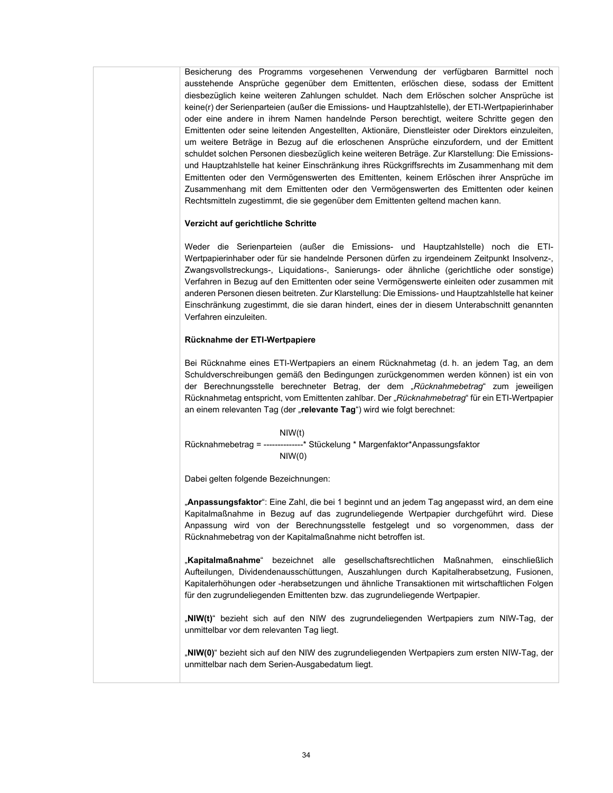Besicherung des Programms vorgesehenen Verwendung der verfügbaren Barmittel noch ausstehende Ansprüche gegenüber dem Emittenten, erlöschen diese, sodass der Emittent diesbezüglich keine weiteren Zahlungen schuldet. Nach dem Erlöschen solcher Ansprüche ist keine(r) der Serienparteien (außer die Emissions- und Hauptzahlstelle), der ETI-Wertpapierinhaber oder eine andere in ihrem Namen handelnde Person berechtigt, weitere Schritte gegen den Emittenten oder seine leitenden Angestellten, Aktionäre, Dienstleister oder Direktors einzuleiten, um weitere Beträge in Bezug auf die erloschenen Ansprüche einzufordern, und der Emittent schuldet solchen Personen diesbezüglich keine weiteren Beträge. Zur Klarstellung: Die Emissionsund Hauptzahlstelle hat keiner Einschränkung ihres Rückgriffsrechts im Zusammenhang mit dem Emittenten oder den Vermögenswerten des Emittenten, keinem Erlöschen ihrer Ansprüche im Zusammenhang mit dem Emittenten oder den Vermögenswerten des Emittenten oder keinen Rechtsmitteln zugestimmt, die sie gegenüber dem Emittenten geltend machen kann.

### **Verzicht auf gerichtliche Schritte**

Weder die Serienparteien (außer die Emissions- und Hauptzahlstelle) noch die ETI-Wertpapierinhaber oder für sie handelnde Personen dürfen zu irgendeinem Zeitpunkt Insolvenz-, Zwangsvollstreckungs-, Liquidations-, Sanierungs- oder ähnliche (gerichtliche oder sonstige) Verfahren in Bezug auf den Emittenten oder seine Vermögenswerte einleiten oder zusammen mit anderen Personen diesen beitreten. Zur Klarstellung: Die Emissions- und Hauptzahlstelle hat keiner Einschränkung zugestimmt, die sie daran hindert, eines der in diesem Unterabschnitt genannten Verfahren einzuleiten.

### **Rücknahme der ETI-Wertpapiere**

Bei Rücknahme eines ETI-Wertpapiers an einem Rücknahmetag (d. h. an jedem Tag, an dem Schuldverschreibungen gemäß den Bedingungen zurückgenommen werden können) ist ein von der Berechnungsstelle berechneter Betrag, der dem "*Rücknahmebetrag*" zum jeweiligen Rücknahmetag entspricht, vom Emittenten zahlbar. Der "*Rücknahmebetrag*" für ein ETI-Wertpapier an einem relevanten Tag (der "relevante Tag") wird wie folgt berechnet:

NIW(t) Rücknahmebetrag = --------------\* Stückelung \* Margenfaktor\*Anpassungsfaktor NIW(0)

Dabei gelten folgende Bezeichnungen:

"**Anpassungsfaktor**": Eine Zahl, die bei 1 beginnt und an jedem Tag angepasst wird, an dem eine Kapitalmaßnahme in Bezug auf das zugrundeliegende Wertpapier durchgeführt wird. Diese Anpassung wird von der Berechnungsstelle festgelegt und so vorgenommen, dass der Rücknahmebetrag von der Kapitalmaßnahme nicht betroffen ist.

"**Kapitalmaßnahme**" bezeichnet alle gesellschaftsrechtlichen Maßnahmen, einschließlich Aufteilungen, Dividendenausschüttungen, Auszahlungen durch Kapitalherabsetzung, Fusionen, Kapitalerhöhungen oder -herabsetzungen und ähnliche Transaktionen mit wirtschaftlichen Folgen für den zugrundeliegenden Emittenten bzw. das zugrundeliegende Wertpapier.

"**NIW(t)**" bezieht sich auf den NIW des zugrundeliegenden Wertpapiers zum NIW-Tag, der unmittelbar vor dem relevanten Tag liegt.

"**NIW(0)**" bezieht sich auf den NIW des zugrundeliegenden Wertpapiers zum ersten NIW-Tag, der unmittelbar nach dem Serien-Ausgabedatum liegt.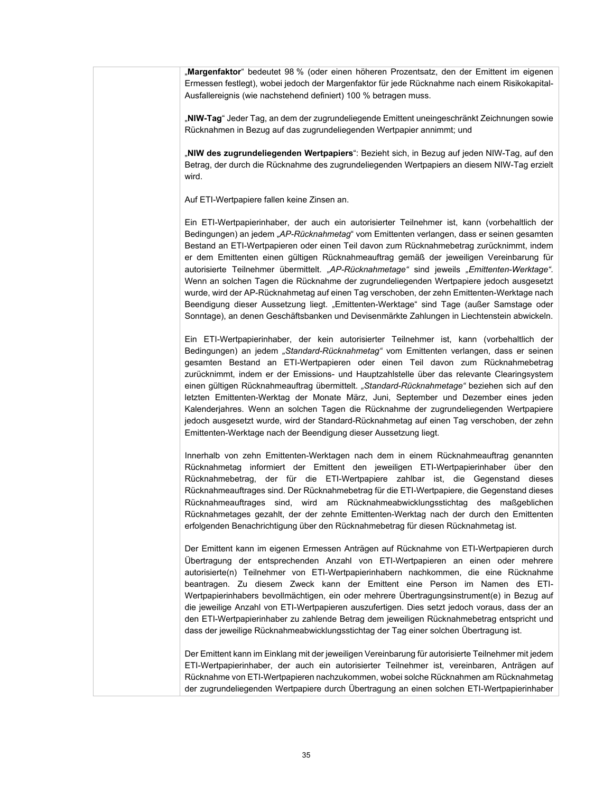"**Margenfaktor**" bedeutet 98 % (oder einen höheren Prozentsatz, den der Emittent im eigenen Ermessen festlegt), wobei jedoch der Margenfaktor für jede Rücknahme nach einem Risikokapital-Ausfallereignis (wie nachstehend definiert) 100 % betragen muss.

"**NIW-Tag**" Jeder Tag, an dem der zugrundeliegende Emittent uneingeschränkt Zeichnungen sowie Rücknahmen in Bezug auf das zugrundeliegenden Wertpapier annimmt; und

"**NIW des zugrundeliegenden Wertpapiers**": Bezieht sich, in Bezug auf jeden NIW-Tag, auf den Betrag, der durch die Rücknahme des zugrundeliegenden Wertpapiers an diesem NIW-Tag erzielt wird.

Auf ETI-Wertpapiere fallen keine Zinsen an.

Ein ETI-Wertpapierinhaber, der auch ein autorisierter Teilnehmer ist, kann (vorbehaltlich der Bedingungen) an jedem "*AP-Rücknahmetag*" vom Emittenten verlangen, dass er seinen gesamten Bestand an ETI-Wertpapieren oder einen Teil davon zum Rücknahmebetrag zurücknimmt, indem er dem Emittenten einen gültigen Rücknahmeauftrag gemäß der jeweiligen Vereinbarung für autorisierte Teilnehmer übermittelt. *"AP-Rücknahmetage"* sind jeweils *"Emittenten-Werktage"*. Wenn an solchen Tagen die Rücknahme der zugrundeliegenden Wertpapiere jedoch ausgesetzt wurde, wird der AP-Rücknahmetag auf einen Tag verschoben, der zehn Emittenten-Werktage nach Beendigung dieser Aussetzung liegt. "Emittenten-Werktage" sind Tage (außer Samstage oder Sonntage), an denen Geschäftsbanken und Devisenmärkte Zahlungen in Liechtenstein abwickeln.

Ein ETI-Wertpapierinhaber, der kein autorisierter Teilnehmer ist, kann (vorbehaltlich der Bedingungen) an jedem *"Standard-Rücknahmetag"* vom Emittenten verlangen, dass er seinen gesamten Bestand an ETI-Wertpapieren oder einen Teil davon zum Rücknahmebetrag zurücknimmt, indem er der Emissions- und Hauptzahlstelle über das relevante Clearingsystem einen gültigen Rücknahmeauftrag übermittelt. *"Standard-Rücknahmetage"* beziehen sich auf den letzten Emittenten-Werktag der Monate März, Juni, September und Dezember eines jeden Kalenderjahres. Wenn an solchen Tagen die Rücknahme der zugrundeliegenden Wertpapiere jedoch ausgesetzt wurde, wird der Standard-Rücknahmetag auf einen Tag verschoben, der zehn Emittenten-Werktage nach der Beendigung dieser Aussetzung liegt.

Innerhalb von zehn Emittenten-Werktagen nach dem in einem Rücknahmeauftrag genannten Rücknahmetag informiert der Emittent den jeweiligen ETI-Wertpapierinhaber über den Rücknahmebetrag, der für die ETI-Wertpapiere zahlbar ist, die Gegenstand dieses Rücknahmeauftrages sind. Der Rücknahmebetrag für die ETI-Wertpapiere, die Gegenstand dieses Rücknahmeauftrages sind, wird am Rücknahmeabwicklungsstichtag des maßgeblichen Rücknahmetages gezahlt, der der zehnte Emittenten-Werktag nach der durch den Emittenten erfolgenden Benachrichtigung über den Rücknahmebetrag für diesen Rücknahmetag ist.

Der Emittent kann im eigenen Ermessen Anträgen auf Rücknahme von ETI-Wertpapieren durch Übertragung der entsprechenden Anzahl von ETI-Wertpapieren an einen oder mehrere autorisierte(n) Teilnehmer von ETI-Wertpapierinhabern nachkommen, die eine Rücknahme beantragen. Zu diesem Zweck kann der Emittent eine Person im Namen des ETI-Wertpapierinhabers bevollmächtigen, ein oder mehrere Übertragungsinstrument(e) in Bezug auf die jeweilige Anzahl von ETI-Wertpapieren auszufertigen. Dies setzt jedoch voraus, dass der an den ETI-Wertpapierinhaber zu zahlende Betrag dem jeweiligen Rücknahmebetrag entspricht und dass der jeweilige Rücknahmeabwicklungsstichtag der Tag einer solchen Übertragung ist.

Der Emittent kann im Einklang mit der jeweiligen Vereinbarung für autorisierte Teilnehmer mit jedem ETI-Wertpapierinhaber, der auch ein autorisierter Teilnehmer ist, vereinbaren, Anträgen auf Rücknahme von ETI-Wertpapieren nachzukommen, wobei solche Rücknahmen am Rücknahmetag der zugrundeliegenden Wertpapiere durch Übertragung an einen solchen ETI-Wertpapierinhaber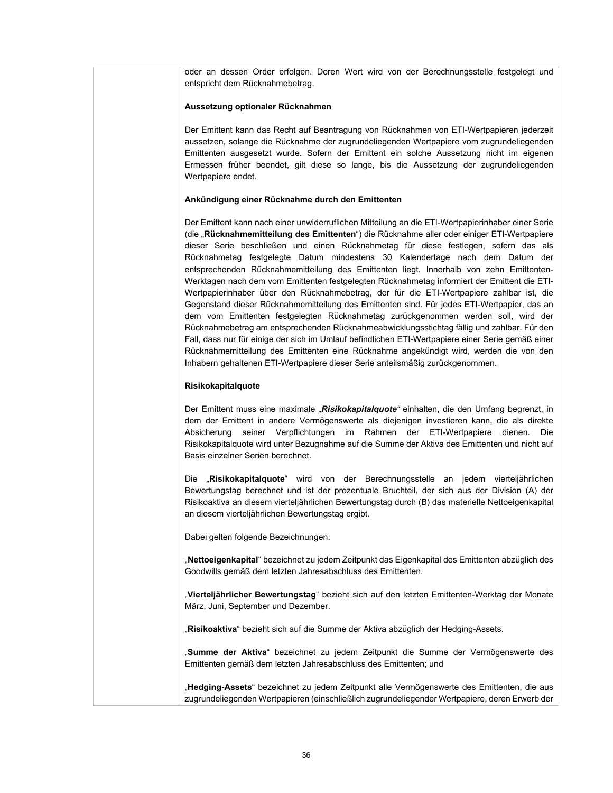oder an dessen Order erfolgen. Deren Wert wird von der Berechnungsstelle festgelegt und entspricht dem Rücknahmebetrag.

#### **Aussetzung optionaler Rücknahmen**

Der Emittent kann das Recht auf Beantragung von Rücknahmen von ETI-Wertpapieren jederzeit aussetzen, solange die Rücknahme der zugrundeliegenden Wertpapiere vom zugrundeliegenden Emittenten ausgesetzt wurde. Sofern der Emittent ein solche Aussetzung nicht im eigenen Ermessen früher beendet, gilt diese so lange, bis die Aussetzung der zugrundeliegenden Wertpapiere endet.

#### **Ankündigung einer Rücknahme durch den Emittenten**

Der Emittent kann nach einer unwiderruflichen Mitteilung an die ETI-Wertpapierinhaber einer Serie (die "**Rücknahmemitteilung des Emittenten**") die Rücknahme aller oder einiger ETI-Wertpapiere dieser Serie beschließen und einen Rücknahmetag für diese festlegen, sofern das als Rücknahmetag festgelegte Datum mindestens 30 Kalendertage nach dem Datum der entsprechenden Rücknahmemitteilung des Emittenten liegt. Innerhalb von zehn Emittenten-Werktagen nach dem vom Emittenten festgelegten Rücknahmetag informiert der Emittent die ETI-Wertpapierinhaber über den Rücknahmebetrag, der für die ETI-Wertpapiere zahlbar ist, die Gegenstand dieser Rücknahmemitteilung des Emittenten sind. Für jedes ETI-Wertpapier, das an dem vom Emittenten festgelegten Rücknahmetag zurückgenommen werden soll, wird der Rücknahmebetrag am entsprechenden Rücknahmeabwicklungsstichtag fällig und zahlbar. Für den Fall, dass nur für einige der sich im Umlauf befindlichen ETI-Wertpapiere einer Serie gemäß einer Rücknahmemitteilung des Emittenten eine Rücknahme angekündigt wird, werden die von den Inhabern gehaltenen ETI-Wertpapiere dieser Serie anteilsmäßig zurückgenommen.

### **Risikokapitalquote**

Der Emittent muss eine maximale *"Risikokapitalquote"* einhalten, die den Umfang begrenzt, in dem der Emittent in andere Vermögenswerte als diejenigen investieren kann, die als direkte Absicherung seiner Verpflichtungen im Rahmen der ETI-Wertpapiere dienen. Die Risikokapitalquote wird unter Bezugnahme auf die Summe der Aktiva des Emittenten und nicht auf Basis einzelner Serien berechnet.

Die "**Risikokapitalquote**" wird von der Berechnungsstelle an jedem vierteljährlichen Bewertungstag berechnet und ist der prozentuale Bruchteil, der sich aus der Division (A) der Risikoaktiva an diesem vierteljährlichen Bewertungstag durch (B) das materielle Nettoeigenkapital an diesem vierteljährlichen Bewertungstag ergibt.

Dabei gelten folgende Bezeichnungen:

"**Nettoeigenkapital**" bezeichnet zu jedem Zeitpunkt das Eigenkapital des Emittenten abzüglich des Goodwills gemäß dem letzten Jahresabschluss des Emittenten.

"**Vierteljährlicher Bewertungstag**" bezieht sich auf den letzten Emittenten-Werktag der Monate März, Juni, September und Dezember.

"**Risikoaktiva**" bezieht sich auf die Summe der Aktiva abzüglich der Hedging-Assets.

"**Summe der Aktiva**" bezeichnet zu jedem Zeitpunkt die Summe der Vermögenswerte des Emittenten gemäß dem letzten Jahresabschluss des Emittenten; und

"**Hedging-Assets**" bezeichnet zu jedem Zeitpunkt alle Vermögenswerte des Emittenten, die aus zugrundeliegenden Wertpapieren (einschließlich zugrundeliegender Wertpapiere, deren Erwerb der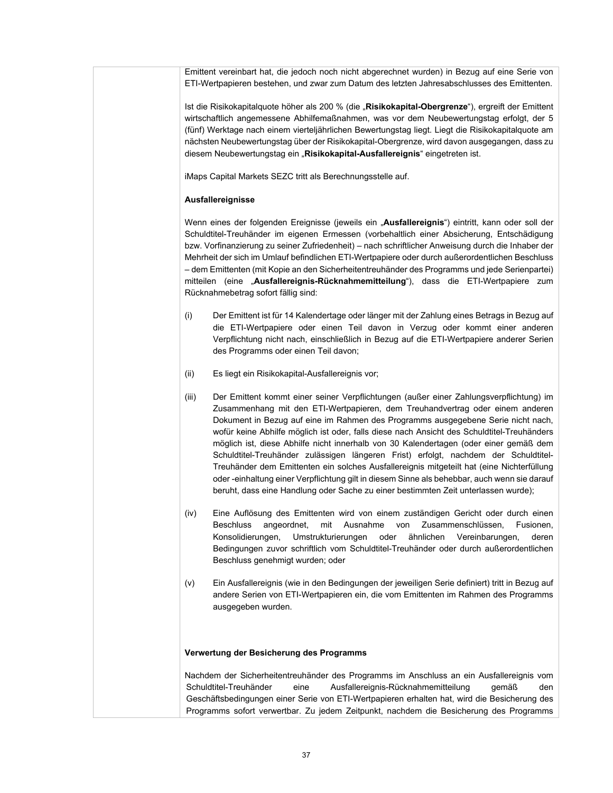Emittent vereinbart hat, die jedoch noch nicht abgerechnet wurden) in Bezug auf eine Serie von ETI-Wertpapieren bestehen, und zwar zum Datum des letzten Jahresabschlusses des Emittenten.

Ist die Risikokapitalquote höher als 200 % (die "Risikokapital-Obergrenze"), ergreift der Emittent wirtschaftlich angemessene Abhilfemaßnahmen, was vor dem Neubewertungstag erfolgt, der 5 (fünf) Werktage nach einem vierteljährlichen Bewertungstag liegt. Liegt die Risikokapitalquote am nächsten Neubewertungstag über der Risikokapital-Obergrenze, wird davon ausgegangen, dass zu diesem Neubewertungstag ein "**Risikokapital-Ausfallereignis**" eingetreten ist.

iMaps Capital Markets SEZC tritt als Berechnungsstelle auf.

### **Ausfallereignisse**

Wenn eines der folgenden Ereignisse (jeweils ein "**Ausfallereignis**") eintritt, kann oder soll der Schuldtitel-Treuhänder im eigenen Ermessen (vorbehaltlich einer Absicherung, Entschädigung bzw. Vorfinanzierung zu seiner Zufriedenheit) – nach schriftlicher Anweisung durch die Inhaber der Mehrheit der sich im Umlauf befindlichen ETI-Wertpapiere oder durch außerordentlichen Beschluss – dem Emittenten (mit Kopie an den Sicherheitentreuhänder des Programms und jede Serienpartei) mitteilen (eine "**Ausfallereignis-Rücknahmemitteilung**"), dass die ETI-Wertpapiere zum Rücknahmebetrag sofort fällig sind:

- (i) Der Emittent ist für 14 Kalendertage oder länger mit der Zahlung eines Betrags in Bezug auf die ETI-Wertpapiere oder einen Teil davon in Verzug oder kommt einer anderen Verpflichtung nicht nach, einschließlich in Bezug auf die ETI-Wertpapiere anderer Serien des Programms oder einen Teil davon;
- (ii) Es liegt ein Risikokapital-Ausfallereignis vor;
- (iii) Der Emittent kommt einer seiner Verpflichtungen (außer einer Zahlungsverpflichtung) im Zusammenhang mit den ETI-Wertpapieren, dem Treuhandvertrag oder einem anderen Dokument in Bezug auf eine im Rahmen des Programms ausgegebene Serie nicht nach, wofür keine Abhilfe möglich ist oder, falls diese nach Ansicht des Schuldtitel-Treuhänders möglich ist, diese Abhilfe nicht innerhalb von 30 Kalendertagen (oder einer gemäß dem Schuldtitel-Treuhänder zulässigen längeren Frist) erfolgt, nachdem der Schuldtitel-Treuhänder dem Emittenten ein solches Ausfallereignis mitgeteilt hat (eine Nichterfüllung oder -einhaltung einer Verpflichtung gilt in diesem Sinne als behebbar, auch wenn sie darauf beruht, dass eine Handlung oder Sache zu einer bestimmten Zeit unterlassen wurde);
- (iv) Eine Auflösung des Emittenten wird von einem zuständigen Gericht oder durch einen Beschluss angeordnet, mit Ausnahme von Zusammenschlüssen, Fusionen, Konsolidierungen, Umstrukturierungen oder ähnlichen Vereinbarungen, deren Bedingungen zuvor schriftlich vom Schuldtitel-Treuhänder oder durch außerordentlichen Beschluss genehmigt wurden; oder
- (v) Ein Ausfallereignis (wie in den Bedingungen der jeweiligen Serie definiert) tritt in Bezug auf andere Serien von ETI-Wertpapieren ein, die vom Emittenten im Rahmen des Programms ausgegeben wurden.

#### **Verwertung der Besicherung des Programms**

Nachdem der Sicherheitentreuhänder des Programms im Anschluss an ein Ausfallereignis vom Schuldtitel-Treuhänder eine Ausfallereignis-Rücknahmemitteilung gemäß den Geschäftsbedingungen einer Serie von ETI-Wertpapieren erhalten hat, wird die Besicherung des Programms sofort verwertbar. Zu jedem Zeitpunkt, nachdem die Besicherung des Programms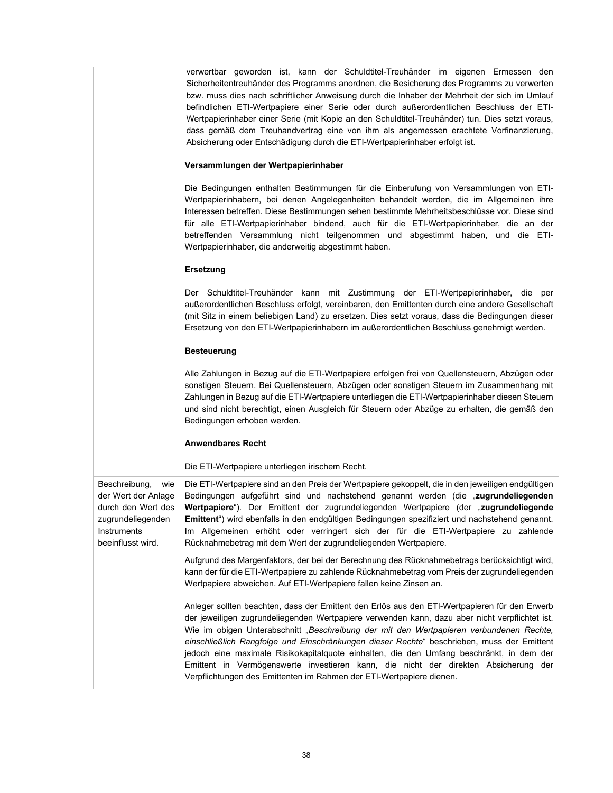|                                                                                                                            | verwertbar geworden ist, kann der Schuldtitel-Treuhänder im eigenen Ermessen den<br>Sicherheitentreuhänder des Programms anordnen, die Besicherung des Programms zu verwerten<br>bzw. muss dies nach schriftlicher Anweisung durch die Inhaber der Mehrheit der sich im Umlauf<br>befindlichen ETI-Wertpapiere einer Serie oder durch außerordentlichen Beschluss der ETI-<br>Wertpapierinhaber einer Serie (mit Kopie an den Schuldtitel-Treuhänder) tun. Dies setzt voraus,<br>dass gemäß dem Treuhandvertrag eine von ihm als angemessen erachtete Vorfinanzierung,<br>Absicherung oder Entschädigung durch die ETI-Wertpapierinhaber erfolgt ist. |
|----------------------------------------------------------------------------------------------------------------------------|-------------------------------------------------------------------------------------------------------------------------------------------------------------------------------------------------------------------------------------------------------------------------------------------------------------------------------------------------------------------------------------------------------------------------------------------------------------------------------------------------------------------------------------------------------------------------------------------------------------------------------------------------------|
|                                                                                                                            | Versammlungen der Wertpapierinhaber                                                                                                                                                                                                                                                                                                                                                                                                                                                                                                                                                                                                                   |
|                                                                                                                            | Die Bedingungen enthalten Bestimmungen für die Einberufung von Versammlungen von ETI-<br>Wertpapierinhabern, bei denen Angelegenheiten behandelt werden, die im Allgemeinen ihre<br>Interessen betreffen. Diese Bestimmungen sehen bestimmte Mehrheitsbeschlüsse vor. Diese sind<br>für alle ETI-Wertpapierinhaber bindend, auch für die ETI-Wertpapierinhaber, die an der<br>betreffenden Versammlung nicht teilgenommen und abgestimmt haben, und die ETI-<br>Wertpapierinhaber, die anderweitig abgestimmt haben.                                                                                                                                  |
|                                                                                                                            | <b>Ersetzung</b>                                                                                                                                                                                                                                                                                                                                                                                                                                                                                                                                                                                                                                      |
|                                                                                                                            | Der Schuldtitel-Treuhänder kann mit Zustimmung der ETI-Wertpapierinhaber, die per<br>außerordentlichen Beschluss erfolgt, vereinbaren, den Emittenten durch eine andere Gesellschaft<br>(mit Sitz in einem beliebigen Land) zu ersetzen. Dies setzt voraus, dass die Bedingungen dieser<br>Ersetzung von den ETI-Wertpapierinhabern im außerordentlichen Beschluss genehmigt werden.                                                                                                                                                                                                                                                                  |
|                                                                                                                            | <b>Besteuerung</b>                                                                                                                                                                                                                                                                                                                                                                                                                                                                                                                                                                                                                                    |
|                                                                                                                            | Alle Zahlungen in Bezug auf die ETI-Wertpapiere erfolgen frei von Quellensteuern, Abzügen oder<br>sonstigen Steuern. Bei Quellensteuern, Abzügen oder sonstigen Steuern im Zusammenhang mit<br>Zahlungen in Bezug auf die ETI-Wertpapiere unterliegen die ETI-Wertpapierinhaber diesen Steuern<br>und sind nicht berechtigt, einen Ausgleich für Steuern oder Abzüge zu erhalten, die gemäß den<br>Bedingungen erhoben werden.                                                                                                                                                                                                                        |
|                                                                                                                            | <b>Anwendbares Recht</b>                                                                                                                                                                                                                                                                                                                                                                                                                                                                                                                                                                                                                              |
|                                                                                                                            | Die ETI-Wertpapiere unterliegen irischem Recht.                                                                                                                                                                                                                                                                                                                                                                                                                                                                                                                                                                                                       |
| Beschreibung,<br>wie<br>der Wert der Anlage<br>durch den Wert des<br>zugrundeliegenden<br>Instruments<br>beeinflusst wird. | Die ETI-Wertpapiere sind an den Preis der Wertpapiere gekoppelt, die in den jeweiligen endgültigen<br>Bedingungen aufgeführt sind und nachstehend genannt werden (die "zugrundeliegenden<br>Wertpapiere"). Der Emittent der zugrundeliegenden Wertpapiere (der "zugrundeliegende<br>Emittent") wird ebenfalls in den endgültigen Bedingungen spezifiziert und nachstehend genannt.<br>Im Allgemeinen erhöht oder verringert sich der für die ETI-Wertpapiere zu zahlende<br>Rücknahmebetrag mit dem Wert der zugrundeliegenden Wertpapiere.                                                                                                           |
|                                                                                                                            | Aufgrund des Margenfaktors, der bei der Berechnung des Rücknahmebetrags berücksichtigt wird,<br>kann der für die ETI-Wertpapiere zu zahlende Rücknahmebetrag vom Preis der zugrundeliegenden<br>Wertpapiere abweichen. Auf ETI-Wertpapiere fallen keine Zinsen an.                                                                                                                                                                                                                                                                                                                                                                                    |
|                                                                                                                            | Anleger sollten beachten, dass der Emittent den Erlös aus den ETI-Wertpapieren für den Erwerb<br>der jeweiligen zugrundeliegenden Wertpapiere verwenden kann, dazu aber nicht verpflichtet ist.<br>Wie im obigen Unterabschnitt "Beschreibung der mit den Wertpapieren verbundenen Rechte,<br>einschließlich Rangfolge und Einschränkungen dieser Rechte" beschrieben, muss der Emittent<br>jedoch eine maximale Risikokapitalquote einhalten, die den Umfang beschränkt, in dem der<br>Emittent in Vermögenswerte investieren kann, die nicht der direkten Absicherung der<br>Verpflichtungen des Emittenten im Rahmen der ETI-Wertpapiere dienen.   |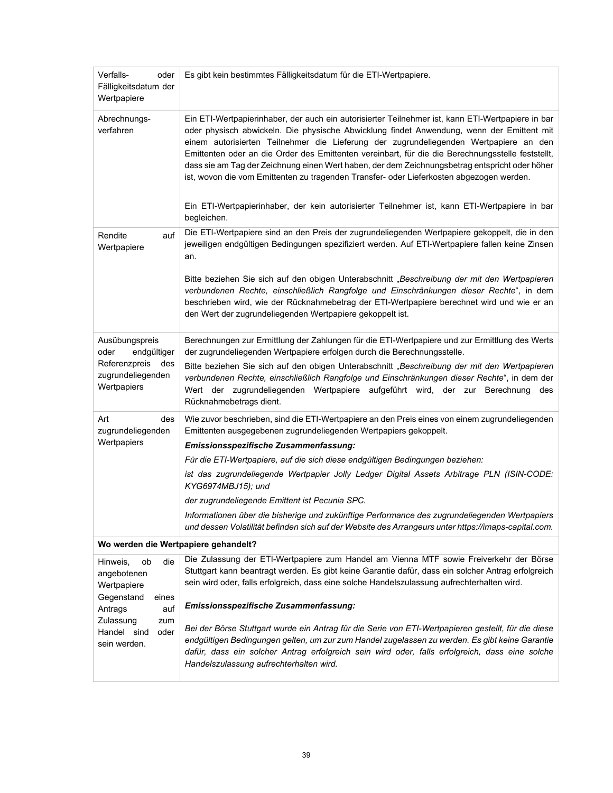| Verfalls-<br>oder<br>Fälligkeitsdatum der<br>Wertpapiere | Es gibt kein bestimmtes Fälligkeitsdatum für die ETI-Wertpapiere.                                                                                                                                                                                                                                                                                                                                                                                                                                                                                                                                                                                                                                          |
|----------------------------------------------------------|------------------------------------------------------------------------------------------------------------------------------------------------------------------------------------------------------------------------------------------------------------------------------------------------------------------------------------------------------------------------------------------------------------------------------------------------------------------------------------------------------------------------------------------------------------------------------------------------------------------------------------------------------------------------------------------------------------|
| Abrechnungs-<br>verfahren                                | Ein ETI-Wertpapierinhaber, der auch ein autorisierter Teilnehmer ist, kann ETI-Wertpapiere in bar<br>oder physisch abwickeln. Die physische Abwicklung findet Anwendung, wenn der Emittent mit<br>einem autorisierten Teilnehmer die Lieferung der zugrundeliegenden Wertpapiere an den<br>Emittenten oder an die Order des Emittenten vereinbart, für die die Berechnungsstelle feststellt,<br>dass sie am Tag der Zeichnung einen Wert haben, der dem Zeichnungsbetrag entspricht oder höher<br>ist, wovon die vom Emittenten zu tragenden Transfer- oder Lieferkosten abgezogen werden.<br>Ein ETI-Wertpapierinhaber, der kein autorisierter Teilnehmer ist, kann ETI-Wertpapiere in bar<br>begleichen. |
| Rendite<br>auf<br>Wertpapiere                            | Die ETI-Wertpapiere sind an den Preis der zugrundeliegenden Wertpapiere gekoppelt, die in den<br>jeweiligen endgültigen Bedingungen spezifiziert werden. Auf ETI-Wertpapiere fallen keine Zinsen<br>an.<br>Bitte beziehen Sie sich auf den obigen Unterabschnitt "Beschreibung der mit den Wertpapieren                                                                                                                                                                                                                                                                                                                                                                                                    |
|                                                          | verbundenen Rechte, einschließlich Rangfolge und Einschränkungen dieser Rechte", in dem<br>beschrieben wird, wie der Rücknahmebetrag der ETI-Wertpapiere berechnet wird und wie er an<br>den Wert der zugrundeliegenden Wertpapiere gekoppelt ist.                                                                                                                                                                                                                                                                                                                                                                                                                                                         |
| Ausübungspreis<br>endgültiger<br>oder                    | Berechnungen zur Ermittlung der Zahlungen für die ETI-Wertpapiere und zur Ermittlung des Werts<br>der zugrundeliegenden Wertpapiere erfolgen durch die Berechnungsstelle.                                                                                                                                                                                                                                                                                                                                                                                                                                                                                                                                  |
| Referenzpreis<br>des<br>zugrundeliegenden<br>Wertpapiers | Bitte beziehen Sie sich auf den obigen Unterabschnitt "Beschreibung der mit den Wertpapieren<br>verbundenen Rechte, einschließlich Rangfolge und Einschränkungen dieser Rechte", in dem der<br>Wert der zugrundeliegenden Wertpapiere aufgeführt wird, der zur Berechnung des<br>Rücknahmebetrags dient.                                                                                                                                                                                                                                                                                                                                                                                                   |
| Art<br>des<br>zugrundeliegenden                          | Wie zuvor beschrieben, sind die ETI-Wertpapiere an den Preis eines von einem zugrundeliegenden<br>Emittenten ausgegebenen zugrundeliegenden Wertpapiers gekoppelt.                                                                                                                                                                                                                                                                                                                                                                                                                                                                                                                                         |
| Wertpapiers                                              | Emissionsspezifische Zusammenfassung:                                                                                                                                                                                                                                                                                                                                                                                                                                                                                                                                                                                                                                                                      |
|                                                          | Für die ETI-Wertpapiere, auf die sich diese endgültigen Bedingungen beziehen:                                                                                                                                                                                                                                                                                                                                                                                                                                                                                                                                                                                                                              |
|                                                          | ist das zugrundeliegende Wertpapier Jolly Ledger Digital Assets Arbitrage PLN (ISIN-CODE:<br>KYG6974MBJ15); und                                                                                                                                                                                                                                                                                                                                                                                                                                                                                                                                                                                            |
|                                                          | der zugrundeliegende Emittent ist Pecunia SPC.                                                                                                                                                                                                                                                                                                                                                                                                                                                                                                                                                                                                                                                             |
|                                                          | Informationen über die bisherige und zukünftige Performance des zugrundeliegenden Wertpapiers<br>und dessen Volatilität befinden sich auf der Website des Arrangeurs unter https://imaps-capital.com.                                                                                                                                                                                                                                                                                                                                                                                                                                                                                                      |
| Wo werden die Wertpapiere gehandelt?                     |                                                                                                                                                                                                                                                                                                                                                                                                                                                                                                                                                                                                                                                                                                            |
| Hinweis,<br>die<br>ob<br>angebotenen<br>Wertpapiere      | Die Zulassung der ETI-Wertpapiere zum Handel am Vienna MTF sowie Freiverkehr der Börse<br>Stuttgart kann beantragt werden. Es gibt keine Garantie dafür, dass ein solcher Antrag erfolgreich<br>sein wird oder, falls erfolgreich, dass eine solche Handelszulassung aufrechterhalten wird.                                                                                                                                                                                                                                                                                                                                                                                                                |
| Gegenstand<br>eines<br>Antrags<br>auf                    | Emissionsspezifische Zusammenfassung:                                                                                                                                                                                                                                                                                                                                                                                                                                                                                                                                                                                                                                                                      |
| Zulassung<br>zum<br>Handel sind<br>oder<br>sein werden.  | Bei der Börse Stuttgart wurde ein Antrag für die Serie von ETI-Wertpapieren gestellt, für die diese<br>endgültigen Bedingungen gelten, um zur zum Handel zugelassen zu werden. Es gibt keine Garantie<br>dafür, dass ein solcher Antrag erfolgreich sein wird oder, falls erfolgreich, dass eine solche<br>Handelszulassung aufrechterhalten wird.                                                                                                                                                                                                                                                                                                                                                         |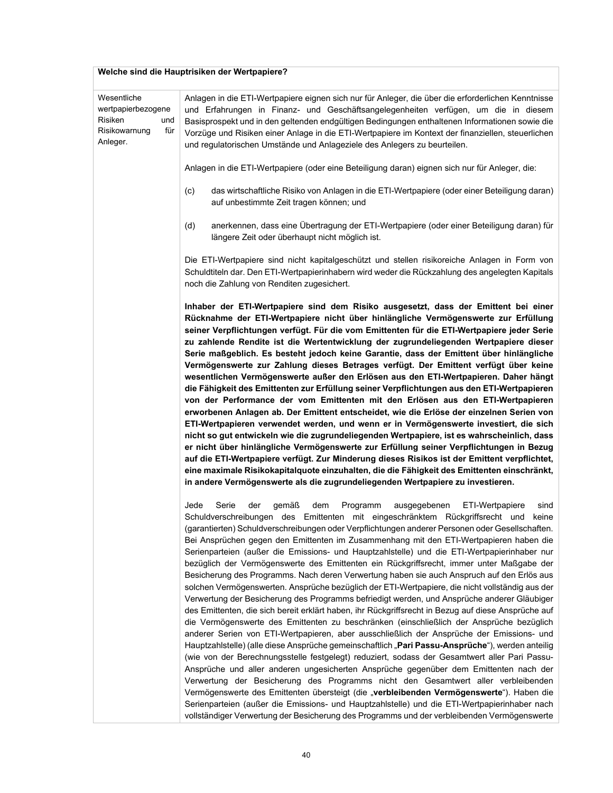# **Welche sind die Hauptrisiken der Wertpapiere?**

| Wesentliche                                                              | Anlagen in die ETI-Wertpapiere eignen sich nur für Anleger, die über die erforderlichen Kenntnisse                                                                                                                                                                                                                                                                                                                                                                                                                                                                                                                                                                                                                                                                                                                                                                                                                                                                                                                                                                                                                                                                                                                                                                                                                                                                                                                                                                                                                                                                                                                                                                                                                                                                                                                                                         |
|--------------------------------------------------------------------------|------------------------------------------------------------------------------------------------------------------------------------------------------------------------------------------------------------------------------------------------------------------------------------------------------------------------------------------------------------------------------------------------------------------------------------------------------------------------------------------------------------------------------------------------------------------------------------------------------------------------------------------------------------------------------------------------------------------------------------------------------------------------------------------------------------------------------------------------------------------------------------------------------------------------------------------------------------------------------------------------------------------------------------------------------------------------------------------------------------------------------------------------------------------------------------------------------------------------------------------------------------------------------------------------------------------------------------------------------------------------------------------------------------------------------------------------------------------------------------------------------------------------------------------------------------------------------------------------------------------------------------------------------------------------------------------------------------------------------------------------------------------------------------------------------------------------------------------------------------|
| wertpapierbezogene<br>Risiken<br>und<br>Risikowarnung<br>für<br>Anleger. | und Erfahrungen in Finanz- und Geschäftsangelegenheiten verfügen, um die in diesem<br>Basisprospekt und in den geltenden endgültigen Bedingungen enthaltenen Informationen sowie die<br>Vorzüge und Risiken einer Anlage in die ETI-Wertpapiere im Kontext der finanziellen, steuerlichen<br>und regulatorischen Umstände und Anlageziele des Anlegers zu beurteilen.                                                                                                                                                                                                                                                                                                                                                                                                                                                                                                                                                                                                                                                                                                                                                                                                                                                                                                                                                                                                                                                                                                                                                                                                                                                                                                                                                                                                                                                                                      |
|                                                                          | Anlagen in die ETI-Wertpapiere (oder eine Beteiligung daran) eignen sich nur für Anleger, die:                                                                                                                                                                                                                                                                                                                                                                                                                                                                                                                                                                                                                                                                                                                                                                                                                                                                                                                                                                                                                                                                                                                                                                                                                                                                                                                                                                                                                                                                                                                                                                                                                                                                                                                                                             |
|                                                                          | das wirtschaftliche Risiko von Anlagen in die ETI-Wertpapiere (oder einer Beteiligung daran)<br>(c)<br>auf unbestimmte Zeit tragen können; und                                                                                                                                                                                                                                                                                                                                                                                                                                                                                                                                                                                                                                                                                                                                                                                                                                                                                                                                                                                                                                                                                                                                                                                                                                                                                                                                                                                                                                                                                                                                                                                                                                                                                                             |
|                                                                          | anerkennen, dass eine Übertragung der ETI-Wertpapiere (oder einer Beteiligung daran) für<br>(d)<br>längere Zeit oder überhaupt nicht möglich ist.                                                                                                                                                                                                                                                                                                                                                                                                                                                                                                                                                                                                                                                                                                                                                                                                                                                                                                                                                                                                                                                                                                                                                                                                                                                                                                                                                                                                                                                                                                                                                                                                                                                                                                          |
|                                                                          | Die ETI-Wertpapiere sind nicht kapitalgeschützt und stellen risikoreiche Anlagen in Form von<br>Schuldtiteln dar. Den ETI-Wertpapierinhabern wird weder die Rückzahlung des angelegten Kapitals<br>noch die Zahlung von Renditen zugesichert.                                                                                                                                                                                                                                                                                                                                                                                                                                                                                                                                                                                                                                                                                                                                                                                                                                                                                                                                                                                                                                                                                                                                                                                                                                                                                                                                                                                                                                                                                                                                                                                                              |
|                                                                          | Inhaber der ETI-Wertpapiere sind dem Risiko ausgesetzt, dass der Emittent bei einer<br>Rücknahme der ETI-Wertpapiere nicht über hinlängliche Vermögenswerte zur Erfüllung<br>seiner Verpflichtungen verfügt. Für die vom Emittenten für die ETI-Wertpapiere jeder Serie<br>zu zahlende Rendite ist die Wertentwicklung der zugrundeliegenden Wertpapiere dieser<br>Serie maßgeblich. Es besteht jedoch keine Garantie, dass der Emittent über hinlängliche<br>Vermögenswerte zur Zahlung dieses Betrages verfügt. Der Emittent verfügt über keine<br>wesentlichen Vermögenswerte außer den Erlösen aus den ETI-Wertpapieren. Daher hängt<br>die Fähigkeit des Emittenten zur Erfüllung seiner Verpflichtungen aus den ETI-Wertpapieren<br>von der Performance der vom Emittenten mit den Erlösen aus den ETI-Wertpapieren<br>erworbenen Anlagen ab. Der Emittent entscheidet, wie die Erlöse der einzelnen Serien von<br>ETI-Wertpapieren verwendet werden, und wenn er in Vermögenswerte investiert, die sich<br>nicht so gut entwickeln wie die zugrundeliegenden Wertpapiere, ist es wahrscheinlich, dass<br>er nicht über hinlängliche Vermögenswerte zur Erfüllung seiner Verpflichtungen in Bezug<br>auf die ETI-Wertpapiere verfügt. Zur Minderung dieses Risikos ist der Emittent verpflichtet,<br>eine maximale Risikokapitalquote einzuhalten, die die Fähigkeit des Emittenten einschränkt,<br>in andere Vermögenswerte als die zugrundeliegenden Wertpapiere zu investieren.                                                                                                                                                                                                                                                                                                                                                                   |
|                                                                          | Jede<br>Serie<br>der<br>gemäß<br>Programm<br>ausgegebenen<br>dem<br>ETI-Wertpapiere<br>sind<br>Schuldverschreibungen des Emittenten mit eingeschränktem Rückgriffsrecht und<br>keine<br>(garantierten) Schuldverschreibungen oder Verpflichtungen anderer Personen oder Gesellschaften.<br>Bei Ansprüchen gegen den Emittenten im Zusammenhang mit den ETI-Wertpapieren haben die<br>Serienparteien (außer die Emissions- und Hauptzahlstelle) und die ETI-Wertpapierinhaber nur<br>bezüglich der Vermögenswerte des Emittenten ein Rückgriffsrecht, immer unter Maßgabe der<br>Besicherung des Programms. Nach deren Verwertung haben sie auch Anspruch auf den Erlös aus<br>solchen Vermögenswerten. Ansprüche bezüglich der ETI-Wertpapiere, die nicht vollständig aus der<br>Verwertung der Besicherung des Programms befriedigt werden, und Ansprüche anderer Gläubiger<br>des Emittenten, die sich bereit erklärt haben, ihr Rückgriffsrecht in Bezug auf diese Ansprüche auf<br>die Vermögenswerte des Emittenten zu beschränken (einschließlich der Ansprüche bezüglich<br>anderer Serien von ETI-Wertpapieren, aber ausschließlich der Ansprüche der Emissions- und<br>Hauptzahlstelle) (alle diese Ansprüche gemeinschaftlich "Pari Passu-Ansprüche"), werden anteilig<br>(wie von der Berechnungsstelle festgelegt) reduziert, sodass der Gesamtwert aller Pari Passu-<br>Ansprüche und aller anderen ungesicherten Ansprüche gegenüber dem Emittenten nach der<br>Verwertung der Besicherung des Programms nicht den Gesamtwert aller verbleibenden<br>Vermögenswerte des Emittenten übersteigt (die "verbleibenden Vermögenswerte"). Haben die<br>Serienparteien (außer die Emissions- und Hauptzahlstelle) und die ETI-Wertpapierinhaber nach<br>vollständiger Verwertung der Besicherung des Programms und der verbleibenden Vermögenswerte |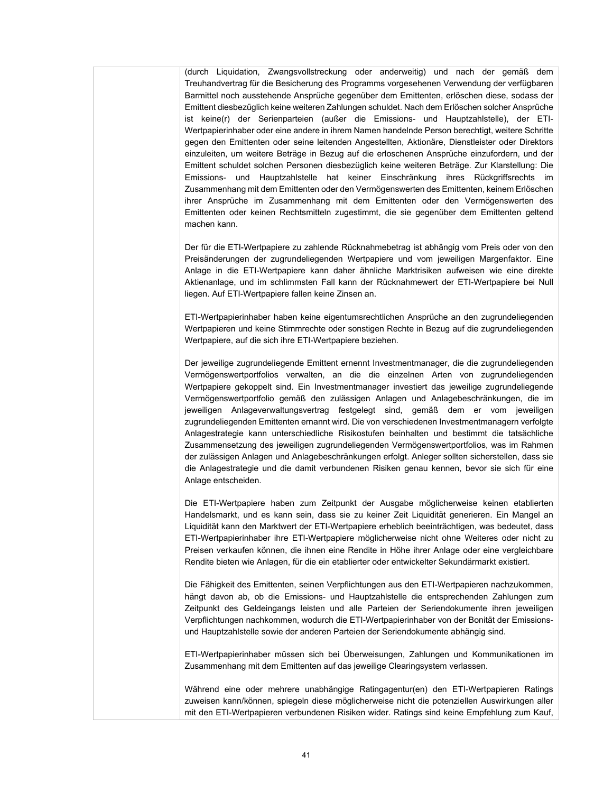(durch Liquidation, Zwangsvollstreckung oder anderweitig) und nach der gemäß dem Treuhandvertrag für die Besicherung des Programms vorgesehenen Verwendung der verfügbaren Barmittel noch ausstehende Ansprüche gegenüber dem Emittenten, erlöschen diese, sodass der Emittent diesbezüglich keine weiteren Zahlungen schuldet. Nach dem Erlöschen solcher Ansprüche ist keine(r) der Serienparteien (außer die Emissions- und Hauptzahlstelle), der ETI-Wertpapierinhaber oder eine andere in ihrem Namen handelnde Person berechtigt, weitere Schritte gegen den Emittenten oder seine leitenden Angestellten, Aktionäre, Dienstleister oder Direktors einzuleiten, um weitere Beträge in Bezug auf die erloschenen Ansprüche einzufordern, und der Emittent schuldet solchen Personen diesbezüglich keine weiteren Beträge. Zur Klarstellung: Die Emissions- und Hauptzahlstelle hat keiner Einschränkung ihres Rückgriffsrechts im Zusammenhang mit dem Emittenten oder den Vermögenswerten des Emittenten, keinem Erlöschen ihrer Ansprüche im Zusammenhang mit dem Emittenten oder den Vermögenswerten des Emittenten oder keinen Rechtsmitteln zugestimmt, die sie gegenüber dem Emittenten geltend machen kann.

Der für die ETI-Wertpapiere zu zahlende Rücknahmebetrag ist abhängig vom Preis oder von den Preisänderungen der zugrundeliegenden Wertpapiere und vom jeweiligen Margenfaktor. Eine Anlage in die ETI-Wertpapiere kann daher ähnliche Marktrisiken aufweisen wie eine direkte Aktienanlage, und im schlimmsten Fall kann der Rücknahmewert der ETI-Wertpapiere bei Null liegen. Auf ETI-Wertpapiere fallen keine Zinsen an.

ETI-Wertpapierinhaber haben keine eigentumsrechtlichen Ansprüche an den zugrundeliegenden Wertpapieren und keine Stimmrechte oder sonstigen Rechte in Bezug auf die zugrundeliegenden Wertpapiere, auf die sich ihre ETI-Wertpapiere beziehen.

Der jeweilige zugrundeliegende Emittent ernennt Investmentmanager, die die zugrundeliegenden Vermögenswertportfolios verwalten, an die die einzelnen Arten von zugrundeliegenden Wertpapiere gekoppelt sind. Ein Investmentmanager investiert das jeweilige zugrundeliegende Vermögenswertportfolio gemäß den zulässigen Anlagen und Anlagebeschränkungen, die im jeweiligen Anlageverwaltungsvertrag festgelegt sind, gemäß dem er vom jeweiligen zugrundeliegenden Emittenten ernannt wird. Die von verschiedenen Investmentmanagern verfolgte Anlagestrategie kann unterschiedliche Risikostufen beinhalten und bestimmt die tatsächliche Zusammensetzung des jeweiligen zugrundeliegenden Vermögenswertportfolios, was im Rahmen der zulässigen Anlagen und Anlagebeschränkungen erfolgt. Anleger sollten sicherstellen, dass sie die Anlagestrategie und die damit verbundenen Risiken genau kennen, bevor sie sich für eine Anlage entscheiden.

Die ETI-Wertpapiere haben zum Zeitpunkt der Ausgabe möglicherweise keinen etablierten Handelsmarkt, und es kann sein, dass sie zu keiner Zeit Liquidität generieren. Ein Mangel an Liquidität kann den Marktwert der ETI-Wertpapiere erheblich beeinträchtigen, was bedeutet, dass ETI-Wertpapierinhaber ihre ETI-Wertpapiere möglicherweise nicht ohne Weiteres oder nicht zu Preisen verkaufen können, die ihnen eine Rendite in Höhe ihrer Anlage oder eine vergleichbare Rendite bieten wie Anlagen, für die ein etablierter oder entwickelter Sekundärmarkt existiert.

Die Fähigkeit des Emittenten, seinen Verpflichtungen aus den ETI-Wertpapieren nachzukommen, hängt davon ab, ob die Emissions- und Hauptzahlstelle die entsprechenden Zahlungen zum Zeitpunkt des Geldeingangs leisten und alle Parteien der Seriendokumente ihren jeweiligen Verpflichtungen nachkommen, wodurch die ETI-Wertpapierinhaber von der Bonität der Emissionsund Hauptzahlstelle sowie der anderen Parteien der Seriendokumente abhängig sind.

ETI-Wertpapierinhaber müssen sich bei Überweisungen, Zahlungen und Kommunikationen im Zusammenhang mit dem Emittenten auf das jeweilige Clearingsystem verlassen.

Während eine oder mehrere unabhängige Ratingagentur(en) den ETI-Wertpapieren Ratings zuweisen kann/können, spiegeln diese möglicherweise nicht die potenziellen Auswirkungen aller mit den ETI-Wertpapieren verbundenen Risiken wider. Ratings sind keine Empfehlung zum Kauf,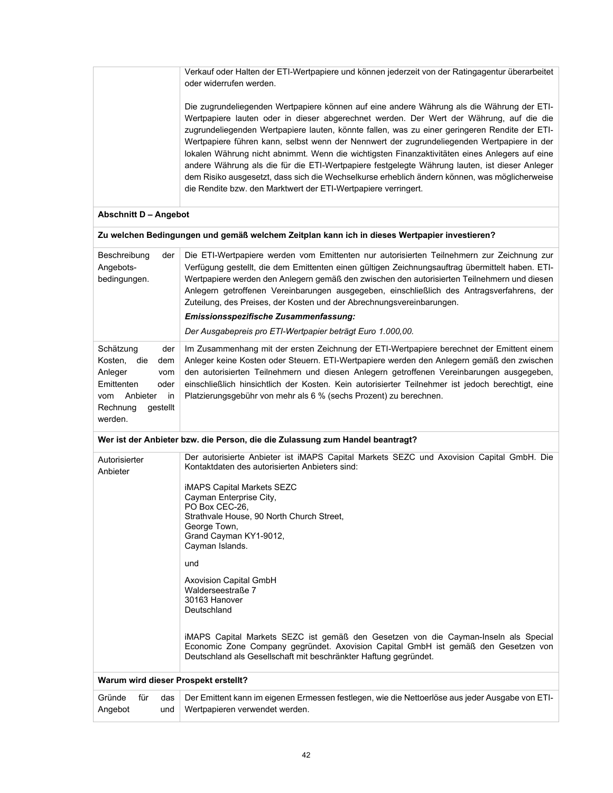Verkauf oder Halten der ETI-Wertpapiere und können jederzeit von der Ratingagentur überarbeitet oder widerrufen werden.

Die zugrundeliegenden Wertpapiere können auf eine andere Währung als die Währung der ETI-Wertpapiere lauten oder in dieser abgerechnet werden. Der Wert der Währung, auf die die zugrundeliegenden Wertpapiere lauten, könnte fallen, was zu einer geringeren Rendite der ETI-Wertpapiere führen kann, selbst wenn der Nennwert der zugrundeliegenden Wertpapiere in der lokalen Währung nicht abnimmt. Wenn die wichtigsten Finanzaktivitäten eines Anlegers auf eine andere Währung als die für die ETI-Wertpapiere festgelegte Währung lauten, ist dieser Anleger dem Risiko ausgesetzt, dass sich die Wechselkurse erheblich ändern können, was möglicherweise die Rendite bzw. den Marktwert der ETI-Wertpapiere verringert.

# **Abschnitt D – Angebot**

| Beschreibung<br>der<br>Angebots-<br>bedingungen.                                                                                                  | Die ETI-Wertpapiere werden vom Emittenten nur autorisierten Teilnehmern zur Zeichnung zur<br>Verfügung gestellt, die dem Emittenten einen gültigen Zeichnungsauftrag übermittelt haben. ETI-<br>Wertpapiere werden den Anlegern gemäß den zwischen den autorisierten Teilnehmern und diesen<br>Anlegern getroffenen Vereinbarungen ausgegeben, einschließlich des Antragsverfahrens, der<br>Zuteilung, des Preises, der Kosten und der Abrechnungsvereinbarungen.<br>Emissionsspezifische Zusammenfassung:<br>Der Ausgabepreis pro ETI-Wertpapier beträgt Euro 1.000.00. |
|---------------------------------------------------------------------------------------------------------------------------------------------------|--------------------------------------------------------------------------------------------------------------------------------------------------------------------------------------------------------------------------------------------------------------------------------------------------------------------------------------------------------------------------------------------------------------------------------------------------------------------------------------------------------------------------------------------------------------------------|
| Schätzung<br>der<br>Kosten, die<br>dem<br>Anleger<br>vom<br>Emittenten<br>oder<br>Anbieter<br><i>in</i><br>vom<br>Rechnung<br>qestellt<br>werden. | Im Zusammenhang mit der ersten Zeichnung der ETI-Wertpapiere berechnet der Emittent einem<br>Anleger keine Kosten oder Steuern. ETI-Wertpapiere werden den Anlegern gemäß den zwischen<br>den autorisierten Teilnehmern und diesen Anlegern getroffenen Vereinbarungen ausgegeben.<br>einschließlich hinsichtlich der Kosten. Kein autorisierter Teilnehmer ist jedoch berechtigt, eine<br>Platzierungsgebühr von mehr als 6 % (sechs Prozent) zu berechnen.                                                                                                             |

#### **Wer ist der Anbieter bzw. die Person, die die Zulassung zum Handel beantragt?**

| Autorisierter<br>Anbieter |            | Der autorisierte Anbieter ist iMAPS Capital Markets SEZC und Axovision Capital GmbH. Die<br>Kontaktdaten des autorisierten Anbieters sind:<br><b>iMAPS Capital Markets SEZC</b><br>Cayman Enterprise City,<br>PO Box CEC-26.<br>Strathvale House, 90 North Church Street,<br>George Town,<br>Grand Cayman KY1-9012,<br>Cayman Islands. |
|---------------------------|------------|----------------------------------------------------------------------------------------------------------------------------------------------------------------------------------------------------------------------------------------------------------------------------------------------------------------------------------------|
|                           |            | und                                                                                                                                                                                                                                                                                                                                    |
|                           |            | <b>Axovision Capital GmbH</b><br>Walderseestraße 7<br>30163 Hanover<br>Deutschland                                                                                                                                                                                                                                                     |
|                           |            | iMAPS Capital Markets SEZC ist gemäß den Gesetzen von die Cayman-Inseln als Special<br>Economic Zone Company gegründet. Axovision Capital GmbH ist gemäß den Gesetzen von<br>Deutschland als Gesellschaft mit beschränkter Haftung gegründet.                                                                                          |
|                           |            | Warum wird dieser Prospekt erstellt?                                                                                                                                                                                                                                                                                                   |
| Gründe<br>für<br>Angebot  | das<br>und | Der Emittent kann im eigenen Ermessen festlegen, wie die Nettoerlöse aus jeder Ausgabe von ETI-<br>Wertpapieren verwendet werden.                                                                                                                                                                                                      |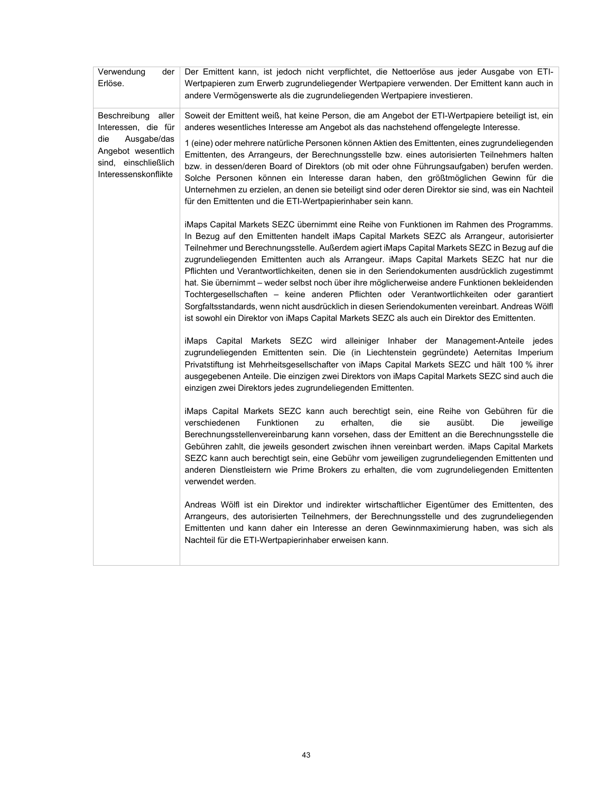| Verwendung<br>der<br>Erlöse.                                                             | Der Emittent kann, ist jedoch nicht verpflichtet, die Nettoerlöse aus jeder Ausgabe von ETI-<br>Wertpapieren zum Erwerb zugrundeliegender Wertpapiere verwenden. Der Emittent kann auch in<br>andere Vermögenswerte als die zugrundeliegenden Wertpapiere investieren.                                                                                                                                                                                                                                                                                                                                                                                                                                                                                                                                                                                                                 |
|------------------------------------------------------------------------------------------|----------------------------------------------------------------------------------------------------------------------------------------------------------------------------------------------------------------------------------------------------------------------------------------------------------------------------------------------------------------------------------------------------------------------------------------------------------------------------------------------------------------------------------------------------------------------------------------------------------------------------------------------------------------------------------------------------------------------------------------------------------------------------------------------------------------------------------------------------------------------------------------|
| Beschreibung aller<br>Interessen, die für                                                | Soweit der Emittent weiß, hat keine Person, die am Angebot der ETI-Wertpapiere beteiligt ist, ein<br>anderes wesentliches Interesse am Angebot als das nachstehend offengelegte Interesse.                                                                                                                                                                                                                                                                                                                                                                                                                                                                                                                                                                                                                                                                                             |
| die<br>Ausgabe/das<br>Angebot wesentlich<br>sind, einschließlich<br>Interessenskonflikte | 1 (eine) oder mehrere natürliche Personen können Aktien des Emittenten, eines zugrundeliegenden<br>Emittenten, des Arrangeurs, der Berechnungsstelle bzw. eines autorisierten Teilnehmers halten<br>bzw. in dessen/deren Board of Direktors (ob mit oder ohne Führungsaufgaben) berufen werden.<br>Solche Personen können ein Interesse daran haben, den größtmöglichen Gewinn für die<br>Unternehmen zu erzielen, an denen sie beteiligt sind oder deren Direktor sie sind, was ein Nachteil<br>für den Emittenten und die ETI-Wertpapierinhaber sein kann.                                                                                                                                                                                                                                                                                                                           |
|                                                                                          | iMaps Capital Markets SEZC übernimmt eine Reihe von Funktionen im Rahmen des Programms.<br>In Bezug auf den Emittenten handelt iMaps Capital Markets SEZC als Arrangeur, autorisierter<br>Teilnehmer und Berechnungsstelle. Außerdem agiert iMaps Capital Markets SEZC in Bezug auf die<br>zugrundeliegenden Emittenten auch als Arrangeur. iMaps Capital Markets SEZC hat nur die<br>Pflichten und Verantwortlichkeiten, denen sie in den Seriendokumenten ausdrücklich zugestimmt<br>hat. Sie übernimmt – weder selbst noch über ihre möglicherweise andere Funktionen bekleidenden<br>Tochtergesellschaften - keine anderen Pflichten oder Verantwortlichkeiten oder garantiert<br>Sorgfaltsstandards, wenn nicht ausdrücklich in diesen Seriendokumenten vereinbart. Andreas Wölfl<br>ist sowohl ein Direktor von iMaps Capital Markets SEZC als auch ein Direktor des Emittenten. |
|                                                                                          | iMaps Capital Markets SEZC wird alleiniger Inhaber der Management-Anteile jedes<br>zugrundeliegenden Emittenten sein. Die (in Liechtenstein gegründete) Aeternitas Imperium<br>Privatstiftung ist Mehrheitsgesellschafter von iMaps Capital Markets SEZC und hält 100 % ihrer<br>ausgegebenen Anteile. Die einzigen zwei Direktors von iMaps Capital Markets SEZC sind auch die<br>einzigen zwei Direktors jedes zugrundeliegenden Emittenten.                                                                                                                                                                                                                                                                                                                                                                                                                                         |
|                                                                                          | iMaps Capital Markets SEZC kann auch berechtigt sein, eine Reihe von Gebühren für die<br>die<br>verschiedenen<br>Funktionen<br>zu<br>erhalten,<br>sie<br>ausübt.<br>Die<br>jeweilige<br>Berechnungsstellenvereinbarung kann vorsehen, dass der Emittent an die Berechnungsstelle die<br>Gebühren zahlt, die jeweils gesondert zwischen ihnen vereinbart werden. iMaps Capital Markets<br>SEZC kann auch berechtigt sein, eine Gebühr vom jeweiligen zugrundeliegenden Emittenten und<br>anderen Dienstleistern wie Prime Brokers zu erhalten, die vom zugrundeliegenden Emittenten<br>verwendet werden.                                                                                                                                                                                                                                                                                |
|                                                                                          | Andreas Wölfl ist ein Direktor und indirekter wirtschaftlicher Eigentümer des Emittenten, des<br>Arrangeurs, des autorisierten Teilnehmers, der Berechnungsstelle und des zugrundeliegenden<br>Emittenten und kann daher ein Interesse an deren Gewinnmaximierung haben, was sich als<br>Nachteil für die ETI-Wertpapierinhaber erweisen kann.                                                                                                                                                                                                                                                                                                                                                                                                                                                                                                                                         |